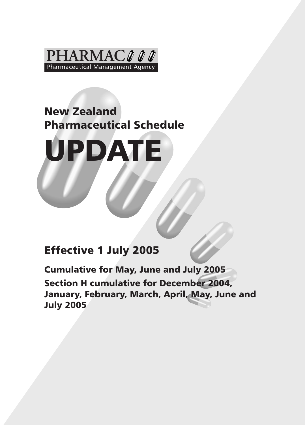

# New Zealand Pharmaceutical Schedule



# Effective 1 July 2005

Cumulative for May, June and July 2005 Section H cumulative for December 2004, January, February, March, April, May, June and July 2005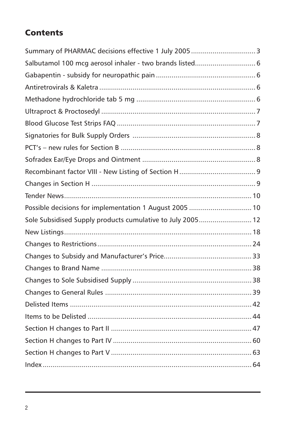# **Contents**

| Salbutamol 100 mcg aerosol inhaler - two brands listed 6   |  |
|------------------------------------------------------------|--|
|                                                            |  |
|                                                            |  |
|                                                            |  |
|                                                            |  |
|                                                            |  |
|                                                            |  |
|                                                            |  |
|                                                            |  |
|                                                            |  |
|                                                            |  |
|                                                            |  |
| Possible decisions for implementation 1 August 2005  10    |  |
| Sole Subsidised Supply products cumulative to July 2005 12 |  |
|                                                            |  |
|                                                            |  |
|                                                            |  |
|                                                            |  |
|                                                            |  |
|                                                            |  |
|                                                            |  |
|                                                            |  |
|                                                            |  |
|                                                            |  |
|                                                            |  |
|                                                            |  |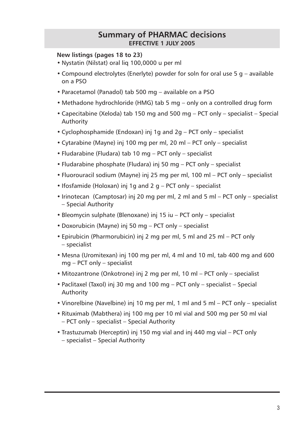## **Summary of PHARMAC decisions effective 1 juLY 2005**

### <span id="page-2-0"></span>**New listings (pages 18 to 23)**

- Nystatin (Nilstat) oral liq 100,0000 u per ml
- Compound electrolytes (Enerlyte) powder for soln for oral use 5 g available on a PSO
- Paracetamol (Panadol) tab 500 mg available on a PSO
- Methadone hydrochloride (HMG) tab 5 mg only on a controlled drug form
- Capecitabine (Xeloda) tab 150 mg and 500 mg PCT only specialist Special Authority
- Cyclophosphamide (Endoxan) inj 1g and 2g PCT only specialist
- Cytarabine (Mayne) inj 100 mg per ml, 20 ml PCT only specialist
- Fludarabine (Fludara) tab 10 mg PCT only specialist
- Fludarabine phosphate (Fludara) inj 50 mg PCT only specialist
- Fluorouracil sodium (Mayne) inj 25 mg per ml, 100 ml PCT only specialist
- Ifosfamide (Holoxan) inj 1g and 2 g PCT only specialist
- Irinotecan (Camptosar) inj 20 mg per ml, 2 ml and 5 ml PCT only specialist – Special Authority
- Bleomycin sulphate (Blenoxane) inj 15 iu PCT only specialist
- Doxorubicin (Mayne) inj 50 mg PCT only specialist
- Epirubicin (Pharmorubicin) inj 2 mg per ml, 5 ml and 25 ml PCT only – specialist
- Mesna (Uromitexan) inj 100 mg per ml, 4 ml and 10 ml, tab 400 mg and 600 mg – PCT only – specialist
- Mitozantrone (Onkotrone) inj 2 mg per ml, 10 ml PCT only specialist
- Paclitaxel (Taxol) inj 30 mg and 100 mg PCT only specialist Special Authority
- Vinorelbine (Navelbine) inj 10 mg per ml, 1 ml and 5 ml PCT only specialist
- Rituximab (Mabthera) inj 100 mg per 10 ml vial and 500 mg per 50 ml vial – PCT only – specialist – Special Authority
- Trastuzumab (Herceptin) inj 150 mg vial and inj 440 mg vial PCT only – specialist – Special Authority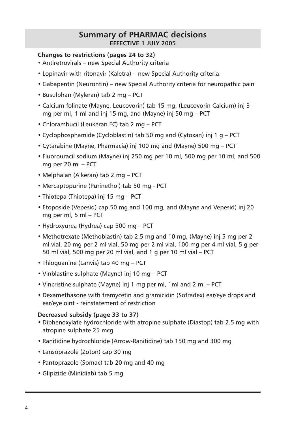## **Summary of PHARMAC decisions effective 1 juLY 2005**

### **Changes to restrictions (pages 24 to 32)**

- Antiretrovirals new Special Authority criteria
- Lopinavir with ritonavir (Kaletra) new Special Authority criteria
- Gabapentin (Neurontin) new Special Authority criteria for neuropathic pain
- Busulphan (Myleran) tab 2 mg PCT
- Calcium folinate (Mayne, Leucovorin) tab 15 mg, (Leucovorin Calcium) inj 3 mg per ml, 1 ml and inj 15 mg, and (Mayne) inj 50 mg – PCT
- Chlorambucil (Leukeran FC) tab 2 mg PCT
- Cyclophosphamide (Cycloblastin) tab 50 mg and (Cytoxan) inj 1 g PCT
- Cytarabine (Mayne, Pharmacia) inj 100 mg and (Mayne) 500 mg PCT
- Fluorouracil sodium (Mayne) inj 250 mg per 10 ml, 500 mg per 10 ml, and 500 mg per 20 ml – PCT
- Melphalan (Alkeran) tab 2 mg PCT
- Mercaptopurine (Purinethol) tab 50 mg PCT
- Thiotepa (Thiotepa) inj 15 mg PCT
- Etoposide (Vepesid) cap 50 mg and 100 mg, and (Mayne and Vepesid) inj 20 mg per ml, 5 ml – PCT
- Hydroxyurea (Hydrea) cap 500 mg PCT
- Methotrexate (Methoblastin) tab 2.5 mg and 10 mg, (Mayne) inj 5 mg per 2 ml vial, 20 mg per 2 ml vial, 50 mg per 2 ml vial, 100 mg per 4 ml vial, 5 g per 50 ml vial, 500 mg per 20 ml vial, and 1 g per 10 ml vial – PCT
- Thioguanine (Lanvis) tab 40 mg PCT
- Vinblastine sulphate (Mayne) inj 10 mg PCT
- Vincristine sulphate (Mayne) inj 1 mg per ml, 1ml and 2 ml PCT
- Dexamethasone with framycetin and gramicidin (Sofradex) ear/eye drops and ear/eye oint - reinstatement of restriction

#### **Decreased subsidy (page 33 to 37)**

- Diphenoxylate hydrochloride with atropine sulphate (Diastop) tab 2.5 mg with atropine sulphate 25 mcg
- Ranitidine hydrochloride (Arrow-Ranitidine) tab 150 mg and 300 mg
- Lansoprazole (Zoton) cap 30 mg
- Pantoprazole (Somac) tab 20 mg and 40 mg
- Glipizide (Minidiab) tab 5 mg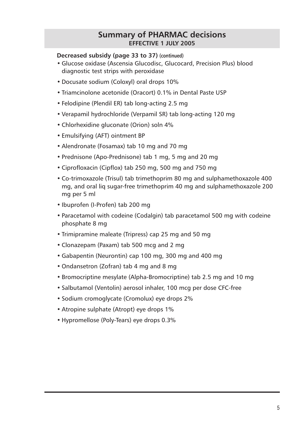## **Summary of PHARMAC decisions EFFECTIVE 1 JULY 2005**

### **Decreased subsidy (page 33 to 37) (continued)**

- Glucose oxidase (Ascensia Glucodisc, Glucocard, Precision Plus) blood diagnostic test strips with peroxidase
- Docusate sodium (Coloxyl) oral drops 10%
- Triamcinolone acetonide (Oracort) 0.1% in Dental Paste USP
- Felodipine (Plendil ER) tab long-acting 2.5 mg
- Verapamil hydrochloride (Verpamil SR) tab long-acting 120 mg
- Chlorhexidine gluconate (Orion) soln 4%
- Emulsifying (AFT) ointment BP
- Alendronate (Fosamax) tab 10 mg and 70 mg
- Prednisone (Apo-Prednisone) tab 1 mg, 5 mg and 20 mg
- Ciprofloxacin (Cipflox) tab 250 mg, 500 mg and 750 mg
- Co-trimoxazole (Trisul) tab trimethoprim 80 mg and sulphamethoxazole 400 mg, and oral liq sugar-free trimethoprim 40 mg and sulphamethoxazole 200 mg per 5 ml
- Ibuprofen (I-Profen) tab 200 mg
- Paracetamol with codeine (Codalgin) tab paracetamol 500 mg with codeine phosphate 8 mg
- Trimipramine maleate (Tripress) cap 25 mg and 50 mg
- Clonazepam (Paxam) tab 500 mcg and 2 mg
- Gabapentin (Neurontin) cap 100 mg, 300 mg and 400 mg
- Ondansetron (Zofran) tab 4 mg and 8 mg
- Bromocriptine mesylate (Alpha-Bromocriptine) tab 2.5 mg and 10 mg
- Salbutamol (Ventolin) aerosol inhaler, 100 mcg per dose CFC-free
- Sodium cromoglycate (Cromolux) eye drops 2%
- Atropine sulphate (Atropt) eye drops 1%
- Hypromellose (Poly-Tears) eye drops 0.3%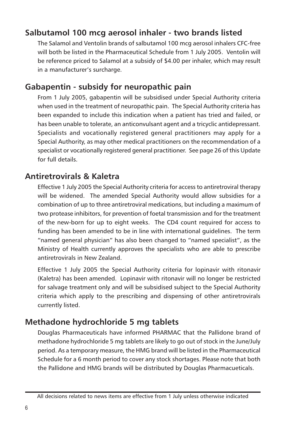# <span id="page-5-0"></span>**Salbutamol 100 mcg aerosol inhaler - two brands listed**

The Salamol and Ventolin brands of salbutamol 100 mcg aerosol inhalers CFC-free will both be listed in the Pharmaceutical Schedule from 1 July 2005. Ventolin will be reference priced to Salamol at a subsidy of \$4.00 per inhaler, which may result in a manufacturer's surcharge.

# **Gabapentin - subsidy for neuropathic pain**

From 1 July 2005, gabapentin will be subsidised under Special Authority criteria when used in the treatment of neuropathic pain. The Special Authority criteria has been expanded to include this indication when a patient has tried and failed, or has been unable to tolerate, an anticonvulsant agent and a tricyclic antidepressant. Specialists and vocationally registered general practitioners may apply for a Special Authority, as may other medical practitioners on the recommendation of a specialist or vocationally registered general practitioner. See page 26 of this Update for full details.

## **Antiretrovirals & Kaletra**

Effective 1 July 2005 the Special Authority criteria for access to antiretroviral therapy will be widened. The amended Special Authority would allow subsidies for a combination of up to three antiretroviral medications, but including a maximum of two protease inhibitors, for prevention of foetal transmission and for the treatment of the new-born for up to eight weeks. The CD4 count required for access to funding has been amended to be in line with international guidelines. The term "named general physician" has also been changed to "named specialist", as the Ministry of Health currently approves the specialists who are able to prescribe antiretrovirals in New Zealand.

Effective 1 July 2005 the Special Authority criteria for lopinavir with ritonavir (Kaletra) has been amended. Lopinavir with ritonavir will no longer be restricted for salvage treatment only and will be subsidised subject to the Special Authority criteria which apply to the prescribing and dispensing of other antiretrovirals currently listed.

# **Methadone hydrochloride 5 mg tablets**

Douglas Pharmaceuticals have informed PHARMAC that the Pallidone brand of methadone hydrochloride 5 mg tablets are likely to go out of stock in the June/July period. As a temporary measure, the HMG brand will be listed in the Pharmaceutical Schedule for a 6 month period to cover any stock shortages. Please note that both the Pallidone and HMG brands will be distributed by Douglas Pharmacueticals.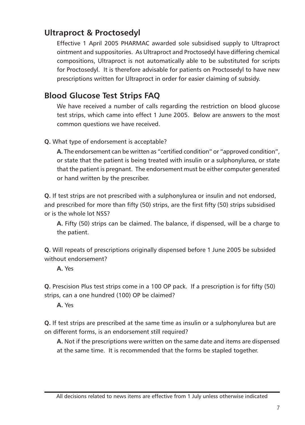# <span id="page-6-0"></span>**Ultraproct & Proctosedyl**

Effective 1 April 2005 PHARMAC awarded sole subsidised supply to Ultraproct ointment and suppositories. As Ultraproct and Proctosedyl have differing chemical compositions, Ultraproct is not automatically able to be substituted for scripts for Proctosedyl. It is therefore advisable for patients on Proctosedyl to have new prescriptions written for Ultraproct in order for easier claiming of subsidy.

# **Blood Glucose Test Strips FAQ**

We have received a number of calls regarding the restriction on blood glucose test strips, which came into effect 1 June 2005. Below are answers to the most common questions we have received.

**Q.** What type of endorsement is acceptable?

**A.** The endorsement can be written as "certified condition" or "approved condition", or state that the patient is being treated with insulin or a sulphonylurea, or state that the patient is pregnant. The endorsement must be either computer generated or hand written by the prescriber.

**Q.** If test strips are not prescribed with a sulphonylurea or insulin and not endorsed, and prescribed for more than fifty (50) strips, are the first fifty (50) strips subsidised or is the whole lot NSS?

**A.** Fifty (50) strips can be claimed. The balance, if dispensed, will be a charge to the patient.

**Q.** Will repeats of prescriptions originally dispensed before 1 June 2005 be subsided without endorsement?

**A.** Yes

**Q.** Prescision Plus test strips come in a 100 OP pack. If a prescription is for fifty (50) strips, can a one hundred (100) OP be claimed?

**A.** Yes

**Q.** If test strips are prescribed at the same time as insulin or a sulphonylurea but are on different forms, is an endorsement still required?

**A.** Not if the prescriptions were written on the same date and items are dispensed at the same time. It is recommended that the forms be stapled together.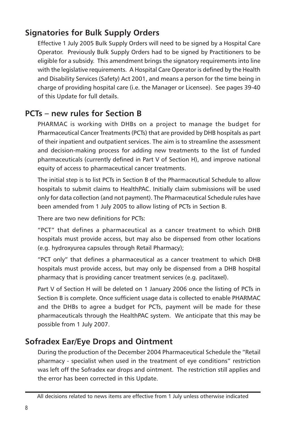# <span id="page-7-0"></span>**Signatories for Bulk Supply Orders**

Effective 1 July 2005 Bulk Supply Orders will need to be signed by a Hospital Care Operator. Previously Bulk Supply Orders had to be signed by Practitioners to be eligible for a subsidy. This amendment brings the signatory requirements into line with the legislative requirements. A Hospital Care Operator is defined by the Health and Disability Services (Safety) Act 2001, and means a person for the time being in charge of providing hospital care (i.e. the Manager or Licensee). See pages 39-40 of this Update for full details.

## **PCTs – new rules for Section B**

PHARMAC is working with DHBs on a project to manage the budget for Pharmaceutical Cancer Treatments (PCTs) that are provided by DHB hospitals as part of their inpatient and outpatient services. The aim is to streamline the assessment and decision-making process for adding new treatments to the list of funded pharmaceuticals (currently defined in Part V of Section H), and improve national equity of access to pharmaceutical cancer treatments.

The initial step is to list PCTs in Section B of the Pharmaceutical Schedule to allow hospitals to submit claims to HealthPAC. Initially claim submissions will be used only for data collection (and not payment). The Pharmaceutical Schedule rules have been amended from 1 July 2005 to allow listing of PCTs in Section B.

There are two new definitions for PCTs:

"PCT" that defines a pharmaceutical as a cancer treatment to which DHB hospitals must provide access, but may also be dispensed from other locations (e.g. hydroxyurea capsules through Retail Pharmacy);

"PCT only" that defines a pharmaceutical as a cancer treatment to which DHB hospitals must provide access, but may only be dispensed from a DHB hospital pharmacy that is providing cancer treatment services (e.g. paclitaxel).

Part V of Section H will be deleted on 1 January 2006 once the listing of PCTs in Section B is complete. Once sufficient usage data is collected to enable PHARMAC and the DHBs to agree a budget for PCTs, payment will be made for these pharmaceuticals through the HealthPAC system. We anticipate that this may be possible from 1 July 2007.

# **Sofradex Ear/Eye Drops and Ointment**

During the production of the December 2004 Pharmaceutical Schedule the "Retail pharmacy - specialist when used in the treatment of eye conditions" restriction was left off the Sofradex ear drops and ointment. The restriction still applies and the error has been corrected in this Update.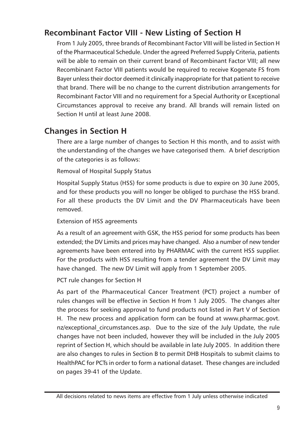# <span id="page-8-0"></span>**Recombinant Factor VIII - New Listing of Section H**

From 1 July 2005, three brands of Recombinant Factor VIII will be listed in Section H of the Pharmaceutical Schedule. Under the agreed Preferred Supply Criteria, patients will be able to remain on their current brand of Recombinant Factor VIII; all new Recombinant Factor VIII patients would be required to receive Kogenate FS from Bayer unless their doctor deemed it clinically inappropriate for that patient to receive that brand. There will be no change to the current distribution arrangements for Recombinant Factor VIII and no requirement for a Special Authority or Exceptional Circumstances approval to receive any brand. All brands will remain listed on Section H until at least June 2008.

# **Changes in Section H**

There are a large number of changes to Section H this month, and to assist with the understanding of the changes we have categorised them. A brief description of the categories is as follows:

Removal of Hospital Supply Status

Hospital Supply Status (HSS) for some products is due to expire on 30 June 2005, and for these products you will no longer be obliged to purchase the HSS brand. For all these products the DV Limit and the DV Pharmaceuticals have been removed.

Extension of HSS agreements

As a result of an agreement with GSK, the HSS period for some products has been extended; the DV Limits and prices may have changed. Also a number of new tender agreements have been entered into by PHARMAC with the current HSS supplier. For the products with HSS resulting from a tender agreement the DV Limit may have changed. The new DV Limit will apply from 1 September 2005.

PCT rule changes for Section H

As part of the Pharmaceutical Cancer Treatment (PCT) project a number of rules changes will be effective in Section H from 1 July 2005. The changes alter the process for seeking approval to fund products not listed in Part V of Section H. The new process and application form can be found at www.pharmac.govt. nz/exceptional circumstances.asp. Due to the size of the July Update, the rule changes have not been included, however they will be included in the July 2005 reprint of Section H, which should be available in late July 2005. In addition there are also changes to rules in Section B to permit DHB Hospitals to submit claims to HealthPAC for PCTs in order to form a national dataset. These changes are included on pages 39-41 of the Update.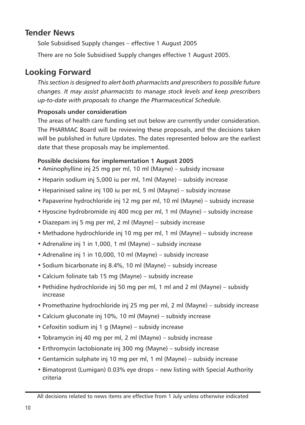## <span id="page-9-0"></span>**Tender News**

Sole Subsidised Supply changes – effective 1 August 2005

There are no Sole Subsidised Supply changes effective 1 August 2005.

# **Looking Forward**

*This section is designed to alert both pharmacists and prescribers to possible future changes. It may assist pharmacists to manage stock levels and keep prescribers up-to-date with proposals to change the Pharmaceutical Schedule.*

## **Proposals under consideration**

The areas of health care funding set out below are currently under consideration. The PHARMAC Board will be reviewing these proposals, and the decisions taken will be published in future Updates. The dates represented below are the earliest date that these proposals may be implemented.

## **Possible decisions for implementation 1 August 2005**

- Aminophylline inj 25 mg per ml, 10 ml (Mayne) subsidy increase
- Heparin sodium inj 5,000 iu per ml, 1ml (Mayne) subsidy increase
- Heparinised saline inj 100 iu per ml, 5 ml (Mayne) subsidy increase
- Papaverine hydrochloride inj 12 mg per ml, 10 ml (Mayne) subsidy increase
- Hyoscine hydrobromide inj 400 mcg per ml, 1 ml (Mayne) subsidy increase
- Diazepam inj 5 mg per ml, 2 ml (Mayne) subsidy increase
- Methadone hydrochloride inj 10 mg per ml, 1 ml (Mayne) subsidy increase
- Adrenaline inj 1 in 1,000, 1 ml (Mayne) subsidy increase
- Adrenaline inj 1 in 10,000, 10 ml (Mayne) subsidy increase
- Sodium bicarbonate inj 8.4%, 10 ml (Mayne) subsidy increase
- Calcium folinate tab 15 mg (Mayne) subsidy increase
- Pethidine hydrochloride inj 50 mg per ml, 1 ml and 2 ml (Mayne) subsidy increase
- Promethazine hydrochloride inj 25 mg per ml, 2 ml (Mayne) subsidy increase
- Calcium gluconate inj 10%, 10 ml (Mayne) subsidy increase
- Cefoxitin sodium inj 1 g (Mayne) subsidy increase
- Tobramycin inj 40 mg per ml, 2 ml (Mayne) subsidy increase
- Erthromycin lactobionate inj 300 mg (Mayne) subsidy increase
- Gentamicin sulphate inj 10 mg per ml, 1 ml (Mayne) subsidy increase
- Bimatoprost (Lumigan) 0.03% eye drops new listing with Special Authority criteria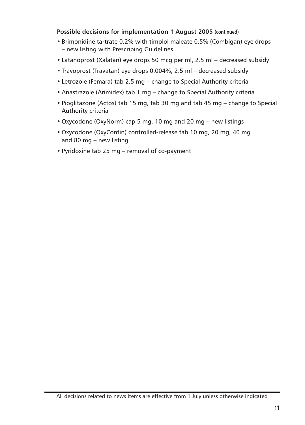## **Possible decisions for implementation 1 August 2005 (continued)**

- Brimonidine tartrate 0.2% with timolol maleate 0.5% (Combigan) eye drops – new listing with Prescribing Guidelines
- Latanoprost (Xalatan) eye drops 50 mcg per ml, 2.5 ml decreased subsidy
- Travoprost (Travatan) eye drops 0.004%, 2.5 ml decreased subsidy
- Letrozole (Femara) tab 2.5 mg change to Special Authority criteria
- Anastrazole (Arimidex) tab 1 mg change to Special Authority criteria
- Pioglitazone (Actos) tab 15 mg, tab 30 mg and tab 45 mg change to Special Authority criteria
- Oxycodone (OxyNorm) cap 5 mg, 10 mg and 20 mg new listings
- Oxycodone (OxyContin) controlled-release tab 10 mg, 20 mg, 40 mg and 80 mg – new listing
- Pyridoxine tab 25 mg removal of co-payment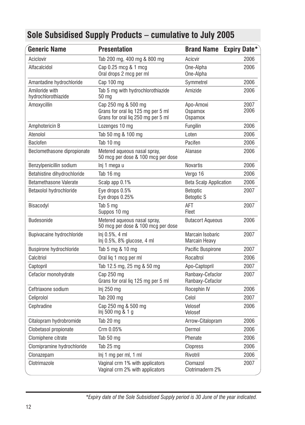<span id="page-11-0"></span>

| <b>Generic Name</b>                   | <b>Presentation</b>                                                                             | <b>Brand Name</b>                        | <b>Expiry Date*</b> |
|---------------------------------------|-------------------------------------------------------------------------------------------------|------------------------------------------|---------------------|
| Aciclovir                             | Tab 200 mg, 400 mg & 800 mg                                                                     | Acicvir                                  | 2006                |
| Alfacalcidol                          | Cap 0.25 mcg & 1 mcg<br>Oral drops 2 mcg per ml                                                 | One-Alpha<br>One-Alpha                   | 2006                |
| Amantadine hydrochloride              | Cap 100 mg                                                                                      | Symmetrel                                | 2006                |
| Amiloride with<br>hydrochlorothiazide | Tab 5 mg with hydrochlorothiazide<br>50 mg                                                      | Amizide                                  | 2006                |
| Amoxycillin                           | Cap 250 mg & 500 mg<br>Grans for oral lig 125 mg per 5 ml<br>Grans for oral liq 250 mg per 5 ml | Apo-Amoxi<br>Ospamox<br>Ospamox          | 2007<br>2006        |
| Amphotericin B                        | Lozenges 10 mg                                                                                  | Fungilin                                 | 2006                |
| Atenolol                              | Tab 50 mg & 100 mg                                                                              | Loten                                    | 2006                |
| <b>Baclofen</b>                       | Tab 10 mg                                                                                       | Pacifen                                  | 2006                |
| Beclomethasone dipropionate           | Metered aqueous nasal spray,<br>50 mcg per dose & 100 mcg per dose                              | Alanase                                  | 2006                |
| Benzylpenicillin sodium               | lni 1 mega u                                                                                    | <b>Novartis</b>                          | 2006                |
| Betahistine dihydrochloride           | Tab 16 mg                                                                                       | Vergo 16                                 | 2006                |
| Betamethasone Valerate                | Scalp app 0.1%                                                                                  | <b>Beta Scalp Application</b>            | 2006                |
| Betaxolol hydrochloride               | Eye drops 0.5%<br>Eye drops 0.25%                                                               | <b>Betoptic</b><br><b>Betoptic S</b>     | 2007                |
| Bisacodyl                             | Tab 5 mg<br>Suppos 10 mg                                                                        | AFT<br>Fleet                             | 2007                |
| Budesonide                            | Metered aqueous nasal spray,<br>50 mcg per dose & 100 mcg per dose                              | <b>Butacort Aqueous</b>                  | 2006                |
| Bupivacaine hydrochloride             | Inj 0.5%, 4 ml<br>Inj 0.5%, 8% glucose, 4 ml                                                    | Marcain Isobaric<br><b>Marcain Heavy</b> | 2007                |
| Buspirone hydrochloride               | Tab 5 mg & 10 mg                                                                                | Pacific Buspirone                        | 2007                |
| Calcitriol                            | Oral lig 1 mcg per ml                                                                           | Rocaltrol                                | 2006                |
| Captopril                             | Tab 12.5 mg, 25 mg & 50 mg                                                                      | Apo-Captopril                            | 2007                |
| Cefaclor monohydrate                  | Cap 250 mg<br>Grans for oral liq 125 mg per 5 ml                                                | Ranbaxy-Cefaclor<br>Ranbaxy-Cefaclor     | 2007                |
| Ceftriaxone sodium                    | Inj 250 mg                                                                                      | Rocephin IV                              | 2006                |
| Celiprolol                            | Tab 200 mg                                                                                      | Celol                                    | 2007                |
| Cephradine                            | Cap 250 mg & 500 mg<br>lnj 500 mg & 1 g                                                         | Velosef<br>Velosef                       | 2006                |
| Citalopram hydrobromide               | Tab 20 mg                                                                                       | Arrow-Citalopram                         | 2006                |
| Clobetasol propionate                 | Crm 0.05%                                                                                       | Dermol                                   | 2006                |
| Clomiphene citrate                    | Tab 50 mg                                                                                       | Phenate                                  | 2006                |
| Clomipramine hydrochloride            | Tab 25 mg                                                                                       | Clopress                                 | 2006                |
| Clonazepam                            | Inj 1 mg per ml, 1 ml                                                                           | Rivotril                                 | 2006                |
| Clotrimazole                          | Vaginal crm 1% with applicators<br>Vaginal crm 2% with applicators                              | Clomazol<br>Clotrimaderm 2%              | 2007                |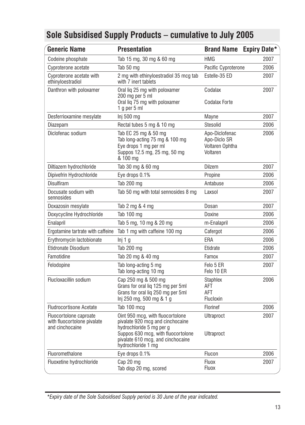| <b>Generic Name</b>                                                      | <b>Presentation</b>                                                                                                                                                                               | <b>Brand Name</b>                                             | <b>Expiry Date*</b> |
|--------------------------------------------------------------------------|---------------------------------------------------------------------------------------------------------------------------------------------------------------------------------------------------|---------------------------------------------------------------|---------------------|
| Codeine phosphate                                                        | Tab 15 mg, 30 mg & 60 mg                                                                                                                                                                          | <b>HMG</b>                                                    | 2007                |
| Cyproterone acetate                                                      | Tab 50 mg                                                                                                                                                                                         | Pacific Cyproterone                                           | 2006                |
| Cyproterone acetate with<br>ethinyloestradiol                            | 2 mg with ethinyloestradiol 35 mcg tab<br>with 7 inert tablets                                                                                                                                    | Estelle-35 ED                                                 |                     |
| Danthron with poloxamer                                                  | Oral lig 25 mg with poloxamer<br>200 mg per 5 ml<br>Oral liq 75 mg with poloxamer<br>1 q per 5 ml                                                                                                 | Codalax<br><b>Codalax Forte</b>                               | 2007                |
| Desferrioxamine mesylate                                                 | Inj 500 mg                                                                                                                                                                                        | Mayne                                                         | 2007                |
| Diazepam                                                                 | Rectal tubes 5 mg & 10 mg                                                                                                                                                                         | Stesolid                                                      | 2006                |
| Diclofenac sodium                                                        | Tab EC 25 mg & 50 mg<br>Tab long-acting 75 mg & 100 mg<br>Eye drops 1 mg per ml<br>Suppos 12.5 mg, 25 mg, 50 mg<br>& 100 mg                                                                       | Apo-Diclofenac<br>Apo-Diclo SR<br>Voltaren Ophtha<br>Voltaren | 2006                |
| Diltiazem hydrochloride                                                  | Tab 30 mg & 60 mg                                                                                                                                                                                 | Dilzem                                                        | 2007                |
| Dipivefrin Hydrochloride                                                 | Eye drops 0.1%                                                                                                                                                                                    | Propine                                                       | 2006                |
| Disulfiram                                                               | Tab 200 mg                                                                                                                                                                                        | Antabuse                                                      | 2006                |
| Docusate sodium with<br>sennosides                                       | Tab 50 mg with total sennosides 8 mg                                                                                                                                                              | Laxsol                                                        | 2007                |
| Doxazosin mesylate                                                       | Tab 2 mg & 4 mg                                                                                                                                                                                   | Dosan                                                         | 2007                |
| Doxycycline Hydrochloride                                                | Tab 100 mg                                                                                                                                                                                        | Doxine                                                        | 2006                |
| Enalapril                                                                | Tab 5 mg, 10 mg & 20 mg                                                                                                                                                                           | m-Enalapril                                                   | 2006                |
| Ergotamine tartrate with caffeine                                        | Tab 1 mg with caffeine 100 mg                                                                                                                                                                     | Cafergot                                                      | 2006                |
| Erythromycin lactobionate                                                | Inj 1 g                                                                                                                                                                                           | ERA                                                           | 2006                |
| Etidronate Disodium                                                      | Tab 200 mg                                                                                                                                                                                        | Etidrate                                                      | 2006                |
| Famotidine                                                               | Tab 20 mg & 40 mg                                                                                                                                                                                 | Famox                                                         | 2007                |
| Felodopine                                                               | Tab long-acting 5 mg<br>Tab long-acting 10 mg                                                                                                                                                     | Felo 5 ER<br>Felo 10 ER                                       | 2007                |
| Flucloxacillin sodium                                                    | Cap 250 mg & 500 mg<br>Grans for oral lig 125 mg per 5ml<br>Grans for oral lig 250 mg per 5ml<br>lnj 250 mg, 500 mg & 1 g                                                                         | <b>Staphlex</b><br>AFT<br>AFT<br>Flucloxin                    | 2006                |
| <b>Fludrocortisone Acetate</b>                                           | Tab 100 mcg                                                                                                                                                                                       | Florinef                                                      | 2006                |
| Fluocortolone caproate<br>with fluocortolone pivalate<br>and cinchocaine | Oint 950 mcg, with fluocortolone<br>pivalate 920 mcg and cinchocaine<br>hydrochloride 5 mg per g<br>Suppos 630 mcg, with fluocortolone<br>pivalate 610 mcg, and cinchocaine<br>hydrochloride 1 mg | <b>Ultraproct</b><br><b>Ultraproct</b>                        | 2007                |
| Fluoromethalone                                                          | Eye drops 0.1%                                                                                                                                                                                    | Flucon                                                        | 2006                |
| Fluoxetine hydrochloride                                                 | Cap 20 mg<br>Tab disp 20 mg, scored                                                                                                                                                               | Fluox<br><b>Fluox</b>                                         | 2007                |

*\*Expiry date of the Sole Subsidised Supply period is 30 June of the year indicated.*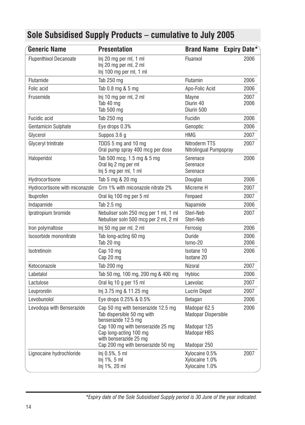| <b>Generic Name</b>            | <b>Presentation</b>                                                                                                                                    | Brand Name Expiry Date*                                           |              |
|--------------------------------|--------------------------------------------------------------------------------------------------------------------------------------------------------|-------------------------------------------------------------------|--------------|
| <b>Flupenthixol Decanoate</b>  | Inj 20 mg per ml, 1 ml<br>Inj 20 mg per ml, 2 ml<br>Inj 100 mg per ml, 1 ml                                                                            | Fluanxol                                                          | 2006         |
| Flutamide                      | Tab 250 mg                                                                                                                                             | <b>Flutamin</b>                                                   | 2006         |
| Folic acid                     | Tab 0.8 mg & 5 mg                                                                                                                                      | Apo-Folic Acid                                                    | 2006         |
| Frusemide                      | Inj 10 mg per ml, 2 ml<br>Tab 40 mg<br>Tab 500 mg                                                                                                      | Mayne<br>Diurin 40<br>Diurin 500                                  | 2007<br>2006 |
| Fucidic acid                   | Tab 250 mg                                                                                                                                             | Fucidin                                                           | 2006         |
| Gentamicin Sulphate            | Eye drops 0.3%                                                                                                                                         | Genoptic                                                          | 2006         |
| Glycerol                       | Suppos 3.6 g                                                                                                                                           | <b>HMG</b>                                                        | 2007         |
| Glyceryl trinitrate            | TDDS 5 mg and 10 mg<br>Oral pump spray 400 mcg per dose                                                                                                | Nitroderm TTS<br>Nitrolingual Pumpspray                           | 2007         |
| Haloperidol                    | Tab 500 mcg, 1.5 mg & 5 mg<br>Oral lig 2 mg per ml<br>Inj 5 mg per ml, 1 ml                                                                            | Serenace<br>Serenace<br>Serenace                                  | 2006         |
| Hydrocortisone                 | Tab 5 mg & 20 mg                                                                                                                                       | Douglas                                                           | 2006         |
| Hydrocortisone with miconazole | Crm 1% with miconazole nitrate 2%                                                                                                                      | Micreme H                                                         | 2007         |
| Ibuprofen                      | Oral lig 100 mg per 5 ml                                                                                                                               | Fenpaed                                                           | 2007         |
| Indapamide                     | Tab 2.5 mg                                                                                                                                             | Napamide                                                          | 2006         |
| Ipratropium bromide            | Nebuliser soln 250 mcg per 1 ml, 1 ml<br>Nebuliser soln 500 mcg per 2 ml, 2 ml                                                                         | Steri-Neb<br>Steri-Neb                                            | 2007         |
| Iron polymaltose               | Inj 50 mg per ml, 2 ml                                                                                                                                 | Ferrosig                                                          | 2006         |
| Isosorbide mononitrate         | Tab long-acting 60 mg<br>Tab 20 mg                                                                                                                     | <b>Duride</b><br>Ismo-20                                          | 2006<br>2006 |
| Isotretinoin                   | Cap 10 mg<br>Cap 20 mg                                                                                                                                 | Isotane 10<br><b>Isotane 20</b>                                   | 2006         |
| Ketoconazole                   | Tab 200 mg                                                                                                                                             | Nizoral                                                           | 2007         |
| Labetalol                      | Tab 50 mg, 100 mg, 200 mg & 400 mg                                                                                                                     | Hybloc                                                            | 2006         |
| Lactulose                      | Oral liq 10 g per 15 ml                                                                                                                                | Laevolac                                                          | 2007         |
| Leuprorelin                    | Inj 3.75 mg & 11.25 mg                                                                                                                                 | <b>Lucrin Depot</b>                                               | 2007         |
| Levobunolol                    | Eye drops 0.25% & 0.5%                                                                                                                                 | Betagan                                                           | 2006         |
| Levodopa with Benserazide      | Cap 50 mg with benserazide 12.5 mg<br>Tab dispersible 50 mg with<br>benserazide 12.5 mg<br>Cap 100 mg with benserazide 25 mg<br>Cap long-acting 100 mg | Madopar 62.5<br>Madopar Dispersible<br>Madopar 125<br>Madopar HBS | 2006         |
|                                | with benserazide 25 mg<br>Cap 200 mg with benserazide 50 mg                                                                                            | Madopar 250                                                       |              |
| Lignocaine hydrochloride       | Inj 0.5%, 5 ml<br>Inj 1%, 5 ml<br>Inj 1%, 20 ml                                                                                                        | Xylocaine 0.5%<br>Xylocaine 1.0%<br>Xylocaine 1.0%                | 2007         |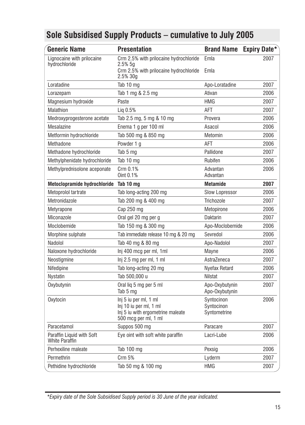| <b>Generic Name</b>                                | <b>Presentation</b>                                                                                          | Brand Name Expiry Date*                  |      |
|----------------------------------------------------|--------------------------------------------------------------------------------------------------------------|------------------------------------------|------|
| Lignocaine with prilocaine<br>hydrochloride        | Crm 2.5% with prilocaine hydrochloride<br>$2.5\%$ 5a<br>Crm 2.5% with prilocaine hydrochloride               | Emla<br>Emla                             | 2007 |
|                                                    | 2.5% 30g                                                                                                     |                                          |      |
| Loratadine                                         | Tab 10 mg                                                                                                    | Apo-Loratadine                           | 2007 |
| Lorazepam                                          | Tab 1 mg & 2.5 mg                                                                                            | Ativan                                   | 2006 |
| Magnesium hydroxide                                | Paste                                                                                                        | <b>HMG</b>                               | 2007 |
| Malathion                                          | Liq 0.5%                                                                                                     | AFT                                      | 2007 |
| Medroxyprogesterone acetate                        | Tab 2.5 mg, 5 mg & 10 mg                                                                                     | Provera                                  | 2006 |
| Mesalazine                                         | Enema 1 g per 100 ml                                                                                         | Asacol                                   | 2006 |
| Metformin hydrochloride                            | Tab 500 mg & 850 mg                                                                                          | Metomin                                  | 2006 |
| Methadone                                          | Powder 1 g                                                                                                   | AFT                                      | 2006 |
| Methadone hydrochloride                            | Tab 5 mg                                                                                                     | Pallidone                                | 2007 |
| Methylphenidate hydrochloride                      | Tab 10 mg                                                                                                    | Rubifen                                  | 2006 |
| Methylprednisolone aceponate                       | Crm 0.1%<br>Oint 0.1%                                                                                        | Advantan<br>Advantan                     | 2006 |
| Metoclopramide hydrochloride Tab 10 mg             |                                                                                                              | <b>Metamide</b>                          | 2007 |
| Metoprolol tartrate                                | Tab long-acting 200 mg                                                                                       | <b>Slow Lopressor</b>                    | 2006 |
| Metronidazole                                      | Tab 200 mg & 400 mg                                                                                          | Trichozole                               | 2007 |
| Metyrapone                                         | Cap 250 mg                                                                                                   | Metopirone                               | 2006 |
| Miconazole                                         | Oral gel 20 mg per g                                                                                         | <b>Daktarin</b>                          | 2007 |
| Moclobemide                                        | Tab 150 mg & 300 mg                                                                                          | Apo-Moclobemide                          | 2006 |
| Morphine sulphate                                  | Tab immediate release 10 mg & 20 mg                                                                          | Sevredol                                 | 2006 |
| Nadolol                                            | Tab 40 mg & 80 mg                                                                                            | Apo-Nadolol                              | 2007 |
| Naloxone hydrochloride                             | Inj 400 mcg per ml, 1ml                                                                                      | Mayne                                    | 2006 |
| Neostigmine                                        | Inj 2.5 mg per ml, 1 ml                                                                                      | AstraZeneca                              | 2007 |
| Nifedipine                                         | Tab long-acting 20 mg                                                                                        | Nyefax Retard                            | 2006 |
| <b>Nystatin</b>                                    | Tab 500,000 u                                                                                                | <b>Nilstat</b>                           | 2007 |
| Oxybutynin                                         | Oral lig 5 mg per 5 ml<br>Tab 5 mg                                                                           | Apo-Oxybutynin<br>Apo-Oxybutynin         | 2007 |
| Oxytocin                                           | Inj 5 iu per ml, 1 ml<br>Inj 10 iu per ml, 1 ml<br>Inj 5 iu with ergometrine maleate<br>500 mcg per ml, 1 ml | Syntocinon<br>Syntocinon<br>Syntometrine | 2006 |
| Paracetamol                                        | Suppos 500 mg                                                                                                | Paracare                                 | 2007 |
| Paraffin Liquid with Soft<br><b>White Paraffin</b> | Eye oint with soft white paraffin                                                                            | Lacri-Lube                               | 2006 |
| Perhexiline maleate                                | Tab 100 mg                                                                                                   | Pexsig                                   | 2006 |
| Permethrin                                         | Crm 5%                                                                                                       | Lyderm                                   | 2007 |
| Pethidine hydrochloride                            | Tab 50 mg & 100 mg                                                                                           | <b>HMG</b>                               | 2007 |

*\*Expiry date of the Sole Subsidised Supply period is 30 June of the year indicated.*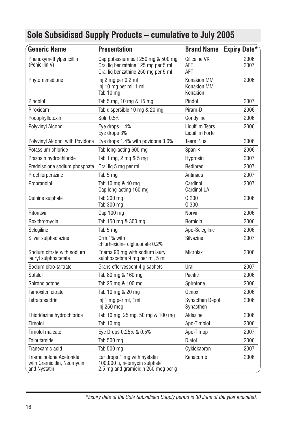| <b>Generic Name</b>                                                  | <b>Presentation</b>                                                                                              | <b>Brand Name</b>                                    | Expiry Date* |
|----------------------------------------------------------------------|------------------------------------------------------------------------------------------------------------------|------------------------------------------------------|--------------|
| Phenoxymethylpenicillin<br>(Penicillin V)                            | Cap potassium salt 250 mg & 500 mg<br>Oral lig benzathine 125 mg per 5 ml<br>Oral lig benzathine 250 mg per 5 ml | Cilicaine VK<br>AFT<br>AFT                           | 2006<br>2007 |
| Phytomenadione                                                       | Inj 2 mg per 0.2 ml<br>Inj 10 mg per ml, 1 ml<br>Tab 10 mg                                                       | <b>Konakion MM</b><br><b>Konakion MM</b><br>Konakion | 2006         |
| Pindolol                                                             | Tab 5 mg, 10 mg & 15 mg                                                                                          | Pindol                                               | 2007         |
| Piroxicam                                                            | Tab dispersible 10 mg & 20 mg                                                                                    | Piram-D                                              | 2006         |
| Podophyllotoxin                                                      | Soln 0.5%                                                                                                        | Condyline                                            | 2006         |
| Polyvinyl Alcohol                                                    | Eye drops 1.4%<br>Eye drops 3%                                                                                   | Liquifilm Tears<br>Liquifilm Forte                   | 2006         |
| Polyvinyl Alcohol with Povidone                                      | Eye drops 1.4% with povidone 0.6%                                                                                | <b>Tears Plus</b>                                    | 2006         |
| Potassium chloride                                                   | Tab long-acting 600 mg                                                                                           | Span-K                                               | 2006         |
| Prazosin hydrochloride                                               | Tab 1 mg, 2 mg & 5 mg                                                                                            | Hyprosin                                             | 2007         |
| Prednisolone sodium phosphate                                        | Oral liq 5 mg per ml                                                                                             | Redipred                                             | 2007         |
| Prochlorperazine                                                     | Tab 5 mg                                                                                                         | Antinaus                                             | 2007         |
| Propranolol                                                          | Tab 10 mg & 40 mg<br>Cap long-acting 160 mg                                                                      | Cardinol<br>Cardinol LA                              | 2007         |
| Quinine sulphate                                                     | Tab 200 mg<br>Tab 300 mg                                                                                         | Q200<br>Q 300                                        | 2006         |
| Ritonavir                                                            | Cap 100 mg                                                                                                       | Norvir                                               | 2006         |
| Roxithromycin                                                        | Tab 150 mg & 300 mg                                                                                              | Romicin                                              | 2006         |
| Selegiline                                                           | Tab 5 mg                                                                                                         | Apo-Selegiline                                       | 2006         |
| Silver sulphadiazine                                                 | Crm 1% with<br>chlorhexidine digluconate 0.2%                                                                    | Silvazine                                            | 2007         |
| Sodium citrate with sodium<br>lauryl sulphoacetate                   | Enema 90 mg with sodium lauryl<br>sulphoacetate 9 mg per ml, 5 ml                                                | <b>Microlax</b>                                      | 2006         |
| Sodium citro-tartrate                                                | Grans effervescent 4 g sachets                                                                                   | Ural                                                 | 2007         |
| Sotalol                                                              | Tab 80 mg & 160 mg                                                                                               | Pacific                                              | 2006         |
| Spironolactone                                                       | Tab 25 mg & 100 mg                                                                                               | Spirotone                                            | 2006         |
| Tamoxifen citrate                                                    | Tab 10 mg & 20 mg                                                                                                | Genox                                                | 2006         |
| Tetracosactrin                                                       | Inj 1 mg per ml, 1ml<br>Inj 250 mcg                                                                              | <b>Synacthen Depot</b><br>Synacthen                  | 2006         |
| Thioridazine hydrochloride                                           | Tab 10 mg, 25 mg, 50 mg & 100 mg                                                                                 | Aldazine                                             | 2006         |
| Timolol                                                              | Tab 10 mg                                                                                                        | Apo-Timolol                                          | 2006         |
| Timolol maleate                                                      | Eye Drops 0.25% & 0.5%                                                                                           | Apo-Timop                                            | 2007         |
| Tolbutamide                                                          | Tab 500 mg                                                                                                       | Diatol                                               | 2006         |
| Tranexamic acid                                                      | Tab 500 mg                                                                                                       | Cyklokapron                                          | 2007         |
| Triamcinolone Acetonide<br>with Gramicidin, Neomycin<br>and Nystatin | Ear drops 1 mg with nystatin<br>100,000 u, neomycin sulphate<br>2.5 mg and gramicidin 250 mcg per g              | Kenacomb                                             | 2006         |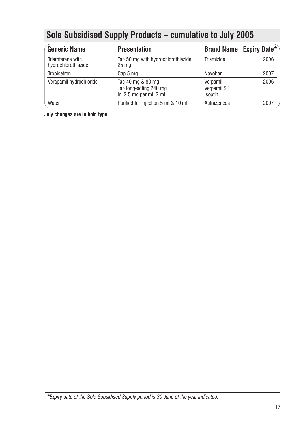| <b>Generic Name</b>                     | <b>Presentation</b>                                                    |                                    | Brand Name Expiry Date* |
|-----------------------------------------|------------------------------------------------------------------------|------------------------------------|-------------------------|
| Triamterene with<br>hydrochlorothiazide | Tab 50 mg with hydrochlorothiazide<br>25 <sub>mg</sub>                 | Triamizide                         | 2006                    |
| Tropisetron                             | Cap 5 mg                                                               | Navoban                            | 2007                    |
| Verapamil hydrochloride                 | Tab 40 mg & 80 mg<br>Tab long-acting 240 mg<br>Inj 2.5 mg per ml, 2 ml | Verpamil<br>Verpamil SR<br>Isoptin | 2006                    |
| Water                                   | Purified for injection 5 ml & 10 ml                                    | AstraZeneca                        | 2007                    |

**July changes are in bold type**

*\*Expiry date of the Sole Subsidised Supply period is 30 June of the year indicated.*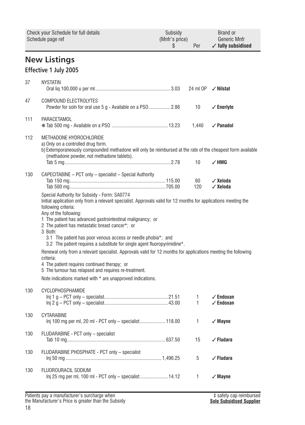<span id="page-17-0"></span>

|     | Check your Schedule for full details<br>Schedule page ref                                                                                                                                                                                                                                                                                                                                                                                                                                                                                                                                                                                                                                                                                                                                                | Subsidy<br>(Mnfr's price)<br>\$ | Per       | Brand or<br><b>Generic Mnfr</b><br>$\checkmark$ fully subsidised |
|-----|----------------------------------------------------------------------------------------------------------------------------------------------------------------------------------------------------------------------------------------------------------------------------------------------------------------------------------------------------------------------------------------------------------------------------------------------------------------------------------------------------------------------------------------------------------------------------------------------------------------------------------------------------------------------------------------------------------------------------------------------------------------------------------------------------------|---------------------------------|-----------|------------------------------------------------------------------|
|     | <b>New Listings</b><br>Effective 1 July 2005                                                                                                                                                                                                                                                                                                                                                                                                                                                                                                                                                                                                                                                                                                                                                             |                                 |           |                                                                  |
| 37  | <b>NYSTATIN</b>                                                                                                                                                                                                                                                                                                                                                                                                                                                                                                                                                                                                                                                                                                                                                                                          |                                 | 24 ml OP  | $\sqrt{}$ Nilstat                                                |
| 47  | COMPOUND ELECTROLYTES<br>Powder for soln for oral use 5 g - Available on a PSO 2.86                                                                                                                                                                                                                                                                                                                                                                                                                                                                                                                                                                                                                                                                                                                      |                                 | 10        | $\checkmark$ Enerlyte                                            |
| 111 | PARACETAMOL                                                                                                                                                                                                                                                                                                                                                                                                                                                                                                                                                                                                                                                                                                                                                                                              |                                 | 1,440     | $\checkmark$ Panadol                                             |
| 112 | METHADONE HYDROCHLORIDE<br>a) Only on a controlled drug form.<br>b) Extemporaneously compounded methadone will only be reimbursed at the rate of the cheapest form available<br>(methadone powder, not methadone tablets).                                                                                                                                                                                                                                                                                                                                                                                                                                                                                                                                                                               |                                 | 10        | $\checkmark$ HMG                                                 |
| 130 | CAPECITABINE - PCT only - specialist - Special Authority<br>Special Authority for Subsidy - Form: SA0774<br>Initial application only from a relevant specialist. Approvals valid for 12 months for applications meeting the<br>following criteria:<br>Any of the following:<br>1 The patient has advanced gastrointestinal malignancy; or<br>2 The patient has metastatic breast cancer*; or<br>3 Both:<br>3.1 The patient has poor venous access or needle phobia <sup>*</sup> ; and<br>3.2 The patient requires a substitute for single agent fluoropyrimidine*.<br>Renewal only from a relevant specialist. Approvals valid for 12 months for applications meeting the following<br>criteria:<br>4 The patient requires continued therapy; or<br>5 The tumour has relapsed and requires re-treatment. |                                 | 60<br>120 | √ Xeloda<br>√ Xeloda                                             |
| 130 | Note indications marked with * are unapproved indications.<br>CYCLOPHOSPHAMIDE                                                                                                                                                                                                                                                                                                                                                                                                                                                                                                                                                                                                                                                                                                                           |                                 | 1<br>1    | $\checkmark$ Endoxan<br>$\checkmark$ Endoxan                     |
| 130 | CYTARABINE<br>lnj 100 mg per ml, 20 ml - PCT only – specialist 118.00                                                                                                                                                                                                                                                                                                                                                                                                                                                                                                                                                                                                                                                                                                                                    |                                 | 1         | $\sqrt{M}$ ayne                                                  |
| 130 | FLUDARABINE - PCT only - specialist                                                                                                                                                                                                                                                                                                                                                                                                                                                                                                                                                                                                                                                                                                                                                                      |                                 | 15        | √ Fludara                                                        |
| 130 | FLUDARABINE PHOSPHATE - PCT only - specialist                                                                                                                                                                                                                                                                                                                                                                                                                                                                                                                                                                                                                                                                                                                                                            |                                 | 5         | √ Fludara                                                        |
| 130 | FLUOROURACIL SODIUM<br>Inj 25 mg per ml, 100 ml - PCT only - specialist 14.12                                                                                                                                                                                                                                                                                                                                                                                                                                                                                                                                                                                                                                                                                                                            |                                 | 1         | $\checkmark$ Mayne                                               |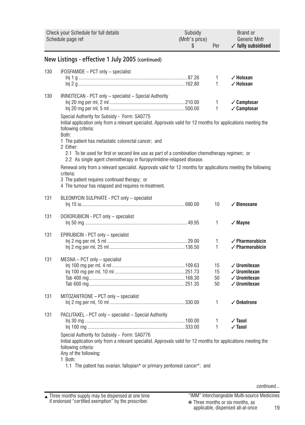| Check your Schedule for full details<br>Schedule page ref |                                                                                                                                                                                                                                                                                                                                                                                                                           | Subsidy<br>(Mnfr's price)<br>\$ | Per                  | <b>Brand or</b><br>Generic Mnfr<br>$\checkmark$ fully subsidised                                         |
|-----------------------------------------------------------|---------------------------------------------------------------------------------------------------------------------------------------------------------------------------------------------------------------------------------------------------------------------------------------------------------------------------------------------------------------------------------------------------------------------------|---------------------------------|----------------------|----------------------------------------------------------------------------------------------------------|
|                                                           | New Listings - effective 1 July 2005 (continued)                                                                                                                                                                                                                                                                                                                                                                          |                                 |                      |                                                                                                          |
| 130                                                       | IFOSFAMIDE - PCT only - specialist                                                                                                                                                                                                                                                                                                                                                                                        |                                 | 1<br>$\mathbf{1}$    | $\angle$ Holoxan<br>$\checkmark$ Holoxan                                                                 |
| 130                                                       | IRINOTECAN - PCT only - specialist - Special Authority<br>Special Authority for Subsidy - Form: SA0775<br>Initial application only from a relevant specialist. Approvals valid for 12 months for applications meeting the<br>following criteria:<br>Both:<br>1 The patient has metastatic colorectal cancer; and                                                                                                          |                                 | 1<br>$\mathbf{1}$    | $\sqrt{\text{Camptosar}}$<br>√ Camptosar                                                                 |
|                                                           | 2 Either:<br>2.1 To be used for first or second line use as part of a combination chemotherapy regimen; or<br>2.2 As single agent chemotherapy in fluropyrimidine-relapsed disease.<br>Renewal only from a relevant specialist. Approvals valid for 12 months for applications meeting the following<br>criteria:<br>3 The patient requires continued therapy; or<br>4 The tumour has relapsed and requires re-treatment. |                                 |                      |                                                                                                          |
| 131                                                       | BLEOMYCIN SULPHATE - PCT only - specialist                                                                                                                                                                                                                                                                                                                                                                                |                                 | 10                   | $\checkmark$ Blenoxane                                                                                   |
| 131                                                       | DOXORUBICIN - PCT only - specialist                                                                                                                                                                                                                                                                                                                                                                                       |                                 | $\mathbf{1}$         | $\sqrt{M}$ ayne                                                                                          |
| 131                                                       | EPIRUBICIN - PCT only - specialist                                                                                                                                                                                                                                                                                                                                                                                        |                                 | 1<br>$\mathbf{1}$    | $\angle$ Pharmorubicin<br>$\checkmark$ Pharmorubicin                                                     |
| 131                                                       | $MESNA - PCT$ only $-$ specialist                                                                                                                                                                                                                                                                                                                                                                                         |                                 | 15<br>15<br>50<br>50 | $\checkmark$ Uromitexan<br>$\checkmark$ Uromitexan<br>$\checkmark$ Uromitexan<br>$\checkmark$ Uromitexan |
| 131                                                       | MITOZANTRONE - PCT only - specialist                                                                                                                                                                                                                                                                                                                                                                                      |                                 | 1                    | $\checkmark$ Onkotrone                                                                                   |
| 131                                                       | PACLITAXEL - PCT only - specialist - Special Authority<br>Special Authority for Subsidy - Form: SA0776<br>Initial application only from a relevant specialist. Approvals valid for 12 months for applications meeting the<br>following criteria:<br>Any of the following:<br>1 Both:<br>1.1 The patient has ovarian, fallopian* or primary peritoneal cancer*; and                                                        |                                 | 1<br>1               | $\sqrt{}$ Taxol<br>$\sqrt{}$ Taxol                                                                       |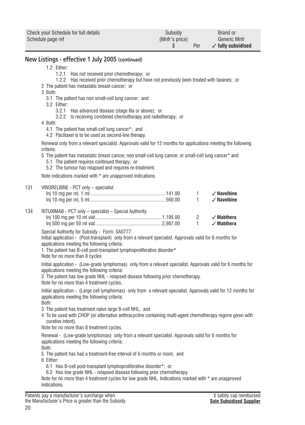| Check your Schedule for full details | Subsidy        | Brand or                      |
|--------------------------------------|----------------|-------------------------------|
| Schedule page ref                    | (Mnfr's price) | Generic Mnfr                  |
|                                      | Per            | $\checkmark$ fully subsidised |

### **New Listings - effective 1 July 2005 (continued)**

#### 1.2 Either:

- 1.2.1 Has not received prior chemotherapy; or
- 1.2.2 Has received prior chemotherapy but have not previously been treated with taxanes; or
- 2 The patient has metastatic breast cancer; or
- 3 Both:
	- 3.1 The patient has non small-cell lung cancer; and
	- 3.2 Either:
		- 3.2.1 Has advanced disease (stage IIIa or above); or
		- 3.2.2 Is receiving combined chemotherapy and radiotherapy; or
- 4 Both:
	- 4.1 The patient has small-cell lung cancer\*; and
	- 4.2 Paclitaxel is to be used as second-line therapy.

Renewal only from a relevant specialist. Approvals valid for 12 months for applications meeting the following criteria:

- 5 The patient has metastatic breast cancer, non small-cell lung cancer, or small-cell lung cancer\* and
	- 5.1 The patient requires continued therapy; or
- 5.2 The tumour has relapsed and requires re-treatment.

Note indications marked with \* are unapproved indications.

#### 131 VINORELBINE - PCT only – specialist

|     |                                                       | $\overline{1}$<br>$\sim$ 1 | $\checkmark$ Navelbine<br>$\checkmark$ Navelbine |
|-----|-------------------------------------------------------|----------------------------|--------------------------------------------------|
| 134 | RITUXIMAB - PCT only - specialist - Special Authority |                            |                                                  |
|     |                                                       | $\overline{2}$             | √ Mabthera                                       |
|     |                                                       | $\overline{1}$             | $\checkmark$ Mabthera                            |

Special Authority for Subsidy - Form: SA0777

Initial application - (Post-transplant) only from a relevant specialist. Approvals valid for 6 months for applications meeting the following criteria:

1 The patient has B-cell post-transplant lymphoproliferative disorder\*

Note for no more than 8 cycles

Initial application - (Low-grade lymphomas) only from a relevant specialist. Approvals valid for 6 months for applications meeting the following criteria:

2 The patient has low grade NHL - relapsed disease following prior chemotherapy. Note for no more than 4 treatment cycles.

Initial application - (Large cell lymphomas) only from a relevant specialist. Approvals valid for 12 months for applications meeting the following criteria:

- Both:
- 3 The patient has treatment naïve large B-cell NHL; and
- 4 To be used with CHOP (or alternative anthracycline containing multi-agent chemotherapy regime given with curative intent).

Note for no more than 8 treatment cycles.

Renewal - (Low-grade lymphomas) only from a relevant specialist. Approvals valid for 6 months for applications meeting the following criteria:

Both:

5 The patient has had a treatment-free interval of 6 months or more; and

6 Either:

- 6.1 Has B-cell post-transplant lymphoproliferative disorder\*; or
- 6.2 Has low grade NHL relapsed disease following prior chemotherapy.

Note for no more than 4 treatment cycles for low grade NHL. Indications marked with \* are unapproved indications.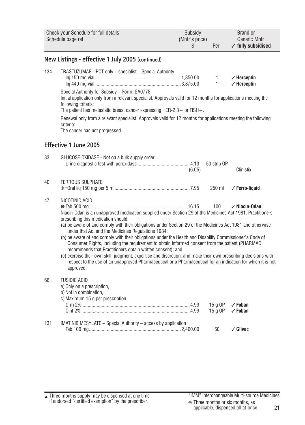|     | <b>Check your Schedule for full details</b><br>Schedule page ref                                                                                                                                                                                                                                                                                                                                                                                                                                                                                                                                                                                                                                                                                                                                                                                                     | Subsidy<br>(Mnfr's price)<br>\$ | Per                          | Brand or<br>Generic Mnfr<br>$\checkmark$ fully subsidised |
|-----|----------------------------------------------------------------------------------------------------------------------------------------------------------------------------------------------------------------------------------------------------------------------------------------------------------------------------------------------------------------------------------------------------------------------------------------------------------------------------------------------------------------------------------------------------------------------------------------------------------------------------------------------------------------------------------------------------------------------------------------------------------------------------------------------------------------------------------------------------------------------|---------------------------------|------------------------------|-----------------------------------------------------------|
|     | New Listings - effective 1 July 2005 (continued)                                                                                                                                                                                                                                                                                                                                                                                                                                                                                                                                                                                                                                                                                                                                                                                                                     |                                 |                              |                                                           |
| 134 | TRASTUZUMAB - PCT only - specialist - Special Authority<br>Special Authority for Subsidy - Form: SA0778<br>Initial application only from a relevant specialist. Approvals valid for 12 months for applications meeting the<br>following criteria:<br>The patient has metastatic breast cancer expressing HER-2 $3+$ or FISH +.<br>Renewal only from a relevant specialist. Approvals valid for 12 months for applications meeting the following<br>criteria:                                                                                                                                                                                                                                                                                                                                                                                                         |                                 | $\mathbf{1}$<br>$\mathbf{1}$ | $\checkmark$ Herceptin<br>$\checkmark$ Herceptin          |
|     | The cancer has not progressed.                                                                                                                                                                                                                                                                                                                                                                                                                                                                                                                                                                                                                                                                                                                                                                                                                                       |                                 |                              |                                                           |
|     | <b>Effective 1 June 2005</b>                                                                                                                                                                                                                                                                                                                                                                                                                                                                                                                                                                                                                                                                                                                                                                                                                                         |                                 |                              |                                                           |
| 33  | GLUCOSE OXIDASE - Not on a bulk supply order                                                                                                                                                                                                                                                                                                                                                                                                                                                                                                                                                                                                                                                                                                                                                                                                                         | (6.05)                          | 50 strip OP                  | Clinistix                                                 |
| 40  | <b>FERROUS SULPHATE</b>                                                                                                                                                                                                                                                                                                                                                                                                                                                                                                                                                                                                                                                                                                                                                                                                                                              |                                 | 250 ml                       | $\checkmark$ Ferro-liquid                                 |
| 47  | NICOTINIC ACID<br>Niacin-Odan is an unapproved medication supplied under Section 29 of the Medicines Act 1981. Practitioners<br>prescribing this medication should:<br>(a) be aware of and comply with their obligations under Section 29 of the Medicines Act 1981 and otherwise<br>under that Act and the Medicines Regulations 1984;<br>(b) be aware of and comply with their obligations under the Health and Disability Commissioner's Code of<br>Consumer Rights, including the requirement to obtain informed consent from the patient (PHARMAC<br>recommends that Practitioners obtain written consent); and<br>(c) exercise their own skill, judgment, expertise and discretion, and make their own prescribing decisions with<br>respect to the use of an unapproved Pharmaceutical or a Pharmaceutical for an indication for which it is not<br>approved. |                                 | 100                          | $\checkmark$ Niacin-Odan                                  |
| 66  | <b>FUSIDIC ACID</b><br>a) Only on a prescription,<br>b) Not in combination,<br>c) Maximum 15 g per prescription.                                                                                                                                                                                                                                                                                                                                                                                                                                                                                                                                                                                                                                                                                                                                                     |                                 | 15 a OP<br>15 g OP           | $\checkmark$ Foban<br>$\checkmark$ Foban                  |
| 131 | IMATINIB MESYLATE - Special Authority - access by application                                                                                                                                                                                                                                                                                                                                                                                                                                                                                                                                                                                                                                                                                                                                                                                                        |                                 | 60                           | $\checkmark$ Glivec                                       |

Three months supply may be dispensed at one time if endorsed "certified exemption" by the prescriber. ▲ "IMM" Interchangeable Multi-source Medicines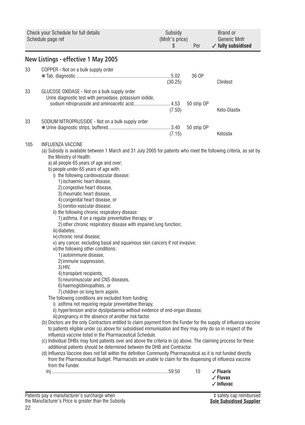| Check your Schedule for full details<br>Schedule page ref                                                                                                                                                                                                                                                                                                                                                                                                                                                                                                                                                                                                                                                                                                                                                                                                                                                                                                                                                                                                                                                                                                                                                                                                                                                                                                                                                                                                                                                                                                                                                                                                                                                                                                                                                                                                                                                                                                                                                                                | Subsidy<br>(Mnfr's price)<br>\$ | Per         | Brand or<br>Generic Mnfr<br>$\checkmark$ fully subsidised            |
|------------------------------------------------------------------------------------------------------------------------------------------------------------------------------------------------------------------------------------------------------------------------------------------------------------------------------------------------------------------------------------------------------------------------------------------------------------------------------------------------------------------------------------------------------------------------------------------------------------------------------------------------------------------------------------------------------------------------------------------------------------------------------------------------------------------------------------------------------------------------------------------------------------------------------------------------------------------------------------------------------------------------------------------------------------------------------------------------------------------------------------------------------------------------------------------------------------------------------------------------------------------------------------------------------------------------------------------------------------------------------------------------------------------------------------------------------------------------------------------------------------------------------------------------------------------------------------------------------------------------------------------------------------------------------------------------------------------------------------------------------------------------------------------------------------------------------------------------------------------------------------------------------------------------------------------------------------------------------------------------------------------------------------------|---------------------------------|-------------|----------------------------------------------------------------------|
| New Listings - effective 1 May 2005                                                                                                                                                                                                                                                                                                                                                                                                                                                                                                                                                                                                                                                                                                                                                                                                                                                                                                                                                                                                                                                                                                                                                                                                                                                                                                                                                                                                                                                                                                                                                                                                                                                                                                                                                                                                                                                                                                                                                                                                      |                                 |             |                                                                      |
| 33<br>COPPER - Not on a bulk supply order                                                                                                                                                                                                                                                                                                                                                                                                                                                                                                                                                                                                                                                                                                                                                                                                                                                                                                                                                                                                                                                                                                                                                                                                                                                                                                                                                                                                                                                                                                                                                                                                                                                                                                                                                                                                                                                                                                                                                                                                | (30.25)                         | 36 OP       | Clinitest                                                            |
| 33<br>GLUCOSE OXIDASE - Not on a bulk supply order<br>Urine diagnostic test with peroxidase, potassium iodide,<br>sodium nitroprusside and aminoacetic acid 4.53                                                                                                                                                                                                                                                                                                                                                                                                                                                                                                                                                                                                                                                                                                                                                                                                                                                                                                                                                                                                                                                                                                                                                                                                                                                                                                                                                                                                                                                                                                                                                                                                                                                                                                                                                                                                                                                                         | (7.50)                          | 50 strip OP | Keto-Diastix                                                         |
| 33<br>SODIUM NITROPRUSSIDE - Not on a bulk supply order                                                                                                                                                                                                                                                                                                                                                                                                                                                                                                                                                                                                                                                                                                                                                                                                                                                                                                                                                                                                                                                                                                                                                                                                                                                                                                                                                                                                                                                                                                                                                                                                                                                                                                                                                                                                                                                                                                                                                                                  | (7.15)                          | 50 strip OP | Ketostix                                                             |
| 105<br>INFLUENZA VACCINE<br>(a) Subsidy is available between 1 March and 31 July 2005 for patients who meet the following criteria, as set by<br>the Ministry of Health:<br>a) all people 65 years of age and over;<br>b) people under 65 years of age with:<br>i) the following cardiovascular disease:<br>1) ischaemic heart disease,<br>2) congestive heart disease,<br>3) rheumatic heart disease,<br>4) congenital heart disease, or<br>5) cerebo-vascular disease;<br>ii) the following chronic respiratory disease:<br>1) asthma, if on a regular preventative therapy, or<br>2) other chronic respiratory disease with impaired lung function;<br>iii) diabetes;<br>iv) chronic renal disease;<br>v) any cancer, excluding basal and squamous skin cancers if not invasive;<br>vi) the following other conditions:<br>1) autoimmune disease,<br>2) immune suppression,<br>3) HIV,<br>4) transplant recipients,<br>5) neuromuscular and CNS diseases,<br>6) haemoglobinopathies, or<br>7) children on long term aspirin.<br>The following conditions are excluded from funding:<br>i) asthma not requiring regular preventative therapy,<br>ii) hypertension and/or dyslipidaemia without evidence of end-organ disease,<br>iii) pregnancy in the absence of another risk factor.<br>(b) Doctors are the only Contractors entitled to claim payment from the Funder for the supply of influenza vaccine<br>to patients eligible under (a) above for subsidised immunisation and they may only do so in respect of the<br>influenza vaccine listed in the Pharmaceutical Schedule.<br>(c) Individual DHBs may fund patients over and above the criteria in (a) above. The claiming process for these<br>additional patients should be determined between the DHB and Contractor.<br>(d) Influenza Vaccine does not fall within the definition Community Pharmaceutical as it is not funded directly<br>from the Pharmaceutical Budget. Pharmacists are unable to claim for the dispensing of influenza vaccine<br>from the Funder. |                                 | 10          | $\checkmark$ Fluarix<br>$\checkmark$ Fluvax<br>$\checkmark$ Influvac |

Patients pay a manufacturer's surcharge when the Manufacturer's Price is greater than the Subsidy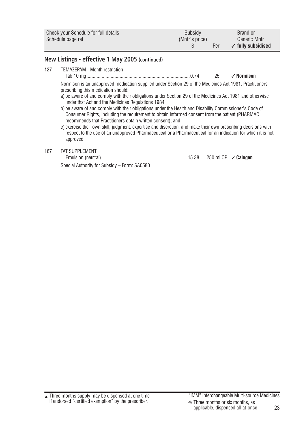| Check your Schedule for full details | Subsidy        | Brand or                      |
|--------------------------------------|----------------|-------------------------------|
| Schedule page ref                    | (Mnfr's price) | Generic Mnfr                  |
|                                      | Per            | $\checkmark$ fully subsidised |

## **New Listings - effective 1 May 2005 (continued)**

127 TEMAZEPAM - Month restriction

Tab 10 mg.................................................................................0.74 25 ✓ **Normison**

Normison is an unapproved medication supplied under Section 29 of the Medicines Act 1981. Practitioners prescribing this medication should:

- a) be aware of and comply with their obligations under Section 29 of the Medicines Act 1981 and otherwise under that Act and the Medicines Regulations 1984;
- b) be aware of and comply with their obligations under the Health and Disability Commissioner's Code of Consumer Rights, including the requirement to obtain informed consent from the patient (PHARMAC recommends that Practitioners obtain written consent); and

c) exercise their own skill, judgment, expertise and discretion, and make their own prescribing decisions with respect to the use of an unapproved Pharmaceutical or a Pharmaceutical for an indication for which it is not approved.

### 167 FAT SUPPLEMENT

| Special Authority for Subsidy - Form: SA0580 |  |
|----------------------------------------------|--|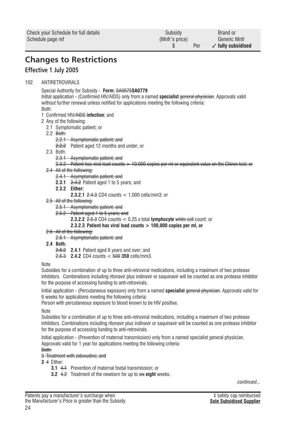<span id="page-23-0"></span>

| Check your Schedule for full details | Subsidy        | Brand or                      |
|--------------------------------------|----------------|-------------------------------|
| Schedule page ref                    | (Mnfr's price) | Generic Mnfr                  |
|                                      | Per            | $\checkmark$ fully subsidised |

# **Changes to Restrictions**

# **Effective 1 July 2005**

#### 102 ANTIRETROVIRALS

Special Authority for Subsidy - **Form:** SA0575**SA0779**

Initial application - (Confirmed HIV/AIDS) only from a named **specialist** general physician. Approvals valid without further renewal unless notified for applications meeting the following criteria: Both:

- 1 Confirmed HIV/AIDS **infection**; and
- 2 Any of the following:
	- 2.1 Symptomatic patient; or
	- 2.2 Both:
		- 2.2.1 Asymptomatic patient; and
		- 2.2.2 Patient aged 12 months and under; or
	- 2.3 Both:
		- 2.3.1 Asymptomatic patient; and
		- 2.3.2 Patient has viral load counts  $> 10.000$  copies per ml or equivalent value on the Chiron test; or
	- 2.4 All of the following:
		- 2.4.1 Asymptomatic patient; and
		- **2.3.1** 2.4.2 Patient aged 1 to 5 years; and
		- **2.3.2 Either:**
			- **2.3.2.1** 2.4.3 CD4 counts < 1,000 cells/mm3; or
	- 2.5 All of the following:
		- 2.5.1 Asymptomatic patient; and
		- 2.5.2 Patient aged 1 to 5 years; and
			- **2.3.2.2** 2.5.3 CD4 counts < 0.25 x total **lymphocyte** white cell count; or
			- **2.3.2.3 Patient has viral load counts > 100,000 copies per ml, or**
	- 2.6 All of the following:

#### 2.6.1 Asymptomatic patient; and

- **2.4 Both:**
	- 2.6.2 **2.4.1** Patient aged 6 years and over; and
	- 2.6.3 **2.4.2** CD4 counts < 500 **350** cells/mm3.

**Note** 

Subsidies for a combination of up to three anti-retroviral medications, including a maximum of two protease inhibitors. Combinations including ritonavir plus indinavir or saquinavir will be counted as one protease inhibitor for the purpose of accessing funding to anti-retrovirals.

Initial application - (Percutaneous exposure) only from a named **specialist** general physician. Approvals valid for 6 weeks for applications meeting the following criteria:

Person with percutaneous exposure to blood known to be HIV positive.

Note

Subsidies for a combination of up to three anti-retroviral medications, including a maximum of two protease inhibitors. Combinations including ritonavir plus indinavir or saquinavir will be counted as one protease inhibitor for the purpose of accessing funding to anti-retrovirals.

Initial application - (Prevention of maternal transmission) only from a named specialist general physician. Approvals valid for 1 year for applications meeting the following criteria:

Both:

#### 3 Treatment with zidovudine; and

**3** 4 Either:

- **3.1** 4.1 Prevention of maternal foetal transmission; or
- **3.2** 4.2 Treatment of the newborn for up to six **eight** weeks.

*continued...*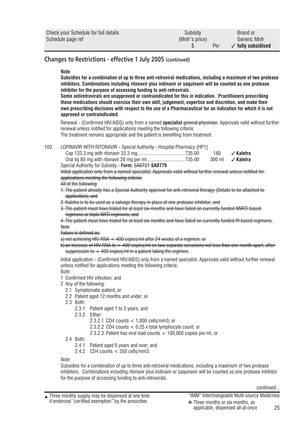| Check your Schedule for full details | Subsidy        | Brand or                      |
|--------------------------------------|----------------|-------------------------------|
| Schedule page ref                    | (Mnfr's price) | Generic Mnfr                  |
|                                      | Per            | $\checkmark$ fully subsidised |

## **Changes to Restrictions - effective 1 July 2005 (continued)**

#### **Note**

**Subsidies for a combination of up to three anti-retroviral medications, including a maximum of two protease inhibitors. Combinations including ritonavir plus indinavir or saquinavir will be counted as one protease inhibitor for the purpose of accessing funding to anti-retrovirals.**

**Some antiretrovirals are unapproved or contraindicated for this in indication. Practitioners prescribing these medications should exercise their own skill, judgement, expertise and discretion, and make their own prescribing decisions with respect to the use of a Pharmaceutical for an indication for which it is not approved or contraindicated.**

Renewal - (Confirmed HIV/AIDS) only from a named **specialist** deneral physician. Approvals valid without further renewal unless notified for applications meeting the following criteria:

The treatment remains appropriate and the patient is benefiting from treatment.

103 LOPINAVIR WITH RITONAVIR - Special Authority - Hospital Pharmacy [HP1]

| √ Kaletra              | 180 |  |
|------------------------|-----|--|
| 300 ml <b>⁄Kaletra</b> |     |  |

Special Authority for Subsidy - **Form:** SA0721 **SA0779**

Initial application only from a named specialist. Approvals valid without further renewal unless notified for applications meeting the following criteria:

#### All of the following:

- 1 The patient already has a Special Authority approval for anti-retroviral therapy (Details to be attached to application); and
- 2 Kaletra is to be used as a salvage therapy in place of one protease inhibitor; and
- 3 The patient must have trialed for at least six months and have failed on currently funded NNRTI based regimens or triple NRTI regimens; and

4 The patient must have trialed for at least six months and have failed on currently funded PI based regimens. **Note** 

Failure is defined as:

a) not achieving HIV RNA < 400 copies/ml after 24 weeks of a regimen, or

b) an increase of HIV RNA to  $>$  400 copies/ml on two separate occasions not less than one month apart, after suppression to  $\lt$  400 copies/ml in a patient taking the regimen.

Initial application - (Confirmed HIV/AIDS) only from a named specialist. Approvals valid without further renewal unless notified for applications meeting the following criteria:

Both:

- 1 Confirmed HIV infection; and
- 2 Any of the following:
	- 2.1 Symptomatic patient; or
	- 2.2 Patient aged 12 months and under; or
	- 2.3 Both:
		- 2.3.1 Patient aged 1 to 5 years; and

2.3.2 Either:

2.3.2.1 CD4 counts < 1,000 cells/mm3; or

2.3.2.2 CD4 counts < 0.25 x total lymphocyte count; or

- 2.3.2.3 Patient has viral load counts > 100,000 copies per ml, or
- 2.4 Both:
	- 2.4.1 Patient aged 6 years and over; and
	- 2.4.2  $CD4$  counts  $<$  350 cells/mm3.

**Note** 

Subsidies for a combination of up to three anti-retroviral medications, including a maximum of two protease inhibitors. Combinations including ritonavir plus indinavir or saquinavir will be counted as one protease inhibitor for the purpose of accessing funding to anti-retrovirals.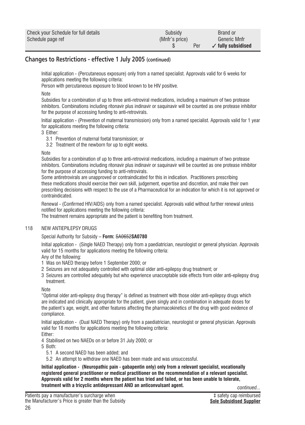| Check your Schedule for full details | Subsidy        | Brand or                      |
|--------------------------------------|----------------|-------------------------------|
| Schedule page ref                    | (Mnfr's price) | Generic Mnfr                  |
|                                      | Per            | $\checkmark$ fully subsidised |

## **Changes to Restrictions - effective 1 July 2005 (continued)**

Initial application - (Percutaneous exposure) only from a named specialist. Approvals valid for 6 weeks for applications meeting the following criteria:

Person with percutaneous exposure to blood known to be HIV positive.

#### Note

Subsidies for a combination of up to three anti-retroviral medications, including a maximum of two protease inhibitors. Combinations including ritonavir plus indinavir or saquinavir will be counted as one protease inhibitor for the purpose of accessing funding to anti-retrovirals.

Initial application - (Prevention of maternal transmission) only from a named specialist. Approvals valid for 1 year for applications meeting the following criteria:

#### 3 Either:

- 3.1 Prevention of maternal foetal transmission; or
- 3.2 Treatment of the newborn for up to eight weeks.

#### **Note**

Subsidies for a combination of up to three anti-retroviral medications, including a maximum of two protease inhibitors. Combinations including ritonavir plus indinavir or saquinavir will be counted as one protease inhibitor for the purpose of accessing funding to anti-retrovirals.

Some antiretrovirals are unapproved or contraindicated for this in indication. Practitioners prescribing these medications should exercise their own skill, judgement, expertise and discretion, and make their own prescribing decisions with respect to the use of a Pharmaceutical for an indication for which it is not approved or contraindicated.

Renewal - (Confirmed HIV/AIDS) only from a named specialist. Approvals valid without further renewal unless notified for applications meeting the following criteria:

The treatment remains appropriate and the patient is benefiting from treatment.

#### 118 NEW ANTIFPIL FPSY DRUGS

#### Special Authority for Subsidy – **Form:** SA0652**SA0780**

Initial application - (Single NAED Therapy) only from a paediatrician, neurologist or general physician. Approvals valid for 15 months for applications meeting the following criteria:

#### Any of the following:

- 1 Was on NAED therapy before 1 September 2000; or
- 2 Seizures are not adequately controlled with optimal older anti-epilepsy drug treatment; or
- 3 Seizures are controlled adequately but who experience unacceptable side effects from older anti-epilepsy drug treatment.

#### **Note**

"Optimal older anti-epilepsy drug therapy" is defined as treatment with those older anti-epilepsy drugs which are indicated and clinically appropriate for the patient, given singly and in combination in adequate doses for the patient's age, weight, and other features affecting the pharmacokinetics of the drug with good evidence of compliance.

Initial application - (Dual NAED Therapy) only from a paediatrician, neurologist or general physician. Approvals valid for 18 months for applications meeting the following criteria:

Either:

4 Stabilised on two NAEDs on or before 31 July 2000; or

- 5 Both:
	- 5.1 A second NAED has been added; and
	- 5.2 An attempt to withdraw one NAED has been made and was unsuccessful.

**Initial application - (Neuropathic pain - gabapentin only) only from a relevant specialist, vocationally registered general practitioner or medical practitioner on the recommendation of a relevant specialist. Approvals valid for 2 months where the patient has tried and failed, or has been unable to tolerate, treatment with a tricyclic antidepressant AND an anticonvulsant agent.**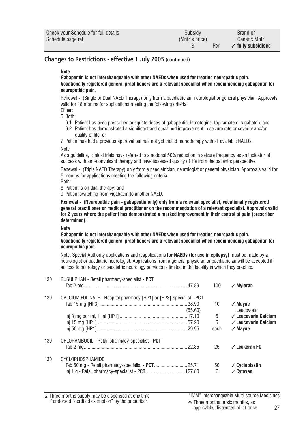| Check your Schedule for full details | Subsidy        | Brand or                      |
|--------------------------------------|----------------|-------------------------------|
| Schedule page ref                    | (Mnfr's price) | Generic Mnfr                  |
|                                      | Per            | $\checkmark$ fully subsidised |

### **Changes to Restrictions - effective 1 July 2005 (continued)**

#### **Note**

**Gabapentin is not interchangeable with other NAEDs when used for treating neuropathic pain. Vocationally registered general practitioners are a relevant specialist when recommending gabapentin for neuropathic pain.**

Renewal - (Single or Dual NAED Therapy) only from a paediatrician, neurologist or general physician. Approvals valid for 18 months for applications meeting the following criteria:

Either: 6 Both:

- 6.1 Patient has been prescribed adequate doses of gabapentin, lamotrigine, topiramate or vigabatrin; and
- 6.2 Patient has demonstrated a significant and sustained improvement in seizure rate or severity and/or quality of life; or

7 Patient has had a previous approval but has not yet trialed monotherapy with all available NAEDs. Note

As a guideline, clinical trials have referred to a notional 50% reduction in seizure frequency as an indicator of success with anti-convulsant therapy and have assessed quality of life from the patient's perspective

Renewal - (Triple NAED Therapy) only from a paediatrician, neurologist or general physician. Approvals valid for 6 months for applications meeting the following criteria:

Both:

8 Patient is on dual therapy; and

9 Patient switching from vigabatrin to another NAED.

**Renewal - (Neuropathic pain - gabapentin only) only from a relevant specialist, vocationally registered general practitioner or medical practitioner on the recommendation of a relevant specialist. Approvals valid for 2 years where the patient has demonstrated a marked improvement in their control of pain (prescriber determined).**

**Note**

**Gabapentin is not interchangeable with other NAEDs when used for treating neuropathic pain. Vocationally registered general practitioners are a relevant specialist when recommending gabapentin for neuropathic pain.**

Note: Special Authority applications and reapplications **for NAEDs (for use in epilepsy)** must be made by a neurologist or paediatric neurologist. Applications from a general physician or paediatrician will be accepted if access to neurology or paediatric neurology services is limited in the locality in which they practice.

| BUSULPHAN - Retail pharmacy-specialist - PCT    |         |                                                                      | $\sqrt{M}$ vleran               |
|-------------------------------------------------|---------|----------------------------------------------------------------------|---------------------------------|
|                                                 |         |                                                                      |                                 |
|                                                 |         |                                                                      |                                 |
|                                                 |         | 10                                                                   | $\sqrt{M}$ ayne                 |
|                                                 | (55.60) |                                                                      | Leucovorin                      |
|                                                 |         | 5                                                                    | $\checkmark$ Leucovorin Calcium |
|                                                 |         | 5                                                                    | $\checkmark$ Leucovorin Calcium |
|                                                 |         | each                                                                 | $\sqrt{M}$ ayne                 |
| CHLORAMBUCIL - Retail pharmacy-specialist - PCT |         |                                                                      |                                 |
|                                                 |         | 25                                                                   | $\checkmark$ Leukeran FC        |
| <b>CYCLOPHOSPHAMIDE</b>                         |         |                                                                      |                                 |
|                                                 |         | 50                                                                   | $\checkmark$ Cycloblastin       |
|                                                 |         | 6                                                                    | $\checkmark$ Cytoxan            |
|                                                 |         | CALCIUM FOLINATE - Hospital pharmacy [HP1] or [HP3]-specialist - PCT | 100                             |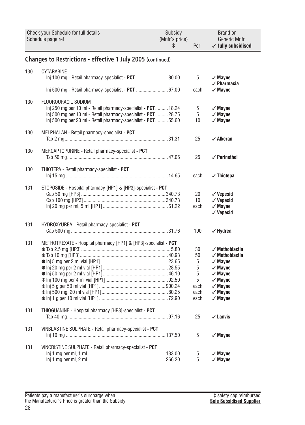|     | Check your Schedule for full details<br>Schedule page ref                                                                                                                                                            | Subsidy<br>(Mnfr's price)<br>\$ | Per                                                  | Brand or<br><b>Generic Mnfr</b><br>$\checkmark$ fully subsidised                                                                                                                                  |  |  |
|-----|----------------------------------------------------------------------------------------------------------------------------------------------------------------------------------------------------------------------|---------------------------------|------------------------------------------------------|---------------------------------------------------------------------------------------------------------------------------------------------------------------------------------------------------|--|--|
|     | Changes to Restrictions - effective 1 July 2005 (continued)                                                                                                                                                          |                                 |                                                      |                                                                                                                                                                                                   |  |  |
| 130 | CYTARABINE<br>Inj 100 mg - Retail pharmacy-specialist - PCT  80.00                                                                                                                                                   |                                 | 5                                                    | $\sqrt{M}$ ayne<br>$\sqrt{}$ Pharmacia                                                                                                                                                            |  |  |
|     |                                                                                                                                                                                                                      |                                 | each                                                 | $\sqrt{M}$ ayne                                                                                                                                                                                   |  |  |
| 130 | FLUOROURACIL SODIUM<br>Inj 250 mg per 10 ml - Retail pharmacy-specialist - PCT 18.24<br>Inj 500 mg per 10 ml - Retail pharmacy-specialist - PCT28.75<br>Inj 500 mg per 20 ml - Retail pharmacy-specialist - PCT55.60 |                                 | 5<br>5<br>10                                         | $\sqrt{M}$ ayne<br>$\checkmark$ Mayne<br>$\sqrt{M}$ ayne                                                                                                                                          |  |  |
| 130 | MELPHALAN - Retail pharmacy-specialist - PCT                                                                                                                                                                         |                                 | 25                                                   | $\checkmark$ Alkeran                                                                                                                                                                              |  |  |
| 130 | MERCAPTOPURINE - Retail pharmacy-specialist - PCT                                                                                                                                                                    |                                 | 25                                                   | $\checkmark$ Purinethol                                                                                                                                                                           |  |  |
| 130 | THIOTEPA - Retail pharmacy-specialist - PCT                                                                                                                                                                          |                                 | each                                                 | $\checkmark$ Thiotepa                                                                                                                                                                             |  |  |
| 131 | ETOPOSIDE - Hospital pharmacy [HP1] & [HP3]-specialist - PCT                                                                                                                                                         |                                 | 20<br>10<br>each                                     | $\checkmark$ Vepesid<br>$\checkmark$ Vepesid<br>$\sqrt{M}$ ayne<br>$\checkmark$ Vepesid                                                                                                           |  |  |
| 131 | HYDROXYUREA - Retail pharmacy-specialist - PCT                                                                                                                                                                       |                                 | 100                                                  | $\checkmark$ Hydrea                                                                                                                                                                               |  |  |
| 131 | METHOTREXATE - Hospital pharmacy [HP1] & [HP3]-specialist - PCT                                                                                                                                                      |                                 | 30<br>50<br>5<br>5<br>5<br>5<br>each<br>each<br>each | $\checkmark$ Methoblastin<br>$\checkmark$ Methoblastin<br>$\checkmark$ Mayne<br>$\sqrt{M}$ ayne<br>$\sqrt{M}$ ayne<br>$\checkmark$ Mayne<br>$\sqrt{M}$ ayne<br>$\sqrt{M}$ ayne<br>$\sqrt{M}$ ayne |  |  |
| 131 | THIOGUANINE - Hospital pharmacy [HP3]-specialist - PCT                                                                                                                                                               |                                 | 25                                                   | $\checkmark$ Lanvis                                                                                                                                                                               |  |  |
| 131 | VINBLASTINE SULPHATE - Retail pharmacy-specialist - PCT                                                                                                                                                              |                                 | 5                                                    | $\sqrt{M}$ Mayne                                                                                                                                                                                  |  |  |
| 131 | VINCRISTINE SULPHATE - Retail pharmacy-specialist - PCT                                                                                                                                                              |                                 | 5<br>5                                               | $\checkmark$ Mayne<br>$\sqrt{M}$ ayne                                                                                                                                                             |  |  |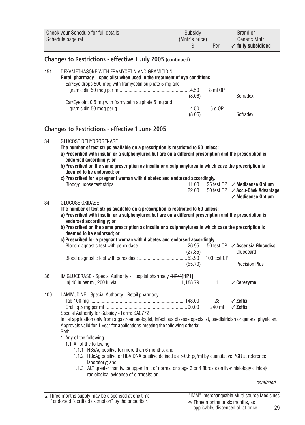| Check your Schedule for full details<br>Schedule page ref |                                                                                                                                                                                                                                                                                                                                                                                                                                                                                  | Subsidy<br>(Mnfr's price)<br>\$ | Per               | Brand or<br>Generic Mnfr<br>$\checkmark$ fully subsidised                           |
|-----------------------------------------------------------|----------------------------------------------------------------------------------------------------------------------------------------------------------------------------------------------------------------------------------------------------------------------------------------------------------------------------------------------------------------------------------------------------------------------------------------------------------------------------------|---------------------------------|-------------------|-------------------------------------------------------------------------------------|
|                                                           | Changes to Restrictions - effective 1 July 2005 (continued)                                                                                                                                                                                                                                                                                                                                                                                                                      |                                 |                   |                                                                                     |
| 151                                                       | DEXAMETHASONE WITH FRAMYCETIN AND GRAMICIDIN<br>Retail pharmacy – specialist when used in the treatment of eye conditions<br>Ear/Eye drops 500 mcg with framycetin sulphate 5 mg and<br>Ear/Eye oint 0.5 mg with framycetin sulphate 5 mg and                                                                                                                                                                                                                                    | (8.06)<br>(8.06)                | 8 ml OP<br>5 g OP | Sofradex<br>Sofradex                                                                |
|                                                           |                                                                                                                                                                                                                                                                                                                                                                                                                                                                                  |                                 |                   |                                                                                     |
|                                                           | <b>Changes to Restrictions - effective 1 June 2005</b>                                                                                                                                                                                                                                                                                                                                                                                                                           |                                 |                   |                                                                                     |
| 34                                                        | GLUCOSE DEHYDROGENASE<br>The number of test strips available on a prescription is restricted to 50 unless:<br>a) Prescribed with insulin or a sulphonylurea but are on a different prescription and the prescription is<br>endorsed accordingly; or<br>b) Prescribed on the same prescription as insulin or a sulphonylurea in which case the prescription is<br>deemed to be endorsed; or<br>c) Prescribed for a pregnant woman with diabetes and endorsed accordingly.         |                                 |                   |                                                                                     |
|                                                           |                                                                                                                                                                                                                                                                                                                                                                                                                                                                                  |                                 |                   | 25 test $OP \nightharpoondown$ Medisense Optium<br>50 test OP / Accu-Chek Advantage |
|                                                           |                                                                                                                                                                                                                                                                                                                                                                                                                                                                                  | 22.00                           |                   | $\checkmark$ Medisense Optium                                                       |
| 34                                                        | GLUCOSE OXIDASE<br>The number of test strips available on a prescription is restricted to 50 unless:<br>a) Prescribed with insulin or a sulphonylurea but are on a different prescription and the prescription is<br>endorsed accordingly; or<br>b) Prescribed on the same prescription as insulin or a sulphonylurea in which case the prescription is<br>deemed to be endorsed; or<br>c) Prescribed for a pregnant woman with diabetes and endorsed accordingly.               | (27.85)                         |                   | 50 test $OP \times$ Ascensia Glucodisc<br>Glucocard                                 |
|                                                           |                                                                                                                                                                                                                                                                                                                                                                                                                                                                                  |                                 | 100 test OP       |                                                                                     |
|                                                           |                                                                                                                                                                                                                                                                                                                                                                                                                                                                                  | (55.70)                         |                   | <b>Precision Plus</b>                                                               |
| 36                                                        | IMIGLUCERASE - Special Authority - Hospital pharmacy [HP4][HP1]                                                                                                                                                                                                                                                                                                                                                                                                                  |                                 | $\mathbf{1}$      | $\checkmark$ Cerezyme                                                               |
| 100                                                       | LAMIVUDINE - Special Authority - Retail pharmacy                                                                                                                                                                                                                                                                                                                                                                                                                                 |                                 |                   | $\angle$ Zeffix                                                                     |
|                                                           |                                                                                                                                                                                                                                                                                                                                                                                                                                                                                  |                                 | 28<br>240 ml      | $\angle$ Zeffix                                                                     |
|                                                           | Special Authority for Subsidy - Form: SA0772<br>Initial application only from a gastroenterologist, infectious disease specialist, paediatrician or general physician.<br>Approvals valid for 1 year for applications meeting the following criteria:<br>Both:<br>1 Any of the following:<br>1.1 All of the following:<br>1.1.1 HBsAg positive for more than 6 months; and<br>1.1.2 HBeAq positive or HBV DNA positive defined as $> 0.6$ pq/ml by quantitative PCR at reference |                                 |                   |                                                                                     |
|                                                           | laboratory: and<br>1.1.3 ALT greater than twice upper limit of normal or stage 3 or 4 fibrosis on liver histology clinical/                                                                                                                                                                                                                                                                                                                                                      |                                 |                   |                                                                                     |
|                                                           | radiological evidence of cirrhosis; or                                                                                                                                                                                                                                                                                                                                                                                                                                           |                                 |                   | continued                                                                           |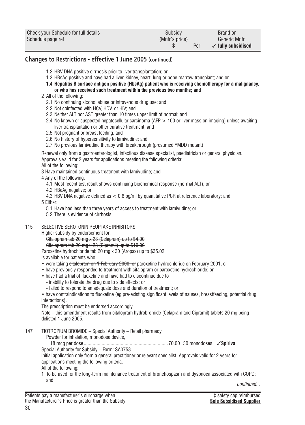| Check your Schedule for full details | Subsidy        | Brand or                      |
|--------------------------------------|----------------|-------------------------------|
| Schedule page ref                    | (Mnfr's price) | Generic Mnfr                  |
|                                      | Per            | $\checkmark$ fully subsidised |

## **Changes to Restrictions - effective 1 June 2005 (continued)**

- 1.2 HBV DNA positive cirrhosis prior to liver transplantation; or
- 1.3 HBsAg positive and have had a liver, kidney, heart, lung or bone marrow transplant; and or
- **1.4 Hepatitis B surface antigen positive (HbsAg) patient who is receiving chemotherapy for a malignancy, or who has received such treatment within the previous two months; and**
- 2 All of the following:
	- 2.1 No continuing alcohol abuse or intravenous drug use; and
	- 2.2 Not coinfected with HCV, HDV, or HIV; and
	- 2.3 Neither ALT nor AST greater than 10 times upper limit of normal; and
	- 2.4 No known or suspected hepatocellular carcinoma (AFP > 100 or liver mass on imaging) unless awaiting liver transplantation or other curative treatment; and
	- 2.5 Not pregnant or breast feeding; and
	- 2.6 No history of hypersensitivity to lamivudine; and
	- 2.7 No previous lamivudine therapy with breakthrough (presumed YMDD mutant).

Renewal only from a gastroenterologist, infectious disease specialist, paediatrician or general physician. Approvals valid for 2 years for applications meeting the following criteria:

All of the following:

- 3 Have maintained continuous treatment with lamivudine; and
- 4 Any of the following:
	- 4.1 Most recent test result shows continuing biochemical response (normal ALT); or
	- 4.2 HBeAg negative; or
- 4.3 HBV DNA negative defined as < 0.6 pg/ml by quantitative PCR at reference laboratory; and

5 Either:

- 5.1 Have had less than three years of access to treatment with lamivudine; or
- 5.2 There is evidence of cirrhosis.

#### 115 SELECTIVE SEROTONIN REUPTAKE INHIBITORS

Higher subsidy by endorsement for:

#### Citalopram tab 20 mg x 28 (Celapram) up to \$4.00

Citalopram tab 20 mg x 28 (Cipramil) up to \$10.00

Paroxetine hydrochloride tab 20 mg x 30 (Aropax) up to \$35.02

is available for patients who:

- were taking eitalopram on 1 February 2000; or paroxetine hydrochloride on February 2001; or
- have previously responded to treatment with eitalopram or paroxetine hydrochloride; or
- have had a trial of fluoxetine and have had to discontinue due to
	- inability to tolerate the drug due to side effects; or
	- failed to respond to an adequate dose and duration of treatment; or

• have contraindications to fluoxetine (eg pre-existing significant levels of nausea, breastfeeding, potential drug interactions).

The prescription must be endorsed accordingly.

Note – this amendment results from citalopram hydrobromide (Celapram and Cipramil) tablets 20 mg being delisted 1 June 2005.

147 TIOTROPIUM BROMIDE – Special Authority – Retail pharmacy

Powder for inhalation, monodose device,

18 mcg per dose ..................................................................70.00 30 monodoses ✓ **Spiriva**

Special Authority for Subsidy – Form: SA0758

Initial application only from a general practitioner or relevant specialist. Approvals valid for 2 years for applications meeting the following criteria:

All of the following:

1 To be used for the long-term maintenance treatment of bronchospasm and dyspnoea associated with COPD; and

*continued...*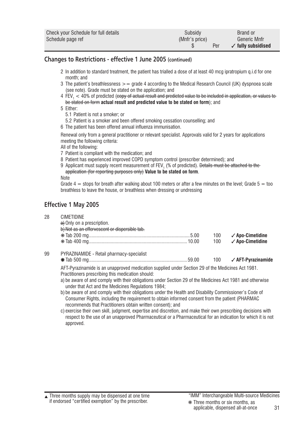| Check your Schedule for full details | Subsidy        | Brand or                      |
|--------------------------------------|----------------|-------------------------------|
| Schedule page ref                    | (Mnfr's price) | Generic Mnfr                  |
|                                      | Per            | $\checkmark$ fully subsidised |

### **Changes to Restrictions - effective 1 June 2005 (continued)**

- 2 In addition to standard treatment, the patient has trialled a dose of at least 40 mcg ipratropium q.i.d for one month; and
- 3 The patient's breathlessness  $\geq$  = grade 4 according to the Medical Research Council (UK) dyspnoea scale (see note). Grade must be stated on the application; and
- $4\,$  FEV $_1$   $<$  40% of predicted (<del>copy of actual result and predicted value to be included in application, or values to  $\,$ </del> be stated on form **actual result and predicted value to be stated on form**); and
- 5 Either:
	- 5.1 Patient is not a smoker; or
	- 5.2 Patient is a smoker and been offered smoking cessation counselling; and
- 6 The patient has been offered annual influenza immunisation.

Renewal only from a general practitioner or relevant specialist. Approvals valid for 2 years for applications meeting the following criteria:

All of the following:

- 7 Patient is compliant with the medication; and
- 8 Patient has experienced improved COPD symptom control (prescriber determined); and
- 9 Applicant must supply recent measurement of FEV<sub>1</sub> (% of predicted). <del>Details must be attached to the</del> application (for reporting purposes only) **Value to be stated on form**.

**Note** 

Grade  $4 =$  stops for breath after walking about 100 meters or after a few minutes on the level: Grade  $5 =$  too breathless to leave the house, or breathless when dressing or undressing

## **Effective 1 May 2005**

28 CIMETIDINE

|    | a) Only on a prescription.<br>b) Not as an effervescent or dispersible tab. |     |                             |
|----|-----------------------------------------------------------------------------|-----|-----------------------------|
|    |                                                                             | 100 | $\checkmark$ Apo-Cimetidine |
|    |                                                                             | 100 | $\checkmark$ Apo-Cimetidine |
| 99 | PYRAZINAMIDE - Retail pharmacy-specialist                                   |     |                             |

Tab 500 mg.............................................................................59.00 100 ✓ **AFT-Pyrazinamide**

AFT-Pyrazinamide is an unapproved medication supplied under Section 29 of the Medicines Act 1981. Practitioners prescribing this medication should:

- a) be aware of and comply with their obligations under Section 29 of the Medicines Act 1981 and otherwise under that Act and the Medicines Regulations 1984;
- b) be aware of and comply with their obligations under the Health and Disability Commissioner's Code of Consumer Rights, including the requirement to obtain informed consent from the patient (PHARMAC recommends that Practitioners obtain written consent); and
- c) exercise their own skill, judgment, expertise and discretion, and make their own prescribing decisions with respect to the use of an unapproved Pharmaceutical or a Pharmaceutical for an indication for which it is not approved.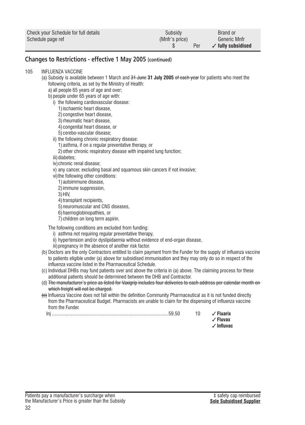| Check your Schedule for full details | Subsidy        | Brand or                      |
|--------------------------------------|----------------|-------------------------------|
| Schedule page ref                    | (Mnfr's price) | Generic Mnfr                  |
|                                      | Per            | $\checkmark$ fully subsidised |

## **Changes to Restrictions - effective 1 May 2005 (continued)**

#### 105 INFLUENZA VACCINE

- (a) Subsidy is available between 1 March and 31 June **31 July 2005** of each year for patients who meet the following criteria, as set by the Ministry of Health:
	- a) all people 65 years of age and over;

#### b) people under 65 years of age with:

- i) the following cardiovascular disease:
	- 1)ischaemic heart disease,
	- 2) congestive heart disease,
	- 3)rheumatic heart disease,
	- 4) congenital heart disease, or
	- 5) cerebo-vascular disease;
- ii) the following chronic respiratory disease:
	- 1) asthma, if on a regular preventative therapy, or
	- 2)other chronic respiratory disease with impaired lung function;
- iii) diabetes:
- iv)chronic renal disease;
- v) any cancer, excluding basal and squamous skin cancers if not invasive;
- vi) the following other conditions:
	- 1) autoimmune disease,
	- 2)immune suppression,
	- 3)HIV,
	- 4) transplant recipients,
	- 5)neuromuscular and CNS diseases,
	- 6) haemoglobinopathies, or
	- 7) children on long term aspirin.

The following conditions are excluded from funding:

- i) asthma not requiring regular preventative therapy.
- ii) hypertension and/or dyslipidaemia without evidence of end-organ disease,
- iii) pregnancy in the absence of another risk factor.
- (b) Doctors are the only Contractors entitled to claim payment from the Funder for the supply of influenza vaccine to patients eligible under (a) above for subsidised immunisation and they may only do so in respect of the influenza vaccine listed in the Pharmaceutical Schedule.
- (c) Individual DHBs may fund patients over and above the criteria in (a) above. The claiming process for these additional patients should be determined between the DHB and Contractor.
- (d) The manufacturer's price as listed for Vaxigrip includes four deliveries to each address per calendar month on which freight will not be charged.
- (e) Influenza Vaccine does not fall within the definition Community Pharmaceutical as it is not funded directly from the Pharmaceutical Budget. Pharmacists are unable to claim for the dispensing of influenza vaccine from the Funder.

|  | Fluarix |
|--|---------|
|  | Fluvax  |
|  |         |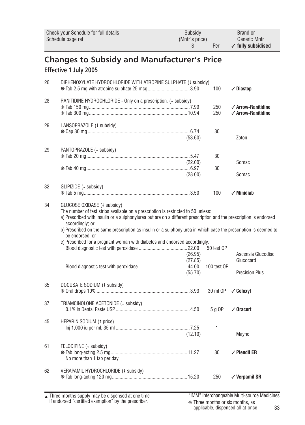<span id="page-32-0"></span>

|                                                                                                                                                                                                                                                                                                                                                                                                        | Check your Schedule for full details<br>Schedule page ref                                                        | Subsidy<br>(Mnfr's price)<br>\$ | Per          | <b>Brand or</b><br>Generic Mnfr<br>$\checkmark$ fully subsidised |  |
|--------------------------------------------------------------------------------------------------------------------------------------------------------------------------------------------------------------------------------------------------------------------------------------------------------------------------------------------------------------------------------------------------------|------------------------------------------------------------------------------------------------------------------|---------------------------------|--------------|------------------------------------------------------------------|--|
| <b>Changes to Subsidy and Manufacturer's Price</b><br>Effective 1 July 2005                                                                                                                                                                                                                                                                                                                            |                                                                                                                  |                                 |              |                                                                  |  |
| 26                                                                                                                                                                                                                                                                                                                                                                                                     | DIPHENOXYLATE HYDROCHLORIDE WITH ATROPINE SULPHATE (4 subsidy)<br>* Tab 2.5 mg with atropine sulphate 25 mcg3.90 |                                 | 100          | $\sqrt{}$ Diastop                                                |  |
| 28                                                                                                                                                                                                                                                                                                                                                                                                     | RANITIDINE HYDROCHLORIDE - Only on a prescription. (4 subsidy)                                                   |                                 | 250<br>250   | $\checkmark$ Arrow-Ranitidine<br>$\checkmark$ Arrow-Ranitidine   |  |
| 29                                                                                                                                                                                                                                                                                                                                                                                                     | LANSOPRAZOLE (4 subsidy)                                                                                         | (53.60)                         | 30           | Zoton                                                            |  |
| 29                                                                                                                                                                                                                                                                                                                                                                                                     | PANTOPRAZOLE (+ subsidy)                                                                                         | (22.00)<br>(28.00)              | 30<br>30     | Somac<br>Somac                                                   |  |
| 32                                                                                                                                                                                                                                                                                                                                                                                                     | GLIPIZIDE (↓ subsidy)                                                                                            |                                 | 100          | $\checkmark$ Minidiab                                            |  |
| 34<br>GLUCOSE OXIDASE (+ subsidy)<br>The number of test strips available on a prescription is restricted to 50 unless:<br>a) Prescribed with insulin or a sulphonylurea but are on a different prescription and the prescription is endorsed<br>accordingly; or<br>b) Prescribed on the same prescription as insulin or a sulphonylurea in which case the prescription is deemed to<br>be endorsed; or |                                                                                                                  |                                 |              |                                                                  |  |
|                                                                                                                                                                                                                                                                                                                                                                                                        | c) Prescribed for a pregnant woman with diabetes and endorsed accordingly.                                       | (26.95)<br>(27.85)              | 50 test OP   | Ascensia Glucodisc<br>Glucocard                                  |  |
|                                                                                                                                                                                                                                                                                                                                                                                                        |                                                                                                                  | (55.70)                         | 100 test OP  | <b>Precision Plus</b>                                            |  |
| 35                                                                                                                                                                                                                                                                                                                                                                                                     | DOCUSATE SODIUM (+ subsidy)                                                                                      |                                 | 30 ml OP     | $\sqrt{C}$ oloxyl                                                |  |
| 37                                                                                                                                                                                                                                                                                                                                                                                                     | TRIAMCINOLONE ACETONIDE (4 subsidy)                                                                              |                                 | 5 g OP       | $\sqrt{0}$ racort                                                |  |
| 45                                                                                                                                                                                                                                                                                                                                                                                                     | <b>HEPARIN SODIUM (1 price)</b><br>(12.10)                                                                       |                                 | $\mathbf{1}$ | Mayne                                                            |  |
| 61                                                                                                                                                                                                                                                                                                                                                                                                     | FELODIPINE (+ subsidy)<br>No more than 1 tab per day                                                             |                                 | 30           | $\checkmark$ Plendil ER                                          |  |
| 62                                                                                                                                                                                                                                                                                                                                                                                                     | VERAPAMIL HYDROCHLORIDE (+ subsidy)                                                                              |                                 | 250          | $\checkmark$ Verpamil SR                                         |  |

Three months supply may be dispensed at one time if endorsed "certified exemption" by the prescriber. ▲ "IMM" Interchangeable Multi-source Medicines

❋ Three months or six months, as applicable, dispensed all-at-once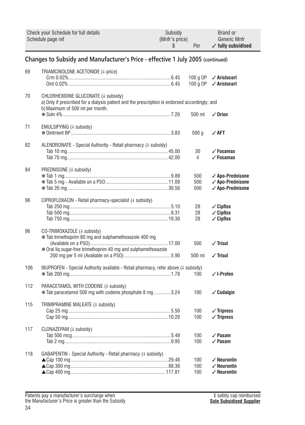|                                                                                 | Check your Schedule for full details<br>Schedule page ref                                                                                                                | Subsidy<br>(Mnfr's price)<br>\$ | Per                  | <b>Brand or</b><br>Generic Mnfr<br>$\checkmark$ fully subsidised           |  |  |
|---------------------------------------------------------------------------------|--------------------------------------------------------------------------------------------------------------------------------------------------------------------------|---------------------------------|----------------------|----------------------------------------------------------------------------|--|--|
| Changes to Subsidy and Manufacturer's Price - effective 1 July 2005 (continued) |                                                                                                                                                                          |                                 |                      |                                                                            |  |  |
| 69                                                                              | TRIAMCINOLONE ACETONIDE (+ price)                                                                                                                                        |                                 | 100 g OP<br>100 g OP | √ Aristocort<br>✓ Aristocort                                               |  |  |
| 70                                                                              | CHLORHEXIDINE GLUCONATE (+ subsidy)<br>a) Only if prescribed for a dialysis patient and the prescription is endorsed accordingly; and<br>b) Maximum of 500 ml per month. |                                 |                      |                                                                            |  |  |
|                                                                                 |                                                                                                                                                                          |                                 | 500 ml               | $\checkmark$ Orion                                                         |  |  |
| 71                                                                              | EMULSIFYING (4 subsidy)                                                                                                                                                  |                                 | 500 <sub>g</sub>     | ✓ AFT                                                                      |  |  |
| 82                                                                              | ALENDRONATE - Special Authority - Retail pharmacy (4 subsidy)                                                                                                            |                                 | 30<br>4              | $\checkmark$ Fosamax<br>$\checkmark$ Fosamax                               |  |  |
| 84                                                                              | PREDNISONE (+ subsidy)                                                                                                                                                   |                                 | 500<br>500<br>500    | ✓ Apo-Prednisone<br>√ Apo-Prednisone<br>✓ Apo-Prednisone                   |  |  |
| 96                                                                              | CIPROFLOXACIN - Retail pharmacy-specialist (# subsidy)                                                                                                                   |                                 | 28<br>28<br>28       | $\checkmark$ Cipflox<br>$\checkmark$ Cipflox<br>$\checkmark$ Cipflox       |  |  |
| 96                                                                              | CO-TRIMOXAZOLE (+ subsidy)<br>* Tab trimethoprim 80 mg and sulphamethoxazole 400 mg<br>* Oral lig sugar-free trimethoprim 40 mg and sulphamethoxazole                    |                                 | 500<br>500 ml        | $\sqrt{}$ Trisul<br>$\sqrt{}$ Trisul                                       |  |  |
| 106                                                                             | IBUPROFEN - Special Authority available - Retail pharmacy, refer above (4 subsidy)                                                                                       |                                 | 100                  | $\checkmark$ I-Profen                                                      |  |  |
| 112                                                                             | PARACETAMOL WITH CODEINE (4 subsidy)<br>* Tab paracetamol 500 mg with codeine phosphate 8 mg 3.24                                                                        |                                 | 100                  | $\checkmark$ Codalgin                                                      |  |  |
| 115                                                                             | TRIMIPRAMINE MALEATE (+ subsidy)                                                                                                                                         |                                 | 100<br>100           | $\checkmark$ Tripress<br>$\checkmark$ Tripress                             |  |  |
| 117                                                                             | CLONAZEPAM (+ subsidy)                                                                                                                                                   |                                 | 100<br>100           | $\checkmark$ Paxam<br>$\angle$ Paxam                                       |  |  |
| 118                                                                             | GABAPENTIN - Special Authority - Retail pharmacy (# subsidy)                                                                                                             |                                 | 100<br>100<br>100    | $\checkmark$ Neurontin<br>$\checkmark$ Neurontin<br>$\checkmark$ Neurontin |  |  |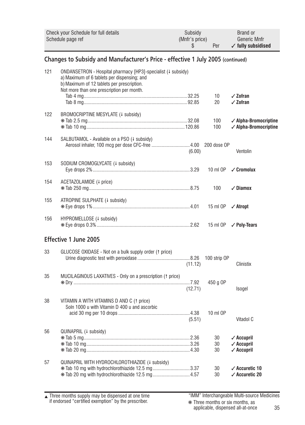|                                                                                 | Check your Schedule for full details<br>Schedule page ref                                                                                                                                              | Subsidy<br>(Mnfr's price)<br>\$ | Per            | Brand or<br><b>Generic Mnfr</b><br>$\checkmark$ fully subsidised     |  |  |
|---------------------------------------------------------------------------------|--------------------------------------------------------------------------------------------------------------------------------------------------------------------------------------------------------|---------------------------------|----------------|----------------------------------------------------------------------|--|--|
| Changes to Subsidy and Manufacturer's Price - effective 1 July 2005 (continued) |                                                                                                                                                                                                        |                                 |                |                                                                      |  |  |
| 121                                                                             | ONDANSETRON - Hospital pharmacy [HP3]-specialist (# subsidy)<br>a) Maximum of 6 tablets per dispensing; and<br>b) Maximum of 12 tablets per prescription.<br>Not more than one prescription per month. |                                 | 10<br>20       | $\checkmark$ Zofran<br>$\checkmark$ Zofran                           |  |  |
| 122                                                                             | BROMOCRIPTINE MESYLATE (+ subsidy)                                                                                                                                                                     |                                 | 100<br>100     | $\checkmark$ Alpha-Bromocriptine<br>$\checkmark$ Alpha-Bromocriptine |  |  |
| 144                                                                             | SALBUTAMOL - Available on a PSO (4 subsidy)                                                                                                                                                            | (6.00)                          | 200 dose OP    | Ventolin                                                             |  |  |
| 153                                                                             | SODIUM CROMOGLYCATE (+ subsidy)                                                                                                                                                                        |                                 | 10 ml OP       | $\angle$ Cromolux                                                    |  |  |
| 154                                                                             | ACETAZOLAMIDE (4 price)                                                                                                                                                                                |                                 | 100            | $\checkmark$ Diamox                                                  |  |  |
| 155                                                                             | ATROPINE SULPHATE (+ subsidy)                                                                                                                                                                          |                                 | 15 ml OP       | $\checkmark$ Atropt                                                  |  |  |
| 156                                                                             | HYPROMELLOSE (+ subsidy)                                                                                                                                                                               |                                 | 15 ml OP       | ✓ Poly-Tears                                                         |  |  |
|                                                                                 | Effective 1 June 2005                                                                                                                                                                                  |                                 |                |                                                                      |  |  |
| 33                                                                              | GLUCOSE OXIDASE - Not on a bulk supply order († price)                                                                                                                                                 | (11.12)                         | 100 strip OP   | Clinistix                                                            |  |  |
| 35                                                                              | MUCILAGINOUS LAXATIVES - Only on a prescription (1 price)                                                                                                                                              | (12.71)                         | 450 g OP       | Isogel                                                               |  |  |
| 38                                                                              | VITAMIN A WITH VITAMINS D AND C (1 price)<br>Soln 1000 u with Vitamin D 400 u and ascorbic                                                                                                             | (5.51)                          | 10 ml OP       | Vitadol C                                                            |  |  |
| 56                                                                              | QUINAPRIL (+ subsidy)                                                                                                                                                                                  |                                 | 30<br>30<br>30 | $\checkmark$ Accupril<br>$\checkmark$ Accupril<br>$\sqrt{$ Accupril  |  |  |
| 57                                                                              | QUINAPRIL WITH HYDROCHLOROTHIAZIDE (+ subsidy)<br><b>*</b> Tab 10 mg with hydrochlorothiazide 12.5 mg3.37                                                                                              |                                 | 30<br>30       | $\checkmark$ Accuretic 10<br>$\checkmark$ Accuretic 20               |  |  |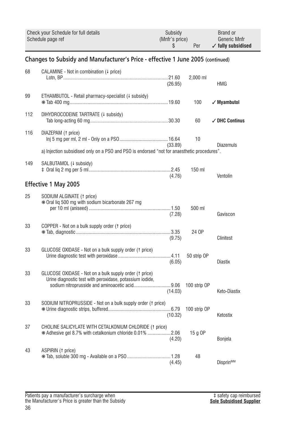|     | Check your Schedule for full details<br>Schedule page ref                                                                                                           | Subsidy<br>(Mnfr's price)<br>S | Per          | Brand or<br><b>Generic Mnfr</b><br>$\checkmark$ fully subsidised |  |  |
|-----|---------------------------------------------------------------------------------------------------------------------------------------------------------------------|--------------------------------|--------------|------------------------------------------------------------------|--|--|
|     | Changes to Subsidy and Manufacturer's Price - effective 1 June 2005 (continued)                                                                                     |                                |              |                                                                  |  |  |
| 68  | CALAMINE - Not in combination (4 price)                                                                                                                             | (26.95)                        | 2,000 ml     | HMG                                                              |  |  |
| 99  | ETHAMBUTOL - Retail pharmacy-specialist (+ subsidy)                                                                                                                 |                                | 100          | $\sqrt{M}$ yambutol                                              |  |  |
| 112 | DIHYDROCODEINE TARTRATE (+ subsidy)                                                                                                                                 |                                | 60           | $\checkmark$ DHC Continus                                        |  |  |
| 116 | DIAZEPAM (1 price)                                                                                                                                                  | (33.89)                        | 10           | <b>Diazemuls</b>                                                 |  |  |
|     | a) Injection subsidised only on a PSO and PSO is endorsed "not for anaesthetic procedures".                                                                         |                                |              |                                                                  |  |  |
| 149 | SALBUTAMOL (4 subsidy)                                                                                                                                              | (4.76)                         | 150 ml       | Ventolin                                                         |  |  |
|     | Effective 1 May 2005                                                                                                                                                |                                |              |                                                                  |  |  |
| 25  | SODIUM ALGINATE (1 price)<br>* Oral lig 500 mg with sodium bicarbonate 267 mg                                                                                       | (7.28)                         | 500 ml       | Gaviscon                                                         |  |  |
| 33  | COPPER - Not on a bulk supply order († price)                                                                                                                       | (9.75)                         | 24 OP        | Clinitest                                                        |  |  |
| 33  | GLUCOSE OXIDASE - Not on a bulk supply order († price)                                                                                                              | (6.05)                         | 50 strip OP  | <b>Diastix</b>                                                   |  |  |
| 33  | GLUCOSE OXIDASE - Not on a bulk supply order (1 price)<br>Urine diagnostic test with peroxidase, potassium iodide,<br>sodium nitroprusside and aminoacetic acid9.06 | (14.03)                        | 100 strip OP | Keto-Diastix                                                     |  |  |
| 33  | SODIUM NITROPRUSSIDE - Not on a bulk supply order († price)                                                                                                         | (10.32)                        | 100 strip OP | Ketostix                                                         |  |  |
| 37  | CHOLINE SALICYLATE WITH CETALKONIUM CHLORIDE (1 price)<br>* Adhesive gel 8.7% with cetalkonium chloride 0.01% 2.06                                                  | (4.20)                         | 15 g OP      | <b>Bonjela</b>                                                   |  |  |
| 43  | ASPIRIN (1 price)                                                                                                                                                   | (4.45)                         | 48           | Disprin <sup>IMM</sup>                                           |  |  |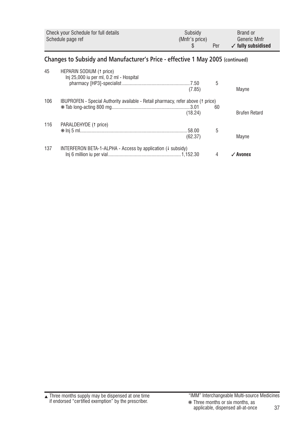<span id="page-36-0"></span>

|                                                                                | Check your Schedule for full details<br>Schedule page ref                        | Subsidy<br>(Mnfr's price)<br>\$ | Per | <b>Brand or</b><br><b>Generic Mnfr</b><br>$\checkmark$ fully subsidised |  |  |
|--------------------------------------------------------------------------------|----------------------------------------------------------------------------------|---------------------------------|-----|-------------------------------------------------------------------------|--|--|
| Changes to Subsidy and Manufacturer's Price - effective 1 May 2005 (continued) |                                                                                  |                                 |     |                                                                         |  |  |
| 45                                                                             | HEPARIN SODIUM (1 price)<br>Inj 25,000 iu per ml, 0.2 ml - Hospital              | (7.85)                          | 5   | Mayne                                                                   |  |  |
| 106                                                                            | IBUPROFEN - Special Authority available - Retail pharmacy, refer above (1 price) | (18.24)                         | 60  | <b>Brufen Retard</b>                                                    |  |  |
| 116                                                                            | PARALDEHYDE (1 price)                                                            | (62.37)                         | 5   | Mayne                                                                   |  |  |
| 137                                                                            | INTERFERON BETA-1-ALPHA - Access by application $(1 \text{ subsidy})$            |                                 | 4   | $\checkmark$ Avonex                                                     |  |  |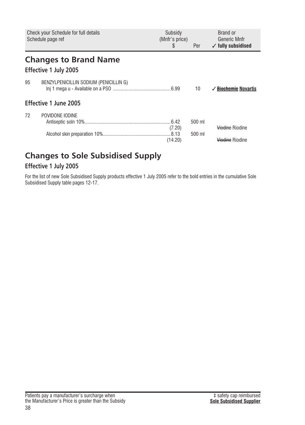<span id="page-37-0"></span>

|    | Subsidy<br>Check your Schedule for full details<br>Schedule page ref<br>(Mnfr's price)<br>\$ |         | Per          | Brand or<br>Generic Mnfr<br>$\checkmark$ fully subsidised |  |
|----|----------------------------------------------------------------------------------------------|---------|--------------|-----------------------------------------------------------|--|
|    | <b>Changes to Brand Name</b><br>Effective 1 July 2005                                        |         |              |                                                           |  |
| 95 | BENZYLPENICILLIN SODIUM (PENICILLIN G)                                                       |         | $10^{\circ}$ | ✓ <del>Biochemic</del> Novartis                           |  |
|    | Effective 1 June 2005                                                                        |         |              |                                                           |  |
| 72 | POVIDONE IODINE                                                                              | (7.20)  | 500 ml       | Viodine Riodine                                           |  |
|    |                                                                                              | (14.20) | 500 ml       | Viodine Riodine                                           |  |

# **Changes to Sole Subsidised Supply**

# **Effective 1 July 2005**

For the list of new Sole Subsidised Supply products effective 1 July 2005 refer to the bold entries in the cumulative Sole Subsidised Supply table pages 12-17.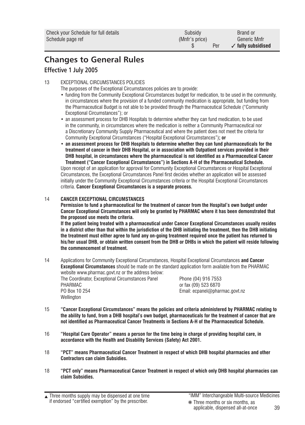| Check your Schedule for full details | Subsidy        | Brand or                      |
|--------------------------------------|----------------|-------------------------------|
| Schedule page ref                    | (Mnfr's price) | Generic Mnfr                  |
|                                      | Per            | $\checkmark$ fully subsidised |

# **Changes to General Rules Effective 1 July 2005**

#### 13 EXCEPTIONAL CIRCUMSTANCES POLICIES

The purposes of the Exceptional Circumstances policies are to provide:

- funding from the Community Exceptional Circumstances budget for medication, to be used in the community, in circumstances where the provision of a funded community medication is appropriate, but funding from the Pharmaceutical Budget is not able to be provided through the Pharmaceutical Schedule ("Community Exceptional Circumstances"); or
- an assessment process for DHB Hospitals to determine whether they can fund medication, to be used in the community, in circumstances where the medication is neither a Community Pharmaceutical nor a Discretionary Community Supply Pharmaceutical and where the patient does not meet the criteria for Community Exceptional Circumstances ("Hospital Exceptional Circumstances")**; or**
- **an assessment process for DHB Hospitals to determine whether they can fund pharmaceuticals for the treatment of cancer in their DHB Hospital, or in association with Outpatient services provided in their DHB hospital, in circumstances where the pharmaceutical is not identified as a Pharmaceutical Cancer Treatment ("Cancer Exceptional Circumstances") in Sections A-H of the Pharmaceutical Schedule.**

Upon receipt of an application for approval for Community Exceptional Circumstances or Hospital Exceptional Circumstances, the Exceptional Circumstances Panel first decides whether an application will be assessed initially under the Community Exceptional Circumstances criteria or the Hospital Exceptional Circumstances criteria. **Cancer Exceptional Circumstances is a separate process.**

#### 14 **CANCER EXCEPTIONAL CIRCUMSTANCES**

**Permission to fund a pharmaceutical for the treatment of cancer from the Hospital's own budget under Cancer Exceptional Circumstances will only be granted by PHARMAC where it has been demonstrated that the proposed use meets the criteria.** 

**If the patient being treated with a pharmaceutical under Cancer Exceptional Circumstances usually resides in a district other than that within the jurisdiction of the DHB initiating the treatment, then the DHB initiating the treatment must either agree to fund any on-going treatment required once the patient has returned to his/her usual DHB, or obtain written consent from the DHB or DHBs in which the patient will reside following the commencement of treatment.**

- 14 Applications for Community Exceptional Circumstances, Hospital Exceptional Circumstances **and Cancer Exceptional Circumstances** should be made on the standard application form available from the PHARMAC website www.pharmac.govt.nz or the address below:
	- PHARMAC or fax (09) 523 6870<br>PO Box 10.254 consults and the consult of Final economic method of Final economic method of Final economic met **Wellington**

The Coordinator, Exceptional Circumstances Panel Phone (04) 916 7553<br>PHARMAC Email: ecpanel@pharmac.govt.nz

- 15 **"Cancer Exceptional Circumstances" means the policies and criteria administered by PHARMAC relating to the ability to fund, from a DHB hospital's own budget, pharmaceuticals for the treatment of cancer that are not identified as Pharmaceutical Cancer Treatments in Sections A-H of the Pharmaceutical Schedule.**
- 16 **"Hospital Care Operator" means a person for the time being in charge of providing hospital care, in accordance with the Health and Disability Services (Safety) Act 2001.**
- 18 **"PCT" means Pharmaceutical Cancer Treatment in respect of which DHB hospital pharmacies and other Contractors can claim Subsidies.**
- 18 **"PCT only" means Pharmaceutical Cancer Treatment in respect of which only DHB hospital pharmacies can claim Subsidies.**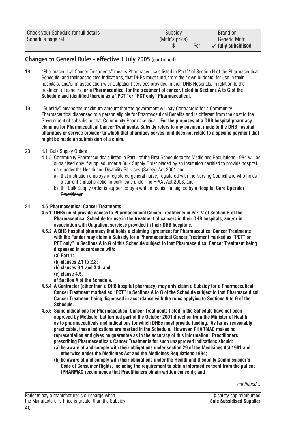| Check your Schedule for full details | Subsidy        | Brand or                      |
|--------------------------------------|----------------|-------------------------------|
| Schedule page ref                    | (Mnfr's price) | Generic Mnfr                  |
|                                      | Per            | $\checkmark$ fully subsidised |

# **Changes to General Rules - effective 1 July 2005 (continued)**

- 18 "Pharmaceutical Cancer Treatments" means Pharmaceuticals listed in Part V of Section H of the Pharmaceutical Schedule, and their associated indications, that DHBs must fund, from their own budgets, for use in their hospitals, and/or in association with Outpatient services provided in their DHB Hospitals, in relation to the treatment of cancers**, or a Pharmaceutical for the treatment of cancer, listed in Sections A to G of the Schedule and identified therein as a "PCT" or "PCT only" Pharmaceutical.**
- 19 "Subsidy" means the maximum amount that the government will pay Contractors for a Community Pharmaceutical dispensed to a person eligible for Pharmaceutical Benefits and is different from the cost to the Government of subsidising that Community Pharmaceutical. **For the purposes of a DHB hospital pharmacy claiming for Pharmaceutical Cancer Treatments, Subsidy refers to any payment made to the DHB hospital pharmacy or service provider to which that pharmacy serves, and does not relate to a specific payment that might be made on submission of a claim.**
- 23 4.1 Bulk Supply Orders
	- 4.1.5 Community Pharmaceuticals listed in Part I of the First Schedule to the Medicines Regulations 1984 will be subsidised only if supplied under a Bulk Supply Order placed by an institution certified to provide hospital care under the Health and Disability Services (Safety) Act 2001 and:
		- a) that institution employs a registered general nurse, registered with the Nursing Council and who holds a current annual practicing certificate under the HPCA Act 2003; and
		- b) the Bulk Supply Order is supported by a written requisition signed by a **Hospital Care Operator** Practitioner.

#### 24 **4.5 Pharmaceutical Cancer Treatments**

- **4.5.1 DHBs must provide access to Pharmaceutical Cancer Treatments in Part V of Section H of the Pharmaceutical Schedule for use in the treatment of cancers in their DHB hospitals, and/or in association with Outpatient services provided in their DHB hospitals.**
- **4.5.2 A DHB hospital pharmacy that holds a claiming agreement for Pharmaceutical Cancer Treatments with the Funder may claim a Subsidy for a Pharmaceutical Cancer Treatment marked as "PCT" or PCT only" in Sections A to G of this Schedule subject to that Pharmaceutical Cancer Treatment being dispensed in accordance with:**
	- **(a) Part 1;**
	- **(b) clauses 2.1 to 2.3;**
	- **(b) clauses 3.1 and 3.4; and**
	- **(c) clause 4.5,**
	- **of Section A of the Schedule.**
- **4.5.4 A Contractor (other than a DHB hospital pharmacy) may only claim a Subsidy for a Pharmaceutical Cancer Treatment marked as "PCT" in Sections A to G of the Schedule subject to that Pharmaceutical Cancer Treatment being dispensed in accordance with the rules applying to Sections A to G of the Schedule.**
- **4.5.5 Some indications for Pharmaceutical Cancer Treatments listed in the Schedule have not been approved by Medsafe, but formed part of the October 2001 direction from the Minister of Health as to pharmaceuticals and indications for which DHBs must provide funding. As far as reasonably practicable, these indications are marked in the Schedule. However, PHARMAC makes no representation and gives no guarantee as to the accuracy of this information. Practitioners prescribing Pharmaceuticals Cancer Treatments for such unapproved indications should:**
	- **(a) be aware of and comply with their obligations under section 29 of the Medicines Act 1981 and otherwise under the Medicines Act and the Medicines Regulations 1984;**
	- **(b) be aware of and comply with their obligations under the Health and Disability Commissioner's Code of Consumer Rights, including the requirement to obtain informed consent from the patient (PHARMAC recommends that Practitioners obtain written consent); and**

*continued...*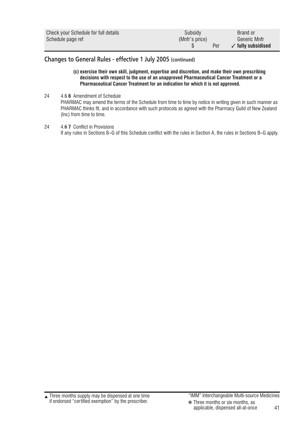| Check your Schedule for full details | Subsidy        | Brand or                      |
|--------------------------------------|----------------|-------------------------------|
| Schedule page ref                    | (Mnfr's price) | Generic Mnfr                  |
|                                      | Per            | $\checkmark$ fully subsidised |

# **Changes to General Rules - effective 1 July 2005 (continued)**

**(c) exercise their own skill, judgment, expertise and discretion, and make their own prescribing decisions with respect to the use of an unapproved Pharmaceutical Cancer Treatment or a Pharmaceutical Cancer Treatment for an indication for which it is not approved.**

24 4.5 **6** Amendment of Schedule PHARMAC may amend the terms of the Schedule from time to time by notice in writing given in such manner as PHARMAC thinks fit, and in accordance with such protocols as agreed with the Pharmacy Guild of New Zealand (Inc) from time to time.

24 4.6 **7** Conflict in Provisions If any rules in Sections B–G of this Schedule conflict with the rules in Section A, the rules in Sections B–G apply.

<sup>41</sup> applicable, dispensed all-at-once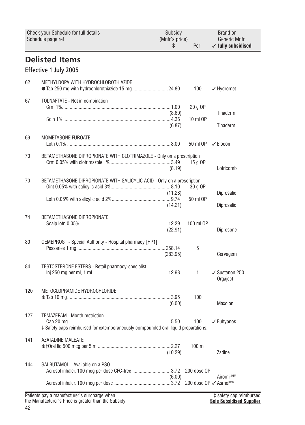<span id="page-41-0"></span>

|     | Check your Schedule for full details<br>Schedule page ref                                                                  | Subsidy<br>(Mnfr's price)<br>\$ | Per                               | Brand or<br>Generic Mnfr<br>$\checkmark$ fully subsidised |  |
|-----|----------------------------------------------------------------------------------------------------------------------------|---------------------------------|-----------------------------------|-----------------------------------------------------------|--|
|     | <b>Delisted Items</b><br>Effective 1 July 2005                                                                             |                                 |                                   |                                                           |  |
| 62  | METHYLDOPA WITH HYDROCHLOROTHIAZIDE                                                                                        |                                 | 100                               | $\checkmark$ Hydromet                                     |  |
| 67  | TOLNAFTATE - Not in combination                                                                                            | (8.60)                          | 20 g OP<br>10 ml OP               | Tinaderm                                                  |  |
|     |                                                                                                                            | (6.87)                          |                                   | Tinaderm                                                  |  |
| 69  | MOMETASONE FUROATE                                                                                                         |                                 | 50 ml OP                          | $\checkmark$ Elocon                                       |  |
| 70  | BETAMETHASONE DIPROPIONATE WITH CLOTRIMAZOLE - Only on a prescription                                                      | (8.19)                          | 15 g OP                           | Lotricomb                                                 |  |
| 70  | BETAMETHASONE DIPROPIONATE WITH SALICYLIC ACID - Only on a prescription                                                    | (11.28)                         | 30 g OP                           | Diprosalic                                                |  |
|     |                                                                                                                            | (14.21)                         | 50 ml OP                          | Diprosalic                                                |  |
| 74  | BETAMETHASONE DIPROPIONATE                                                                                                 | (22.91)                         | 100 ml OP                         | Diprosone                                                 |  |
| 80  | GEMEPROST - Special Authority - Hospital pharmacy [HP1]                                                                    | (283.95)                        | 5                                 | Cervagem                                                  |  |
| 84  | TESTOSTERONE ESTERS - Retail pharmacy-specialist                                                                           |                                 | 1                                 | ✔ Sustanon 250<br>Orgaject                                |  |
| 120 | METOCLOPRAMIDE HYDROCHLORIDE                                                                                               | (6.00)                          | 100                               | Maxolon                                                   |  |
| 127 | <b>TEMAZEPAM - Month restriction</b><br>‡ Safety caps reimbursed for extemporaneously compounded oral liquid preparations. |                                 | 100                               | $\sqrt{\frac{1}{2}}$ Euhypnos                             |  |
| 141 | AZATADINE MALEATE                                                                                                          | (10.29)                         | $100$ ml                          | Zadine                                                    |  |
| 144 | SALBUTAMOL - Available on a PSO                                                                                            |                                 | 200 dose OP                       |                                                           |  |
|     |                                                                                                                            | (6.00)                          | 200 dose OP √ Asmol <sup>™M</sup> | Airomir <sup>IMM</sup>                                    |  |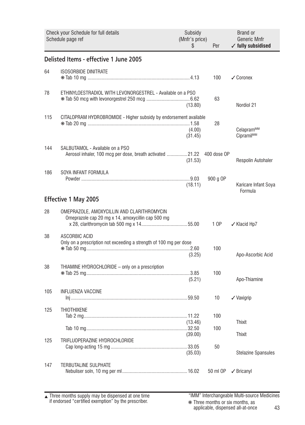<span id="page-42-0"></span>

|     | Check your Schedule for full details<br>Schedule page ref                                       | Subsidy<br>(Mnfr's price)<br>S. | Per         | Brand or<br>Generic Mnfr<br>$\checkmark$ fully subsidised |
|-----|-------------------------------------------------------------------------------------------------|---------------------------------|-------------|-----------------------------------------------------------|
|     | Delisted Items - effective 1 June 2005                                                          |                                 |             |                                                           |
| 64  | <b>ISOSORBIDE DINITRATE</b>                                                                     |                                 | 100         | $\checkmark$ Coronex                                      |
| 78  | ETHINYLOESTRADIOL WITH LEVONORGESTREL - Available on a PSO                                      | (13.80)                         | 63          | Nordiol 21                                                |
| 115 | CITALOPRAM HYDROBROMIDE - Higher subsidy by endorsement available                               | (4.00)<br>(31.45)               | 28          | Celapram <sup>™</sup><br><b>Cipramil<sup>IMM</sup></b>    |
| 144 | SALBUTAMOL - Available on a PSO<br>Aerosol inhaler, 100 mcg per dose, breath activated  21.22   | (31.53)                         | 400 dose OP | Respolin Autohaler                                        |
| 186 | SOYA INFANT FORMULA                                                                             | (18.11)                         | 900 g OP    | Karicare Infant Soya<br>Formula                           |
|     | Effective 1 May 2005                                                                            |                                 |             |                                                           |
| 28  | OMEPRAZOLE, AMOXYCILLIN AND CLARITHROMYCIN<br>Omeprazole cap 20 mg x 14, amoxycillin cap 500 mg |                                 | 1 OP        | ✓ Klacid Hp7                                              |
| 38  | ASCORBIC ACID<br>Only on a prescription not exceeding a strength of 100 mg per dose             | (3.25)                          | 100         | Apo-Ascorbic Acid                                         |
| 38  | THIAMINE HYDROCHLORIDE - only on a prescription                                                 | (5.21)                          | 100         | Apo-Thiamine                                              |
| 105 | <b>INFLUENZA VACCINE</b>                                                                        |                                 | 10          | $\checkmark$ Vaxigrip                                     |
| 125 | <b>THIOTHIXENE</b>                                                                              | (13.46)                         | 100         | Thixit                                                    |
| 125 | TRIFLUOPERAZINE HYDROCHLORIDE                                                                   | (39.00)                         | 100         | <b>Thixit</b>                                             |
|     |                                                                                                 | (35.03)                         | 50          | <b>Stelazine Spansules</b>                                |
| 147 | <b>TERBUTALINE SULPHATE</b>                                                                     |                                 | 50 ml OP    | $\sqrt{\frac{1}{2}}$ Bricanyl                             |

Three months supply may be dispensed at one time if endorsed "certified exemption" by the prescriber. ▲ "IMM" Interchangeable Multi-source Medicines

43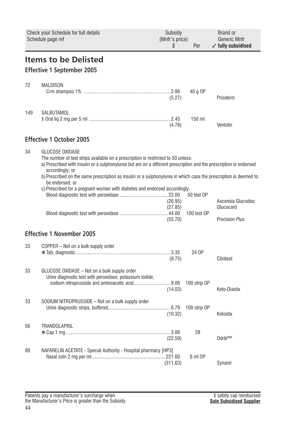<span id="page-43-0"></span>

|     | Check your Schedule for full details<br>Schedule page ref                                                                                                                                                                                                                                                                                                                                                                                                                 | Subsidy<br>(Mnfr's price)<br>\$ | Per          | Brand or<br>Generic Mnfr<br>$\checkmark$ fully subsidised |
|-----|---------------------------------------------------------------------------------------------------------------------------------------------------------------------------------------------------------------------------------------------------------------------------------------------------------------------------------------------------------------------------------------------------------------------------------------------------------------------------|---------------------------------|--------------|-----------------------------------------------------------|
|     | <b>Items to be Delisted</b><br><b>Effective 1 September 2005</b>                                                                                                                                                                                                                                                                                                                                                                                                          |                                 |              |                                                           |
| 72  | <b>MALDISON</b>                                                                                                                                                                                                                                                                                                                                                                                                                                                           | (5.27)                          | 40 g OP      | Prioderm                                                  |
| 149 | SALBUTAMOL                                                                                                                                                                                                                                                                                                                                                                                                                                                                | (4.76)                          | $150$ ml     | Ventolin                                                  |
|     | <b>Effective 1 October 2005</b>                                                                                                                                                                                                                                                                                                                                                                                                                                           |                                 |              |                                                           |
| 34  | <b>GLUCOSE OXIDASE</b><br>The number of test strips available on a prescription is restricted to 50 unless:<br>a) Prescribed with insulin or a sulphonylurea but are on a different prescription and the prescription is endorsed<br>accordingly; or<br>b) Prescribed on the same prescription as insulin or a sulphonylurea in which case the prescription is deemed to<br>be endorsed; or<br>c) Prescribed for a pregnant woman with diabetes and endorsed accordingly. |                                 | 50 test OP   |                                                           |
|     |                                                                                                                                                                                                                                                                                                                                                                                                                                                                           | (26.95)<br>(27.85)<br>(55.70)   | 100 test OP  | Ascensia Glucodisc<br>Glucocard<br><b>Precision Plus</b>  |
|     | <b>Effective 1 November 2005</b>                                                                                                                                                                                                                                                                                                                                                                                                                                          |                                 |              |                                                           |
| 33  | COPPER - Not on a bulk supply order                                                                                                                                                                                                                                                                                                                                                                                                                                       | (9.75)                          | 24 OP        | Clinitest                                                 |
| 33  | GLUCOSE OXIDASE - Not on a bulk supply order<br>Urine diagnostic test with peroxidase, potassium iodide,<br>sodium nitroprusside and aminoacetic acid9.06                                                                                                                                                                                                                                                                                                                 | (14.03)                         | 100 strip OP | Keto-Diastix                                              |
| 33  | SODIUM NITROPRUSSIDE – Not on a bulk supply order                                                                                                                                                                                                                                                                                                                                                                                                                         | (10.32)                         | 100 strip OP | Ketostix                                                  |
| 56  | <b>TRANDOLAPRIL</b>                                                                                                                                                                                                                                                                                                                                                                                                                                                       | (22.59)                         | 28           | <b>Odrik<sup>™</sup></b>                                  |
| 89  | NAFARELIN ACETATE - Special Authority - Hospital pharmacy [HP3]                                                                                                                                                                                                                                                                                                                                                                                                           | (311.63)                        | 8 ml OP      | Synarel                                                   |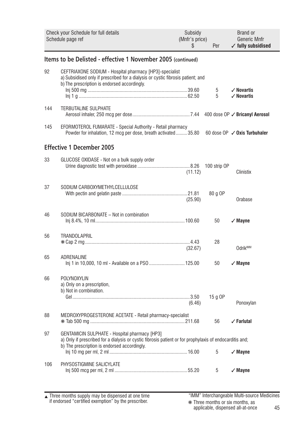<span id="page-44-0"></span>

|     | Check your Schedule for full details<br>Schedule page ref                                                                                                                                                | Subsidy<br>(Mnfr's price)<br>\$ | Per          | <b>Brand or</b><br><b>Generic Mnfr</b><br>$\checkmark$ fully subsidised |  |  |  |  |  |
|-----|----------------------------------------------------------------------------------------------------------------------------------------------------------------------------------------------------------|---------------------------------|--------------|-------------------------------------------------------------------------|--|--|--|--|--|
|     | Items to be Delisted - effective 1 November 2005 (continued)                                                                                                                                             |                                 |              |                                                                         |  |  |  |  |  |
| 92  | CEFTRIAXONE SODIUM - Hospital pharmacy [HP3]-specialist<br>a) Subsidised only if prescribed for a dialysis or cystic fibrosis patient; and<br>b) The prescription is endorsed accordingly.               |                                 | 5            | $\checkmark$ Novartis                                                   |  |  |  |  |  |
|     |                                                                                                                                                                                                          |                                 | 5            | $\angle$ Novartis                                                       |  |  |  |  |  |
| 144 | <b>TERBUTALINE SULPHATE</b>                                                                                                                                                                              |                                 |              | 400 dose OP ✓ Bricanyl Aerosol                                          |  |  |  |  |  |
| 145 | EFORMOTEROL FUMARATE - Special Authority - Retail pharmacy<br>Powder for inhalation, 12 mcg per dose, breath activated35.80                                                                              |                                 |              | 60 dose $OP \checkmark$ Oxis Turbuhaler                                 |  |  |  |  |  |
|     | <b>Effective 1 December 2005</b>                                                                                                                                                                         |                                 |              |                                                                         |  |  |  |  |  |
| 33  | GLUCOSE OXIDASE - Not on a bulk supply order                                                                                                                                                             | (11.12)                         | 100 strip OP | Clinistix                                                               |  |  |  |  |  |
| 37  | SODIUM CARBOXYMETHYLCELLULOSE                                                                                                                                                                            | (25.90)                         | 80 g OP      | Orabase                                                                 |  |  |  |  |  |
| 46  | SODIUM BICARBONATE - Not in combination                                                                                                                                                                  |                                 | 50           | $\checkmark$ Mayne                                                      |  |  |  |  |  |
| 56  | <b>TRANDOLAPRIL</b>                                                                                                                                                                                      | (32.67)                         | 28           | Odrik <sup>IMM</sup>                                                    |  |  |  |  |  |
| 65  | ADRENALINE<br>Inj 1 in 10,000, 10 ml - Available on a PSO  125.00                                                                                                                                        |                                 | 50           | $\sqrt{M}$ ayne                                                         |  |  |  |  |  |
| 66  | <b>POLYNOXYLIN</b><br>a) Only on a prescription,<br>b) Not in combination.                                                                                                                               |                                 |              |                                                                         |  |  |  |  |  |
|     |                                                                                                                                                                                                          | (6.46)                          | 15 g OP      | Ponoxylan                                                               |  |  |  |  |  |
| 88  | MEDROXYPROGESTERONE ACETATE - Retail pharmacy-specialist                                                                                                                                                 |                                 | 56           | $\angle$ Farlutal                                                       |  |  |  |  |  |
| 97  | GENTAMICIN SULPHATE - Hospital pharmacy [HP3]<br>a) Only if prescribed for a dialysis or cystic fibrosis patient or for prophylaxis of endocarditis and;<br>b) The prescription is endorsed accordingly. |                                 |              |                                                                         |  |  |  |  |  |
|     |                                                                                                                                                                                                          |                                 | 5            | $\checkmark$ Mayne                                                      |  |  |  |  |  |
| 106 | PHYSOSTIGMINE SALICYLATE                                                                                                                                                                                 |                                 | 5            | $\sqrt{M}$ ayne                                                         |  |  |  |  |  |

Three months supply may be dispensed at one time if endorsed "certified exemption" by the prescriber. ▲ "IMM" Interchangeable Multi-source Medicines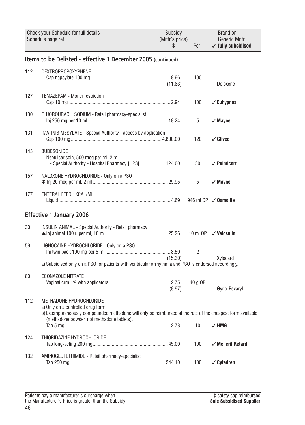<span id="page-45-0"></span>

|     | Check your Schedule for full details<br>Schedule page ref                                                                                                                                                                  | Subsidy<br>(Mnfr's price)<br>S | Per             | Brand or<br>Generic Mnfr<br>$\checkmark$ fully subsidised |
|-----|----------------------------------------------------------------------------------------------------------------------------------------------------------------------------------------------------------------------------|--------------------------------|-----------------|-----------------------------------------------------------|
|     | Items to be Delisted - effective 1 December 2005 (continued)                                                                                                                                                               |                                |                 |                                                           |
| 112 | DEXTROPROPOXYPHENE                                                                                                                                                                                                         | (11.83)                        | 100             | Doloxene                                                  |
| 127 | TEMAZEPAM - Month restriction                                                                                                                                                                                              |                                | 100             | $\checkmark$ Euhypnos                                     |
| 130 | FLUOROURACIL SODIUM - Retail pharmacy-specialist                                                                                                                                                                           |                                | 5               | $\sqrt{M}$ Mayne                                          |
| 131 | <b>IMATINIB MESYLATE - Special Authority - access by application</b>                                                                                                                                                       |                                | 120             | $\checkmark$ Glivec                                       |
| 143 | <b>BUDESONIDE</b><br>Nebuliser soln, 500 mcg per ml, 2 ml<br>- Special Authority - Hospital Pharmacy [HP3]  124.00                                                                                                         |                                | 30              | $\sqrt{}$ Pulmicort                                       |
| 157 | NALOXONE HYDROCHLORIDE - Only on a PSO                                                                                                                                                                                     |                                | 5               | $\sqrt{M}$ ayne                                           |
| 177 | ENTERAL FEED 1KCAL/ML                                                                                                                                                                                                      |                                |                 | 946 ml OP $\checkmark$ Osmolite                           |
|     | <b>Effective 1 January 2006</b>                                                                                                                                                                                            |                                |                 |                                                           |
| 30  | <b>INSULIN ANIMAL - Special Authority - Retail pharmacy</b>                                                                                                                                                                |                                |                 | 10 ml OP √ Velosulin                                      |
| 59  | LIGNOCAINE HYDROCHLORIDE - Only on a PSO<br>a) Subsidised only on a PSO for patients with ventricular arrhythmia and PSO is endorsed accordingly.                                                                          | (15.30)                        | 2               | Xylocard                                                  |
| 80  | <b>ECONAZOLE NITRATE</b>                                                                                                                                                                                                   | (8.97)                         | 40 g OP         | Gyno-Pevaryl                                              |
| 112 | METHADONE HYDROCHLORIDE<br>a) Only on a controlled drug form.<br>b) Extemporaneously compounded methadone will only be reimbursed at the rate of the cheapest form available<br>(methadone powder, not methadone tablets). |                                | 10 <sup>°</sup> | $\checkmark$ HMG                                          |
| 124 | THIORIDAZINE HYDROCHLORIDE                                                                                                                                                                                                 |                                | 100             | $\checkmark$ Melleril Retard                              |
| 132 | AMINOGLUTETHIMIDE - Retail pharmacy-specialist                                                                                                                                                                             |                                | 100             | $\checkmark$ Cytadren                                     |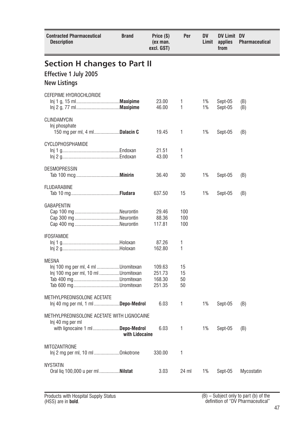<span id="page-46-0"></span>

| <b>Contracted Pharmaceutical</b><br>Description                                                    | <b>Brand</b>   | Price (\$)<br>(ex man.<br>excl. GST) | Per                  | DV<br>Limit | DV Limit DV<br>applies<br>from | Pharmaceutical |  |
|----------------------------------------------------------------------------------------------------|----------------|--------------------------------------|----------------------|-------------|--------------------------------|----------------|--|
| <b>Section H changes to Part II</b>                                                                |                |                                      |                      |             |                                |                |  |
| Effective 1 July 2005                                                                              |                |                                      |                      |             |                                |                |  |
| <b>New Listings</b>                                                                                |                |                                      |                      |             |                                |                |  |
| <b>CEFEPIME HYDROCHLORIDE</b>                                                                      |                | 23.00<br>46.00                       | 1<br>1               | 1%<br>1%    | Sept-05<br>Sept-05             | (B)<br>(B)     |  |
| CLINDAMYCIN<br>Inj phosphate<br>150 mg per ml, 4 ml <b>Dalacin C</b>                               |                | 19.45                                | 1                    | 1%          | Sept-05                        | (B)            |  |
| CYCLOPHOSPHAMIDE                                                                                   |                |                                      |                      |             |                                |                |  |
|                                                                                                    |                | 21.51                                | 1<br>1               |             |                                |                |  |
|                                                                                                    |                | 43.00                                |                      |             |                                |                |  |
| <b>DESMOPRESSIN</b>                                                                                |                | 36.40                                | 30                   | 1%          | Sept-05                        | (B)            |  |
| <b>FLUDARABINE</b>                                                                                 |                | 637.50                               | 15                   | 1%          | Sept-05                        | (B)            |  |
| <b>GABAPENTIN</b>                                                                                  |                | 29.46<br>88.36<br>117.81             | 100<br>100<br>100    |             |                                |                |  |
| <b>IFOSFAMIDE</b>                                                                                  |                |                                      |                      |             |                                |                |  |
|                                                                                                    |                | 87.26<br>162.80                      | 1<br>1               |             |                                |                |  |
| <b>MESNA</b><br>Inj 100 mg per ml, 4 ml Uromitexan<br>Inj 100 mg per ml, 10 ml Uromitexan          |                | 109.63<br>251.73<br>168.30<br>251.35 | 15<br>15<br>50<br>50 |             |                                |                |  |
| METHYLPREDNISOLONE ACETATE<br>lnj 40 mg per ml, 1 ml Depo-Medrol                                   |                | 6.03                                 | 1                    | 1%          | Sept-05                        | (B)            |  |
| METHYLPREDNISOLONE ACETATE WITH LIGNOCAINE<br>Inj 40 mg per ml<br>with lignocaine 1 ml Depo-Medrol | with Lidocaine | 6.03                                 | 1                    | 1%          | Sept-05                        | (B)            |  |
| <b>MITOZANTRONE</b><br>Inj 2 mg per ml, 10 ml Onkotrone                                            |                | 330.00                               | 1                    |             |                                |                |  |
| <b>NYSTATIN</b><br>Oral liq 100,000 u per ml  Nilstat                                              |                | 3.03                                 | 24 ml                | 1%          | Sept-05                        | Mycostatin     |  |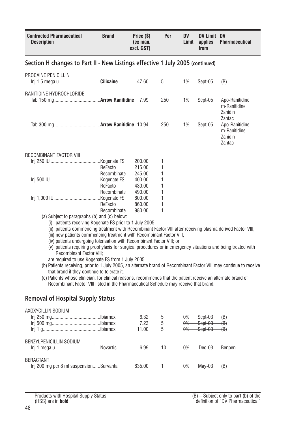<span id="page-47-0"></span>

| <b>Contracted Pharmaceutical</b><br><b>Description</b>                                                                                                                                                                                                                                                                                                                                                                                                                                                                                                                                                                                                                                                                                                                                                                                                                                                             | <b>Brand</b>           | Price (\$)<br>(ex man.<br>excl. GST) | Per    | DV<br>Limit | DV Limit DV<br>applies<br>from | <b>Pharmaceutical</b>                                         |
|--------------------------------------------------------------------------------------------------------------------------------------------------------------------------------------------------------------------------------------------------------------------------------------------------------------------------------------------------------------------------------------------------------------------------------------------------------------------------------------------------------------------------------------------------------------------------------------------------------------------------------------------------------------------------------------------------------------------------------------------------------------------------------------------------------------------------------------------------------------------------------------------------------------------|------------------------|--------------------------------------|--------|-------------|--------------------------------|---------------------------------------------------------------|
| Section H changes to Part II - New Listings effective 1 July 2005 (continued)                                                                                                                                                                                                                                                                                                                                                                                                                                                                                                                                                                                                                                                                                                                                                                                                                                      |                        |                                      |        |             |                                |                                                               |
| PROCAINE PENICILLIN<br>Inj 1.5 mega u Cilicaine                                                                                                                                                                                                                                                                                                                                                                                                                                                                                                                                                                                                                                                                                                                                                                                                                                                                    |                        | 47.60                                | 5      | 1%          | Sept-05                        | (B)                                                           |
| RANITIDINE HYDROCHLORIDE                                                                                                                                                                                                                                                                                                                                                                                                                                                                                                                                                                                                                                                                                                                                                                                                                                                                                           |                        | 7.99                                 | 250    | 1%          | Sept-05                        | Apo-Ranitidine<br>m-Ranitidine<br>Zanidin                     |
|                                                                                                                                                                                                                                                                                                                                                                                                                                                                                                                                                                                                                                                                                                                                                                                                                                                                                                                    |                        |                                      | 250    | 1%          | Sept-05                        | Zantac<br>Apo-Ranitidine<br>m-Ranitidine<br>Zanidin<br>Zantac |
| RECOMBINANT FACTOR VIII                                                                                                                                                                                                                                                                                                                                                                                                                                                                                                                                                                                                                                                                                                                                                                                                                                                                                            |                        |                                      |        |             |                                |                                                               |
|                                                                                                                                                                                                                                                                                                                                                                                                                                                                                                                                                                                                                                                                                                                                                                                                                                                                                                                    |                        | 200.00                               | 1      |             |                                |                                                               |
|                                                                                                                                                                                                                                                                                                                                                                                                                                                                                                                                                                                                                                                                                                                                                                                                                                                                                                                    | ReFacto                | 215.00                               | 1      |             |                                |                                                               |
|                                                                                                                                                                                                                                                                                                                                                                                                                                                                                                                                                                                                                                                                                                                                                                                                                                                                                                                    | Recombinate            | 245.00                               | 1      |             |                                |                                                               |
|                                                                                                                                                                                                                                                                                                                                                                                                                                                                                                                                                                                                                                                                                                                                                                                                                                                                                                                    |                        | 400.00                               | 1      |             |                                |                                                               |
|                                                                                                                                                                                                                                                                                                                                                                                                                                                                                                                                                                                                                                                                                                                                                                                                                                                                                                                    | ReFacto                | 430.00                               | 1      |             |                                |                                                               |
|                                                                                                                                                                                                                                                                                                                                                                                                                                                                                                                                                                                                                                                                                                                                                                                                                                                                                                                    | Recombinate            | 490.00                               | 1      |             |                                |                                                               |
|                                                                                                                                                                                                                                                                                                                                                                                                                                                                                                                                                                                                                                                                                                                                                                                                                                                                                                                    |                        | 800.00                               | 1      |             |                                |                                                               |
|                                                                                                                                                                                                                                                                                                                                                                                                                                                                                                                                                                                                                                                                                                                                                                                                                                                                                                                    | ReFacto<br>Recombinate | 860.00<br>980.00                     | 1<br>1 |             |                                |                                                               |
| (a) Subject to paragraphs (b) and (c) below:                                                                                                                                                                                                                                                                                                                                                                                                                                                                                                                                                                                                                                                                                                                                                                                                                                                                       |                        |                                      |        |             |                                |                                                               |
| (i) patients receiving Kogenate FS prior to 1 July 2005;<br>(ii) patients commencing treatment with Recombinant Factor VIII after receiving plasma derived Factor VIII;<br>(iii) new patients commencing treatment with Recombinant Factor VIII;<br>(iv) patients undergoing tolerisation with Recombinant Factor VIII; or<br>(v) patients requiring prophylaxis for surgical procedures or in emergency situations and being treated with<br><b>Recombinant Factor VIII:</b><br>are required to use Kogenate FS from 1 July 2005.<br>(b) Patients receiving, prior to 1 July 2005, an alternate brand of Recombinant Factor VIII may continue to receive<br>that brand if they continue to tolerate it.<br>(c) Patients whose clinician, for clinical reasons, recommends that the patient receive an alternate brand of<br>Recombinant Factor VIII listed in the Pharmaceutical Schedule may receive that brand. |                        |                                      |        |             |                                |                                                               |
| <b>Removal of Hospital Supply Status</b>                                                                                                                                                                                                                                                                                                                                                                                                                                                                                                                                                                                                                                                                                                                                                                                                                                                                           |                        |                                      |        |             |                                |                                                               |
| AXOXYCILLIN SODIUM                                                                                                                                                                                                                                                                                                                                                                                                                                                                                                                                                                                                                                                                                                                                                                                                                                                                                                 |                        |                                      |        |             |                                |                                                               |
|                                                                                                                                                                                                                                                                                                                                                                                                                                                                                                                                                                                                                                                                                                                                                                                                                                                                                                                    |                        | 6.32                                 | 5      | $\theta$ %  | <del>Sept-03</del>             | <del>(B)</del>                                                |
|                                                                                                                                                                                                                                                                                                                                                                                                                                                                                                                                                                                                                                                                                                                                                                                                                                                                                                                    |                        | 7.23                                 | 5      | $\theta$ %  | Sept-03                        | <del>(B)</del>                                                |
|                                                                                                                                                                                                                                                                                                                                                                                                                                                                                                                                                                                                                                                                                                                                                                                                                                                                                                                    |                        | 11.00                                | 5      | $\theta$ %  | Sept-03                        | <del>(B)</del>                                                |
| <b>BENZYLPENICILLIN SODIUM</b>                                                                                                                                                                                                                                                                                                                                                                                                                                                                                                                                                                                                                                                                                                                                                                                                                                                                                     |                        | 6.99                                 | 10     | $\theta\%$  | Dec-03                         | Benpen                                                        |
| <b>BERACTANT</b>                                                                                                                                                                                                                                                                                                                                                                                                                                                                                                                                                                                                                                                                                                                                                                                                                                                                                                   |                        |                                      |        |             |                                |                                                               |
| Inj 200 mg per 8 ml suspensionSurvanta                                                                                                                                                                                                                                                                                                                                                                                                                                                                                                                                                                                                                                                                                                                                                                                                                                                                             |                        | 835.00                               | 1      | $\theta$ %  | May-03                         | <del>(B)</del>                                                |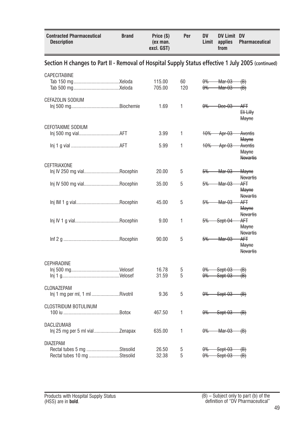<span id="page-48-0"></span>

| <b>Contracted Pharmaceutical</b><br><b>Description</b>                                             | <b>Brand</b> | Price (\$)<br>(ex man.<br>excl. GST) | Per       | <b>DV</b><br>Limit       | <b>DV Limit DV</b><br>applies<br>from | <b>Pharmaceutical</b>                                      |
|----------------------------------------------------------------------------------------------------|--------------|--------------------------------------|-----------|--------------------------|---------------------------------------|------------------------------------------------------------|
| Section H changes to Part II - Removal of Hospital Supply Status effective 1 July 2005 (continued) |              |                                      |           |                          |                                       |                                                            |
| <b>CAPECITABINE</b>                                                                                |              | 115.00<br>705.00                     | 60<br>120 | <del>0%</del><br>$0\%$   | Mar-03<br>Mar-03                      | $\langle B \rangle$<br>-€€                                 |
| <b>CEFAZOLIN SODIUM</b>                                                                            |              | 1.69                                 | 1         | $\theta$ %               | $Dec-03$                              | <del>AFT</del><br><del>Eli Lilly</del><br><del>Mayne</del> |
| <b>CEFOTAXIME SODIUM</b>                                                                           |              | 3.99                                 | 1         | 10%                      | <del>Apr-03</del>                     | Aventis<br><del>Mayne</del>                                |
|                                                                                                    |              | 5.99                                 | 1         | 10%                      | <del>Apr-03</del>                     | Aventis<br><b>Mayne</b><br><b>Novartis</b>                 |
| CEFTRIAXONE<br>Inj IV 250 mg vialRocephin                                                          |              | 20.00                                | 5         | 5%                       | Mar-03                                | Mayne<br><b>Novartis</b>                                   |
| Inj IV 500 mg vialRocephin                                                                         |              | 35.00                                | 5         | 5%                       | <del>Mar-03</del>                     | AFT<br><b>Mayne</b>                                        |
|                                                                                                    |              | 45.00                                | 5         | 5%                       | Mar-03                                | <b>Novartis</b><br>AFT<br><b>Mayne</b><br><b>Novartis</b>  |
|                                                                                                    |              | 9.00                                 | 1         | 5%                       | Sept-04                               | ΑFΤ<br><del>Mayne</del>                                    |
|                                                                                                    |              | 90.00                                | 5         | 5%                       | <del>Mar-03</del>                     | <b>Novartis</b><br>AFT<br><b>Mayne</b><br><b>Novartis</b>  |
| <b>CEPHRADINE</b>                                                                                  |              | 16.78<br>31.59                       | 5<br>5    | $\theta\%$<br>0%         | Sept-03<br>Sept-03                    | $\left(\mathsf{B}\right)$<br>$\oplus$                      |
| CLONAZEPAM<br>Inj 1 mg per ml, 1 ml Rivotril                                                       |              | 9.36                                 | 5         | 0%                       | Sept-03                               | $\langle B \rangle$                                        |
| <b>CLOSTRIDUM BOTULINUM</b>                                                                        |              | 467.50                               | 1         | $\theta\%$               | Sept-03                               | $\langle B \rangle$                                        |
| DACLIZUMAB                                                                                         |              | 635.00                               | 1         | $0\%$                    | Mar-03                                | $\oplus$                                                   |
| <b>DIAZEPAM</b><br>Rectal tubes 5 mg Stesolid<br>Rectal tubes 10 mg Stesolid                       |              | 26.50<br>32.38                       | 5<br>5    | $\theta\%$<br>$\theta\%$ | Sept-03<br><del>Sept-03</del>         | (B)<br>$\langle B \rangle$                                 |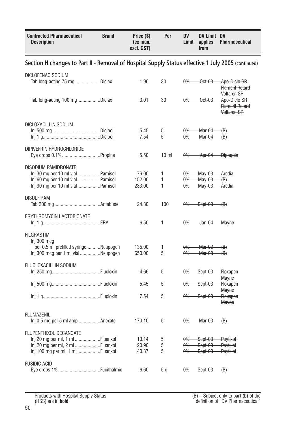<span id="page-49-0"></span>

| <b>Contracted Pharmaceutical</b><br><b>Description</b>                                                                           | <b>Brand</b> | Price (\$)<br>(ex man.<br>excl. GST) | Per             | <b>DV</b><br>Limit                     | DV Limit DV<br>applies<br>from                          | <b>Pharmaceutical</b>                                 |
|----------------------------------------------------------------------------------------------------------------------------------|--------------|--------------------------------------|-----------------|----------------------------------------|---------------------------------------------------------|-------------------------------------------------------|
| Section H changes to Part II - Removal of Hospital Supply Status effective 1 July 2005 (continued)                               |              |                                      |                 |                                        |                                                         |                                                       |
| DICLOFENAC SODIUM<br>Tab long-acting 75 mgDiclax                                                                                 |              | 1.96                                 | 30              | $0\%$                                  | $-0$ ct $-03$                                           | Apo-Diclo SR<br><b>Flameril Retard</b><br>Voltaren SR |
| Tab long-acting 100 mgDiclax                                                                                                     |              | 3.01                                 | 30              | 0%                                     | Oct-03                                                  | Apo-Diclo SR<br><b>Flameril Retard</b><br>Voltaren SR |
| DICLOXACILLIN SODIUM                                                                                                             |              | 5.45<br>7.54                         | 5<br>5          | $\theta$<br>$0\%$                      | Mar-04<br>Mar-04                                        | $\langle B \rangle$<br>$\oplus$                       |
| DIPIVEFRIN HYDROCHLORIDE                                                                                                         |              | 5.50                                 | 10 <sub>m</sub> | $0\%$                                  | Apr-04                                                  | <b>Dipoquin</b>                                       |
| DISODIUM PAMIDRONATE<br>Inj 30 mg per 10 ml vialPamisol<br>Inj 60 mg per 10 ml vialPamisol<br>Inj 90 mg per 10 ml vialPamisol    |              | 76.00<br>152.00<br>233.00            | 1<br>1<br>1     | $0\%$<br>$\theta$ %<br>$\theta\%$      | <del>Mav-03</del><br><del>Mav-03</del><br><b>May-03</b> | Aredia<br>$\langle B \rangle$<br>Aredia               |
| <b>DISULFIRAM</b>                                                                                                                |              | 24.30                                | 100             | $\theta\%$                             | Sept-03                                                 | $\oplus$                                              |
| ERYTHROMYCIN LACTOBIONATE                                                                                                        |              | 6.50                                 | 1               | 0%                                     | Jan-04                                                  | <del>Mayne</del>                                      |
| <b>FILGRASTIM</b><br>Inj 300 mcg<br>per 0.5 ml prefilled syringeNeupogen<br>Inj 300 mcg per 1 ml vialNeupogen                    |              | 135.00<br>650.00                     | 1<br>5          | $\theta\%$<br>0%                       | Mar-03<br><b>Mar-03</b>                                 | <del>(B)</del><br>⊕)                                  |
| FLUCLOXACILLIN SODIUM                                                                                                            |              | 4.66                                 | 5               | $\theta\%$                             | Sept-03                                                 | <b>Floxapen</b>                                       |
|                                                                                                                                  |              | 5.45                                 | 5               | $\theta\%$                             | Sept-03                                                 | <b>Mayne</b><br><b>Floxapen</b><br><b>Mayne</b>       |
|                                                                                                                                  |              | 7.54                                 | 5               | $\theta$ %                             | Sept-03                                                 | <b>Floxapen</b><br><b>Mayne</b>                       |
| <b>FLUMAZENIL</b><br>Inj 0.5 mg per 5 ml amp Anexate                                                                             |              | 170.10                               | 5               | $0\%$                                  | <del>Mar-03</del>                                       | $\langle B \rangle$                                   |
| FLUPENTHIXOL DECANOATE<br>Inj 20 mg per ml, 1 ml Fluanxol<br>Inj 20 mg per ml, 2 ml Fluanxol<br>Inj 100 mg per ml, 1 ml Fluanxol |              | 13.14<br>20.90<br>40.87              | 5<br>5<br>5     | $\theta\%$<br>$\theta$ %<br>$\theta\%$ | Sept-03<br>Sept-03<br>Sept-03                           | <b>Psytixol</b><br><b>Psytixol</b><br><b>Psytixol</b> |
| <b>FUSIDIC ACID</b><br>Eye drops 1% Fucithalmic                                                                                  |              | 6.60                                 | 5 <sub>g</sub>  | $\theta\%$                             | Sept-03                                                 | $\langle B \rangle$                                   |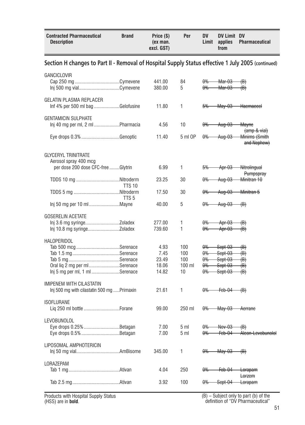<span id="page-50-0"></span>

| <b>Contracted Pharmaceutical</b><br><b>Description</b>                                             | <b>Brand</b>     | Price (\$)<br>(ex man.<br>excl. GST)    | Per                                 | <b>DV</b><br>Limit                                                      | DV Limit DV<br>applies<br>from                        | <b>Pharmaceutical</b>                                         |
|----------------------------------------------------------------------------------------------------|------------------|-----------------------------------------|-------------------------------------|-------------------------------------------------------------------------|-------------------------------------------------------|---------------------------------------------------------------|
| Section H changes to Part II - Removal of Hospital Supply Status effective 1 July 2005 (continued) |                  |                                         |                                     |                                                                         |                                                       |                                                               |
| <b>GANCICLOVIR</b><br>Inj 500 mg vialCymevene                                                      |                  | 441.00<br>380.00                        | 84<br>5                             | <del>0% -</del><br><del>0% —</del>                                      | <del>Mar-03</del><br><del>Mar-03 —</del>              | ⊕<br>⊣B∋                                                      |
| <b>GELATIN PLASMA REPLACER</b><br>Inf 4% per 500 ml bag Gelofusine                                 |                  | 11.80                                   | 1                                   | 5%                                                                      |                                                       | May-03 Haemaccel                                              |
| <b>GENTAMICIN SULPHATE</b><br>Inj 40 mg per ml, 2 ml Pharmacia                                     |                  | 4.56                                    | 10                                  | <del>0%-</del>                                                          | Aug-03                                                | <del>Mavne</del><br>(amp & vial)                              |
| Eye drops 0.3% Genoptic                                                                            |                  | 11.40                                   | 5 ml OP                             | $0\%$                                                                   | <del>Aug-03</del>                                     | Minims (Smith<br>and Nephew)                                  |
| <b>GLYCERYL TRINITRATE</b><br>Aerosol spray 400 mcg                                                |                  |                                         |                                     |                                                                         |                                                       |                                                               |
| per dose 200 dose CFC-free Glytrin                                                                 |                  | 6.99                                    | $\mathbf{1}$                        | <del>5% -</del>                                                         |                                                       | Apr-03 Nitrolingual<br><b>Pumpspray</b>                       |
| TDDS 10 mg Nitroderm                                                                               | <b>TTS 10</b>    | 23.25                                   | 30                                  | <del>0% -</del>                                                         |                                                       | Aug-03 Minitran 10                                            |
|                                                                                                    | TTS <sub>5</sub> | 17.50                                   | 30                                  |                                                                         |                                                       | 0% Aug-03 Minitran 5                                          |
|                                                                                                    |                  | 40.00                                   | 5                                   | <del>0% -</del>                                                         | $Aug-03$ (B)                                          |                                                               |
| <b>GOSERELIN ACETATE</b>                                                                           |                  | 277.00<br>739.60                        | 1<br>1                              | <del>0% -</del><br><del>0% -</del>                                      | Apr-03<br>Apr-03                                      | (B)<br>-(B)                                                   |
| <b>HALOPERIDOL</b><br>Oral liq 2 mg per ml Serenace<br>Inj 5 mg per ml, 1 ml Serenace              |                  | 4.93<br>7.45<br>23.49<br>18.06<br>14.82 | 100<br>100<br>100<br>$100$ ml<br>10 | <del>0%-</del><br><del>0%</del><br>$\theta\%$<br><del>0%</del><br>$0\%$ | Sept-03<br>Sept-03<br>-Sept-03-<br>Sept-03<br>Sept-03 | ⊕<br>$\langle B \rangle$<br>(B)<br>$\langle B \rangle$<br>(B) |
| <b>IMIPENEM WITH CILASTATIN</b><br>Inj 500 mg with cilastatin 500 mg  Primaxin                     |                  | 21.61                                   | 1                                   | <del>0% -</del>                                                         | $\leftarrow$ Feb-04 $\leftarrow$ (B)                  |                                                               |
| <b>ISOFLURANE</b>                                                                                  |                  | 99.00                                   | 250 ml                              | <del>0%-</del>                                                          | $\frac{May-03}{ }$                                    | <del>- Aerrane</del>                                          |
| <b>LEVOBUNOLOL</b><br>Eye drops 0.25% Betagan<br>Eye drops 0.5% Betagan                            |                  | 7.00<br>7.00                            | 5 <sub>m1</sub><br>5 <sub>m</sub>   | <del>0% -</del><br>$0\%$                                                | $\rightarrow$ Nov-03                                  | $\oplus$<br>Feb-04 Alcon-Levobunolol                          |
| LIPOSOMAL AMPHOTERICIN                                                                             |                  | 345.00                                  | 1                                   |                                                                         | $0\%$ May-03 (B)                                      |                                                               |
| LORAZEPAM                                                                                          |                  | 4.04                                    | 250                                 | <del>0%-</del>                                                          | Feb-04                                                | <del>Lorapam</del>                                            |
|                                                                                                    |                  | 3.92                                    | 100                                 | $\theta\%$                                                              | Sept-04                                               | Lorzem<br><del>Lorapam</del>                                  |

(B) – Subject only to part (b) of the definition of "DV Pharmaceutical"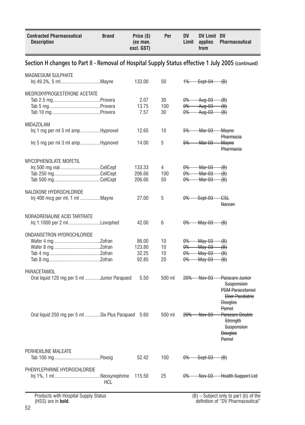<span id="page-51-0"></span>

| Section H changes to Part II - Removal of Hospital Supply Status effective 1 July 2005 (continued)<br><b>MAGNESIUM SULPHATE</b><br>133.00<br>50<br>$+$<br>Sept-04<br>$\langle B \rangle$ |  |
|------------------------------------------------------------------------------------------------------------------------------------------------------------------------------------------|--|
|                                                                                                                                                                                          |  |
|                                                                                                                                                                                          |  |
| MEDROXYPROGESTERONE ACETATE                                                                                                                                                              |  |
| 30<br>2.07<br><del>0%</del><br><del>Aug-03</del><br><del>(B)</del>                                                                                                                       |  |
| 13.75<br>100<br><del>0%</del><br>Aug-03<br><del>(B)</del>                                                                                                                                |  |
| 7.57<br>30<br>$\theta\%$<br>Aug-03<br><del>(B)</del>                                                                                                                                     |  |
| <b>MIDAZOLAM</b>                                                                                                                                                                         |  |
| Inj 1 mg per ml 5 ml ampHypnovel<br>10<br>Mar-03<br>12.65<br>5%<br><del>Mayne</del>                                                                                                      |  |
| Pharmacia                                                                                                                                                                                |  |
| 5<br>lnj 5 mg per ml 3 ml ampHypnovel<br>14.00<br><del>Mar-03</del><br>5%<br><del>Mayne</del>                                                                                            |  |
| Pharmacia                                                                                                                                                                                |  |
| MYCOPHENOLATE MOFETIL                                                                                                                                                                    |  |
| Inj 500 mg vialCellCept<br>4<br>133.33<br>$\theta$ %<br><del>Mar-03</del><br>∰                                                                                                           |  |
| 206.66<br>100<br>$0\%$<br><del>Mar-03</del><br><del>(B)</del>                                                                                                                            |  |
| 206.66<br>50<br><del>0%</del><br><del>Mar-03</del><br><del>(B)</del>                                                                                                                     |  |
| NALOXONE HYDROCHLORIDE                                                                                                                                                                   |  |
| Inj 400 mcg per ml, 1 ml Mayne<br>5<br>$0\%$<br>27.00<br>Sept-03<br>€SŁ                                                                                                                  |  |
| Narcan                                                                                                                                                                                   |  |
| NORADRENALINE ACID TARTRATE                                                                                                                                                              |  |
| Inj 1:1000 per 2 mlLevophed<br>6<br>$\theta\%$<br>42.00<br><del>May-03</del><br>$\oplus$                                                                                                 |  |
|                                                                                                                                                                                          |  |
| ONDANSETRON HYDROCHLORIDE                                                                                                                                                                |  |
| 10<br>May-03<br>86.00<br>$\theta\%$<br><del>(B)</del><br>10                                                                                                                              |  |
| 123.80<br><b>May-03</b><br>$\theta$<br><del>(B)</del><br>32.25<br>10<br>$\theta\%$<br><b>May-03</b>                                                                                      |  |
| $\left(\mathsf{B}\right)$<br>92.85<br>20<br>$\theta\%$<br>May-03<br><del>(B)</del>                                                                                                       |  |
|                                                                                                                                                                                          |  |
| PARACETAMOL                                                                                                                                                                              |  |
| Oral liquid 120 mg per 5 ml Junior Parapaed<br><del>-Nov-03</del><br>5.50<br>500 ml<br><del>20%</del><br>Paracare Junior                                                                 |  |
| Suspension<br><b>PSM Paracetamol</b>                                                                                                                                                     |  |
| <b>Elixir Paediatric</b>                                                                                                                                                                 |  |
| <b>Douglas</b>                                                                                                                                                                           |  |
| Pamol                                                                                                                                                                                    |  |
| Oral liquid 250 mg per 5 ml Six Plus Parapaed 5.60<br>Paracare Double<br>500 ml<br><del>20%</del><br><del>Nov-03</del>                                                                   |  |
| Strength                                                                                                                                                                                 |  |
| Suspension                                                                                                                                                                               |  |
| <b>Douglas</b>                                                                                                                                                                           |  |
| Pamol                                                                                                                                                                                    |  |
| PERHEXILINE MALEATE                                                                                                                                                                      |  |
| 100<br>$0\%$ Sept-03<br>52.42<br>$\oplus$                                                                                                                                                |  |
|                                                                                                                                                                                          |  |
| PHENYLEPHRINE HYDROCHLORIDE                                                                                                                                                              |  |
| 25<br>Nov-03 Health Support Ltd<br>115.50<br>$0\%$                                                                                                                                       |  |
| <b>HCL</b>                                                                                                                                                                               |  |
| Draduate with Hoopital Cupply Ctatus<br>$(D)$ Cubingt only to nort $(b)$ of the                                                                                                          |  |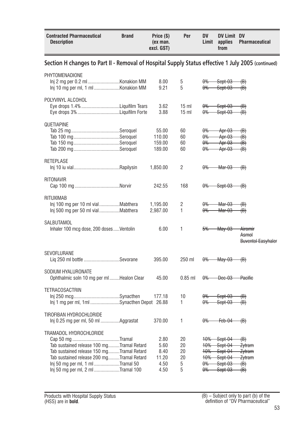<span id="page-52-0"></span>

| <b>Contracted Pharmaceutical</b><br>Description                                                                                                                                                                                        | <b>Brand</b> | Price (\$)<br>(ex man.<br>excl. GST)          | Per                                 | DV<br>Limit                                                            | DV Limit DV<br>applies<br>from                                 | <b>Pharmaceutical</b>                                                                 |
|----------------------------------------------------------------------------------------------------------------------------------------------------------------------------------------------------------------------------------------|--------------|-----------------------------------------------|-------------------------------------|------------------------------------------------------------------------|----------------------------------------------------------------|---------------------------------------------------------------------------------------|
| Section H changes to Part II - Removal of Hospital Supply Status effective 1 July 2005 (continued)                                                                                                                                     |              |                                               |                                     |                                                                        |                                                                |                                                                                       |
| PHYTOMENADIONE                                                                                                                                                                                                                         |              | 8.00<br>9.21                                  | 5<br>5                              | $\theta\%$<br>0%                                                       | Sept-03<br>Sept-03                                             | <del>(B)</del><br><del>(B)</del>                                                      |
| POLYVINYL ALCOHOL                                                                                                                                                                                                                      |              | 3.62<br>3.88                                  | 15 <sub>ml</sub><br>15 <sub>m</sub> | $\theta\%$<br><del>0% -</del>                                          | Sept-03<br>Sept-03                                             | (B)<br>-€€                                                                            |
| QUETIAPINE                                                                                                                                                                                                                             |              | 55.00<br>110.00<br>159.00<br>189.00           | 60<br>60<br>60<br>60                | 0%<br>$\theta\%$<br>0%<br>0%                                           | Apr-03<br>Apr-03<br>Apr-03<br>Apr-03                           | (B)<br><del>(B)</del><br>$\langle B \rangle$<br><del>(B)</del>                        |
| <b>RETEPLASE</b>                                                                                                                                                                                                                       |              | 1,850.00                                      | 2                                   | 0%                                                                     | Mar-03                                                         | $\langle B \rangle$                                                                   |
| <b>RITONAVIR</b>                                                                                                                                                                                                                       |              | 242.55                                        | 168                                 | $\theta\%$                                                             | Sept-03                                                        | $\Theta$                                                                              |
| <b>RITUXIMAB</b><br>Inj 100 mg per 10 ml vialMabthera<br>Inj 500 mg per 50 ml vialMabthera                                                                                                                                             |              | 1,195.00<br>2,987.00                          | 2<br>1                              | 0%<br>$\theta\%$                                                       | <del>Mar-03</del><br><del>Mar-03</del>                         | <del>(B)</del><br>$\langle B \rangle$                                                 |
| SALBUTAMOL<br>Inhaler 100 mcg dose, 200 dosesVentolin                                                                                                                                                                                  |              | 6.00                                          | 1                                   | 5%                                                                     | <del>May-03</del>                                              | <del>Airomir</del><br>Asmol<br><b>Buventol Easyhaler</b>                              |
| SEVOFLURANE<br>Liq 250 ml bottle Sevorane                                                                                                                                                                                              |              | 395.00                                        | 250 ml                              | <del>0%</del>                                                          | <del>Mav-03</del>                                              | $\langle B \rangle$                                                                   |
| SODIUM HYALURONATE<br>Ophthalmic soln 10 mg per ml Healon Clear                                                                                                                                                                        |              | 45.00                                         | $0.85$ ml                           | $\theta\%$                                                             | $Dec-03$                                                       | Pacific                                                                               |
| TETRACOSACTRIN<br>Inj 1 mg per ml, 1ml Synacthen Depot 26.88                                                                                                                                                                           |              | 177.18                                        | 10<br>1                             | <del>0%</del><br>$\theta\%$                                            | Sept-03<br>Sept-03                                             | (B)<br>(B)                                                                            |
| TIROFIBAN HYDROCHLORIDE<br>Inj 0.25 mg per ml, 50 ml Aggrastat                                                                                                                                                                         |              | 370.00                                        | 1                                   | $\theta\%$                                                             | Feb-04                                                         | $\langle B \rangle$                                                                   |
| TRAMADOL HYDROCHLORIDE<br>Tab sustained release 100 mgTramal Retard<br>Tab sustained release 150 mgTramal Retard<br>Tab sustained release 200 mgTramal Retard<br>Inj 50 mg per ml, 1 ml Tramal 50<br>Inj 50 mg per ml, 2 ml Tramal 100 |              | 2.80<br>5.60<br>8.40<br>11.20<br>4.50<br>4.50 | 20<br>20<br>20<br>20<br>5<br>5      | $+0%$<br><del>10%</del><br><del>10%</del><br>$+0%$<br>$\theta\%$<br>0% | Sept-04<br>Sept-04<br>Sept-04<br>Sept-04<br>Sept-03<br>Sept-03 | $\langle B \rangle$<br>Zytram<br>Zytram<br>Zytram<br><del>(B)</del><br><del>(B)</del> |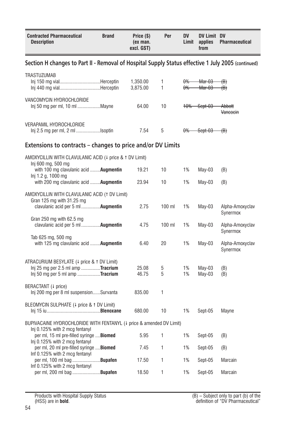<span id="page-53-0"></span>

| <b>Contracted Pharmaceutical</b><br><b>Description</b>                                                                               | <b>Brand</b> | Price (\$)<br>(ex man.<br>excl. GST) | Per      | <b>DV</b><br>Limit | DV Limit DV<br>applies<br>from | <b>Pharmaceutical</b>                   |
|--------------------------------------------------------------------------------------------------------------------------------------|--------------|--------------------------------------|----------|--------------------|--------------------------------|-----------------------------------------|
| Section H changes to Part II - Removal of Hospital Supply Status effective 1 July 2005 (continued)                                   |              |                                      |          |                    |                                |                                         |
| <b>TRASTUZUMAB</b><br>Inj 150 mg vialHerceptin<br>Inj 440 mg vialHerceptin                                                           |              | 1,350.00<br>3,875.00                 | 1<br>1   | $0\%$<br>$0\%$     | Mar-03<br>Mar-03               | <del>(B)</del><br>(B)                   |
| VANCOMYCIN HYDROCHLORIDE<br>Inj 50 mg per ml, 10 ml Mayne                                                                            |              | 64.00                                | 10       |                    | 10% Sept-03                    | <del>Abbott</del><br><b>Vancocin</b>    |
| <b>VERAPAMIL HYDROCHLORIDE</b>                                                                                                       |              | 7.54                                 | 5        | 0%                 | $Set-03$ $(B)$                 |                                         |
| Extensions to contracts - changes to price and/or DV Limits                                                                          |              |                                      |          |                    |                                |                                         |
| AMOXYCILLIN WITH CLAVULANIC ACID (4 price & 1 DV Limit)<br>Inj 600 mg, 500 mg                                                        |              |                                      |          |                    |                                |                                         |
| with 100 mg clavulanic acid <b>Augmentin</b><br>lnj 1.2 g, 1000 mg                                                                   |              | 19.21                                | 10       | 1%                 | May-03                         | (B)                                     |
| with 200 mg clavulanic acid <b>Augmentin</b>                                                                                         |              | 23.94                                | 10       | 1%                 | May-03                         | (B)                                     |
| AMOXYCILLIN WITH CLAVULANIC ACID (1 DV Limit)<br>Gran 125 mg with 31.25 mg<br>clavulanic acid per 5 ml <b>Augmentin</b>              |              | 2.75                                 | $100$ ml | 1%                 | May-03                         | Alpha-Amoxyclav                         |
| Gran 250 mg with $62.5$ mg<br>clavulanic acid per 5 ml  Augmentin                                                                    |              | 4.75                                 | 100 ml   | 1%                 | May-03                         | Synermox<br>Alpha-Amoxyclav<br>Synermox |
| Tab 625 mg, 500 mg<br>with 125 mg clavulanic acid <b>Augmentin</b>                                                                   |              | 6.40                                 | 20       | 1%                 | May-03                         | Alpha-Amoxyclav<br>Synermox             |
| ATRACURIUM BESYLATE (+ price & 1 DV Limit)<br>$Inj 25 mg$ per 2.5 ml amp <b>Tracrium</b><br>$Inj 50 mg$ per 5 ml amp <b>Tracrium</b> |              | 25.08<br>46.75                       | 5<br>5   | 1%<br>1%           | May-03<br>$May-03$             | (B)<br>(B)                              |
| BERACTANT (4 price)<br>Inj 200 mg per 8 ml suspensionSurvanta                                                                        |              | 835.00                               | 1        |                    |                                |                                         |
| BLEOMYCIN SULPHATE (4 price & 1 DV Limit)                                                                                            |              | 680.00                               | 10       | 1%                 | Sept-05                        | Mayne                                   |
| BUPIVACAINE HYDROCHLORIDE WITH FENTANYL (4 price & amended DV Limit)<br>Inj 0.125% with 2 mcg fentanyl                               |              |                                      |          |                    |                                |                                         |
| per ml, 15 ml pre-filled syringe  Biomed<br>Inj 0.125% with 2 mcg fentanyl                                                           |              | 5.95                                 | 1        | 1%                 | Sept-05                        | (B)                                     |
| per ml, 20 ml pre-filled syringe  Biomed<br>Inf 0.125% with 2 mcg fentanyl                                                           |              | 7.45                                 | 1        | 1%                 | Sept-05                        | (B)                                     |
| per ml, 100 ml bag <b>Bupafen</b><br>Inf 0.125% with 2 mcg fentanyl                                                                  |              | 17.50                                | 1        | 1%                 | Sept-05                        | Marcain                                 |
| per ml, 200 ml bag <b>Bupafen</b>                                                                                                    |              | 18.50                                | 1        | 1%                 | Sept-05                        | Marcain                                 |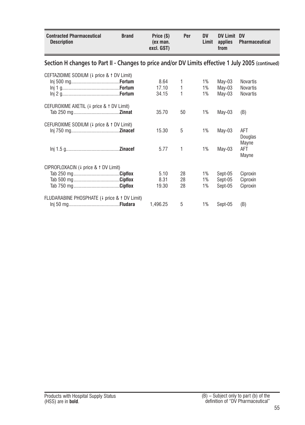<span id="page-54-0"></span>

| <b>Contracted Pharmaceutical</b><br><b>Description</b>                                             | <b>Brand</b> | Price (\$)<br>(ex man.<br>excl. GST) | Per          | <b>DV</b><br>Limit | <b>DV Limit</b><br>applies<br>from | <b>DV</b><br><b>Pharmaceutical</b> |
|----------------------------------------------------------------------------------------------------|--------------|--------------------------------------|--------------|--------------------|------------------------------------|------------------------------------|
| Section H changes to Part II - Changes to price and/or DV Limits effective 1 July 2005 (continued) |              |                                      |              |                    |                                    |                                    |
| CEFTAZIDIME SODIUM (4 price & 1 DV Limit)                                                          |              |                                      |              |                    |                                    |                                    |
|                                                                                                    |              | 8.64                                 | 1            | 1%                 | May-03                             | <b>Novartis</b>                    |
|                                                                                                    |              | 17.10                                | $\mathbf{1}$ | 1%                 | May-03                             | <b>Novartis</b>                    |
|                                                                                                    |              | 34.15                                | 1            | 1%                 | May-03                             | Novartis                           |
| CEFUROXIME AXETIL (4 price & 1 DV Limit)                                                           |              |                                      |              |                    |                                    |                                    |
|                                                                                                    |              | 35.70                                | 50           | 1%                 | May-03                             | (B)                                |
| CEFUROXIME SODIUM (4 price & 1 DV Limit)                                                           |              |                                      |              |                    |                                    |                                    |
|                                                                                                    |              | 15.30                                | 5            | 1%                 | May-03                             | AFT                                |
|                                                                                                    |              |                                      |              |                    |                                    | Douglas                            |
|                                                                                                    |              |                                      |              |                    |                                    | Mayne                              |
|                                                                                                    |              | 5.77                                 | 1            | 1%                 | May-03                             | AFT                                |
|                                                                                                    |              |                                      |              |                    |                                    | Mayne                              |
| CIPROFLOXACIN (4 price & 1 DV Limit)                                                               |              |                                      |              |                    |                                    |                                    |
|                                                                                                    |              | 5.10                                 | 28           | 1%                 | Sept-05                            | Ciproxin                           |
|                                                                                                    |              | 8.31                                 | 28           | 1%                 | Sept-05                            | Ciproxin                           |
|                                                                                                    |              | 19.30                                | 28           | 1%                 | Sept-05                            | Ciproxin                           |
| FLUDARABINE PHOSPHATE (4 price & 1 DV Limit)                                                       |              |                                      |              |                    |                                    |                                    |
|                                                                                                    |              | 1,496.25                             | 5            | 1%                 | Sept-05                            | (B)                                |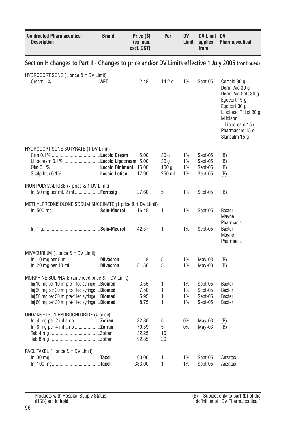<span id="page-55-0"></span>

| <b>Contracted Pharmaceutical</b><br><b>Description</b>                                                                                                                                                                                                   | <b>Brand</b> | Price (\$)<br>(ex man.<br>excl. GST) | Per                                                   | <b>DV</b><br>Limit   | DV Limit DV<br>applies<br>from           | <b>Pharmaceutical</b>                                                                                                                                                         |
|----------------------------------------------------------------------------------------------------------------------------------------------------------------------------------------------------------------------------------------------------------|--------------|--------------------------------------|-------------------------------------------------------|----------------------|------------------------------------------|-------------------------------------------------------------------------------------------------------------------------------------------------------------------------------|
| Section H changes to Part II - Changes to price and/or DV Limits effective 1 July 2005 (continued)                                                                                                                                                       |              |                                      |                                                       |                      |                                          |                                                                                                                                                                               |
| HYDROCORTISONE (4 price & 1 DV Limit)                                                                                                                                                                                                                    |              | 2.48                                 | 14.2 g                                                | 1%                   | Sept-05                                  | Cortaid 30 g<br>Derm-Aid 30 g<br>Derm-Aid Soft 30 g<br>Egocort 15 g<br>Egocort 30 g<br>Lipobase Relief 30 g<br>Mildison<br>Lipocream 15 g<br>Pharmacare 15 g<br>Skincalm 15 g |
| HYDROCORTISONE BUTYRATE (1 DV Limit)<br>Lipocream 0.1% <b>Locoid Lipocream</b> 5.00                                                                                                                                                                      |              | 5.00<br>17.90                        | 30 q<br>30 <sub>q</sub><br>100 <sub>g</sub><br>250 ml | 1%<br>1%<br>1%<br>1% | Sept-05<br>Sept-05<br>Sept-05<br>Sept-05 | (B)<br>(B)<br>(B)<br>(B)                                                                                                                                                      |
| IRON POLYMALTOSE (4 price & 1 DV Limit)<br>Inj 50 mg per ml, 2 ml <b>Ferrosig</b>                                                                                                                                                                        |              | 27.60                                | 5                                                     | 1%                   | Sept-05                                  | (B)                                                                                                                                                                           |
| METHYLPREDNISOLONE SODUM SUCCINATE (4 price & 1 DV Limit)                                                                                                                                                                                                |              | 16.45                                | 1                                                     | 1%                   | Sept-05                                  | <b>Baxter</b><br>Mayne                                                                                                                                                        |
|                                                                                                                                                                                                                                                          |              | 42.57                                | 1                                                     | 1%                   | Sept-05                                  | Pharmacia<br><b>Baxter</b><br>Mayne<br>Pharmacia                                                                                                                              |
| MIVACURIUM (4 price & 1 DV Limit)                                                                                                                                                                                                                        |              | 41.18<br>81.56                       | 5<br>5                                                | 1%<br>1%             | $May-03$<br>$May-03$                     | (B)<br>(B)                                                                                                                                                                    |
| MORPHINE SULPHATE (amended price & 1 DV Limit)<br>Inj 10 mg per 10 ml pre-filled syringe <b>Biomed</b><br>Inj 30 mg per 30 ml pre-filled syringe Biomed<br>Inj 50 mg per 50 ml pre-filled syringe Biomed<br>Inj 60 mg per 30 ml pre-filled syringeBiomed |              | 3.55<br>7.50<br>5.95<br>8.75         | 1<br>1<br>1<br>1                                      | 1%<br>1%<br>1%<br>1% | Sept-05<br>Sept-05<br>Sept-05<br>Sept-05 | <b>Baxter</b><br><b>Baxter</b><br><b>Baxter</b><br>Baxter                                                                                                                     |
| ONDANSETRON HYDROCHLORIDE (4 price)<br>$Inj 4 mg per 2 ml amp$ <b>Zofran</b><br>$Inj 8 mg$ per 4 ml amp <b>Zofran</b>                                                                                                                                    |              | 32.86<br>70.39<br>32.25<br>92.85     | 5<br>5<br>10<br>20                                    | 0%<br>0%             | $May-03$<br>$May-03$                     | (B)<br>(B)                                                                                                                                                                    |
| PACLITAXEL (4 price & 1 DV Limit)                                                                                                                                                                                                                        |              | 100.00<br>333.00                     | 1<br>1                                                | 1%<br>1%             | Sept-05<br>Sept-05                       | Anzatax<br>Anzatax                                                                                                                                                            |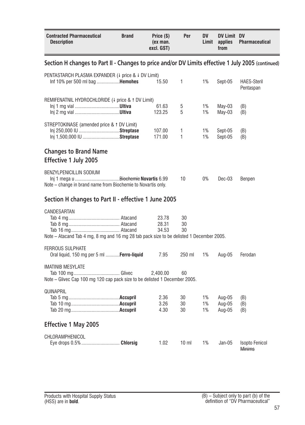<span id="page-56-0"></span>

| <b>Contracted Pharmaceutical</b><br><b>Description</b>                                                  | <b>Brand</b> | Price (\$)<br>(ex man.<br>excl. GST) | Per             | <b>DV</b><br>Limit | DV Limit DV<br>applies<br>from | Pharmaceutical                  |
|---------------------------------------------------------------------------------------------------------|--------------|--------------------------------------|-----------------|--------------------|--------------------------------|---------------------------------|
| Section H changes to Part II - Changes to price and/or DV Limits effective 1 July 2005 (continued)      |              |                                      |                 |                    |                                |                                 |
| PENTASTARCH PLASMA EXPANDER (+ price & + DV Limit)<br>Inf 10% per 500 ml bag <b>Hemohes</b>             |              | 15.50                                | 1               | 1%                 | Sept-05                        | <b>HAES-Steril</b><br>Pentaspan |
| REMIFENATNIL HYDROCHLORIDE (4 price & 1 DV Limit)                                                       |              | 61.63<br>123.25                      | 5<br>5          | 1%<br>1%           | May-03<br>May-03               | (B)<br>(B)                      |
| STREPTOKINASE (amended price & 1 DV Limit)<br>Inj 1,500,000 IU Streptase                                |              | 107.00<br>171.00                     | 1<br>1          | 1%<br>1%           | Sept-05<br>Sept-05             | (B)<br>(B)                      |
| <b>Changes to Brand Name</b><br>Effective 1 July 2005                                                   |              |                                      |                 |                    |                                |                                 |
| BENZYLPENICILLIN SODIUM<br>Note – change in brand name from Biochemie to Novartis only.                 |              |                                      | 10              | 0%                 | Dec-03                         | Benpen                          |
| Section H changes to Part II - effective 1 June 2005                                                    |              |                                      |                 |                    |                                |                                 |
| CANDESARTAN<br>Note - Atacand Tab 4 mg, 8 mg and 16 mg 28 tab pack size to be delisted 1 December 2005. |              | 23.78<br>28.31<br>34.53              | 30<br>30<br>30  |                    |                                |                                 |
| <b>FERROUS SULPHATE</b><br>Oral liquid, 150 mg per 5 ml <b>Ferro-liquid</b>                             |              | 7.95                                 | 250 ml          | 1%                 | Aug-05                         | Ferodan                         |
| <b>IMATINIB MESYLATE</b><br>Note - Glivec Cap 100 mg 120 cap pack size to be delisted 1 December 2005.  |              | 2,400.00                             | 60              |                    |                                |                                 |
| QUINAPRIL                                                                                               |              | 2.36<br>3.26<br>4.30                 | 30<br>30<br>30  | 1%<br>1%<br>1%     | Aug-05<br>Aug-05<br>Aug-05     | (B)<br>(B)<br>(B)               |
| <b>Effective 1 May 2005</b>                                                                             |              |                                      |                 |                    |                                |                                 |
| CHLORAMPHENICOL<br>Eye drops 0.5%  Chlorsig                                                             |              | 1.02                                 | 10 <sub>m</sub> | 1%                 | Jan-05                         | Isopto Fenicol<br>Minime        |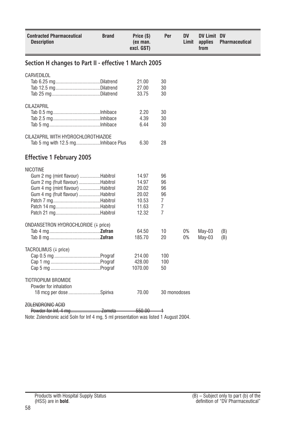<span id="page-57-0"></span>

| <b>Contracted Pharmaceutical</b><br><b>Description</b>                                                                                                                                                          | <b>Brand</b> | Price (\$)<br>(ex man.<br>excl. GST)                        | Per                                              | DV<br>Limit | DV Limit DV<br>applies<br>from | Pharmaceutical |
|-----------------------------------------------------------------------------------------------------------------------------------------------------------------------------------------------------------------|--------------|-------------------------------------------------------------|--------------------------------------------------|-------------|--------------------------------|----------------|
| Section H changes to Part II - effective 1 March 2005                                                                                                                                                           |              |                                                             |                                                  |             |                                |                |
| CARVEDILOL                                                                                                                                                                                                      |              | 21.00<br>27.00<br>33.75                                     | 30<br>30<br>30                                   |             |                                |                |
| <b>CILAZAPRIL</b>                                                                                                                                                                                               |              | 2.20<br>4.39<br>6.44                                        | 30<br>30<br>30                                   |             |                                |                |
| CILAZAPRIL WITH HYDROCHLOROTHIAZIDE                                                                                                                                                                             |              | 6.30                                                        | 28                                               |             |                                |                |
| <b>Effective 1 February 2005</b>                                                                                                                                                                                |              |                                                             |                                                  |             |                                |                |
| <b>NICOTINE</b><br>Gum 2 mg (mint flavour) Habitrol<br>Gum 2 mg (fruit flavour) Habitrol<br>Gum 4 mg (mint flavour) Habitrol<br>Gum 4 mg (fruit flavour) Habitrol<br>Patch 14 mgHabitrol<br>Patch 21 mgHabitrol |              | 14.97<br>14.97<br>20.02<br>20.02<br>10.53<br>11.63<br>12.32 | 96<br>96<br>96<br>96<br>7<br>$\overline{7}$<br>7 |             |                                |                |
| ONDANSETRON HYDROCHLORIDE (4 price)                                                                                                                                                                             |              | 64.50<br>185.70                                             | 10<br>20                                         | 0%<br>0%    | May-03<br>$May-03$             | (B)<br>(B)     |
| TACROLIMUS (+ price)                                                                                                                                                                                            |              | 214.00<br>428.00<br>1070.00                                 | 100<br>100<br>50                                 |             |                                |                |
| TIOTROPIUM BROMIDE<br>Powder for inhalation<br>18 mcg per dose Spiriva<br><b>ZOLENDRONIC ACID</b>                                                                                                               |              | 70.00                                                       | 30 monodoses                                     |             |                                |                |

Powder for Inf, 4 mg....................... Zometa 550.00 1

Note: Zolendronic acid Soln for Inf 4 mg, 5 ml presentation was listed 1 August 2004.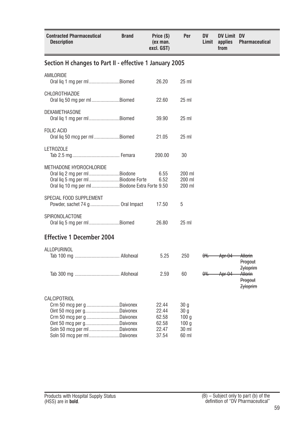<span id="page-58-0"></span>

| <b>Contracted Pharmaceutical</b><br><b>Description</b>                                                                                                                                               | <b>Brand</b> | Price (\$)<br>(ex man.<br>excl. GST)               | Per                                                                   | DV<br>Limit   | <b>DV Limit DV</b><br>applies<br>from | <b>Pharmaceutical</b>                                    |
|------------------------------------------------------------------------------------------------------------------------------------------------------------------------------------------------------|--------------|----------------------------------------------------|-----------------------------------------------------------------------|---------------|---------------------------------------|----------------------------------------------------------|
| Section H changes to Part II - effective 1 January 2005                                                                                                                                              |              |                                                    |                                                                       |               |                                       |                                                          |
| AMILORIDE<br>Oral lig 1 mg per ml Biomed                                                                                                                                                             |              | 26.20                                              | 25 <sub>ml</sub>                                                      |               |                                       |                                                          |
| CHLOROTHIAZIDE<br>Oral lig 50 mg per ml Biomed                                                                                                                                                       |              | 22.60                                              | 25 <sub>ml</sub>                                                      |               |                                       |                                                          |
| DEXAMETHASONE<br>Oral lig 1 mg per ml Biomed                                                                                                                                                         |              | 39.90                                              | 25 <sub>ml</sub>                                                      |               |                                       |                                                          |
| <b>FOLIC ACID</b><br>Oral lig 50 mcg per ml Biomed                                                                                                                                                   |              | 21.05                                              | 25 <sub>ml</sub>                                                      |               |                                       |                                                          |
| LETROZOLE                                                                                                                                                                                            |              | 200.00                                             | 30                                                                    |               |                                       |                                                          |
| METHADONE HYDROCHLORIDE<br>Oral lig 2 mg per ml Biodone<br>Oral lig 5 mg per mlBiodone Forte<br>Oral liq 10 mg per ml Biodone Extra Forte 9.50                                                       |              | 6.55<br>6.52                                       | 200 ml<br>200 ml<br>200 ml                                            |               |                                       |                                                          |
| SPECIAL FOOD SUPPLEMENT<br>Powder, sachet 74 g  Oral Impact                                                                                                                                          |              | 17.50                                              | 5                                                                     |               |                                       |                                                          |
| SPIRONOLACTONE<br>Oral lig 5 mg per ml Biomed                                                                                                                                                        |              | 26.80                                              | 25 ml                                                                 |               |                                       |                                                          |
| <b>Effective 1 December 2004</b>                                                                                                                                                                     |              |                                                    |                                                                       |               |                                       |                                                          |
| ALLOPURINOL                                                                                                                                                                                          |              | 5.25                                               | 250                                                                   | <del>0%</del> | Apr-04                                | <del>Allorin</del><br>Progout                            |
|                                                                                                                                                                                                      |              | 2.59                                               | 60                                                                    | $\theta\%$    | <del>Apr-04</del>                     | <b>Zyloprim</b><br>Allorin<br>Progout<br><b>Zyloprim</b> |
| <b>CALCIPOTRIOL</b><br>Crm 50 mcg per g Daivonex<br>Oint 50 mcg per gDaivonex<br>Crm 50 mcg per g Daivonex<br>Oint 50 mcg per gDaivonex<br>Soln 50 mcg per ml Daivonex<br>Soln 50 mcg per mlDaivonex |              | 22.44<br>22.44<br>62.58<br>62.58<br>22.47<br>37.54 | 30 g<br>30 <sub>g</sub><br>100q<br>100 <sub>g</sub><br>30 ml<br>60 ml |               |                                       |                                                          |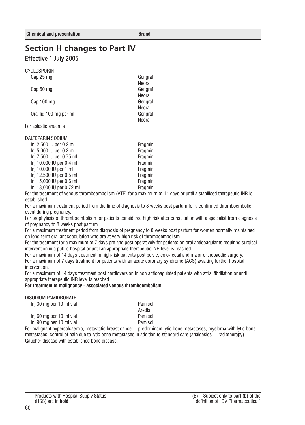# <span id="page-59-0"></span>**Section H changes to Part IV Effective 1 July 2005**

CYCLOSPORIN

| Cap 25 mg              | Gengraf |
|------------------------|---------|
|                        | Neoral  |
| Cap 50 mg              | Gengraf |
|                        | Neoral  |
| Cap 100 mg             | Gengraf |
|                        | Neoral  |
| Oral lig 100 mg per ml | Gengraf |
|                        | Neoral  |
| For aplastic anaemia   |         |
|                        |         |

| DALTEPARIN SODIUM         |         |
|---------------------------|---------|
| Inj 2,500 IU per 0.2 ml   | Fragmin |
| Inj 5,000 IU per 0.2 ml   | Fragmin |
| Inj 7,500 IU per 0.75 ml  | Fragmin |
| Inj 10,000 IU per 0.4 ml  | Fragmin |
| Inj 10,000 IU per 1 ml    | Fragmin |
| Inj 12,500 IU per 0.5 ml  | Fragmin |
| Inj 15,000 IU per 0.6 ml  | Fragmin |
| Inj 18,000 IU per 0.72 ml | Fragmin |

For the treatment of venous thromboembolism (VTE) for a maximum of 14 days or until a stabilised therapeutic INR is established.

For a maximum treatment period from the time of diagnosis to 8 weeks post partum for a confirmed thromboembolic event during pregnancy.

For prophylaxis of thromboembolism for patients considered high risk after consultation with a specialist from diagnosis of pregnancy to 8 weeks post partum.

For a maximum treatment period from diagnosis of pregnancy to 8 weeks post partum for women normally maintained on long-term oral anticoagulation who are at very high risk of thromboembolism.

For the treatment for a maximum of 7 days pre and post operatively for patients on oral anticoagulants requiring surgical intervention in a public hospital or until an appropriate therapeutic INR level is reached.

For a maximum of 14 days treatment in high-risk patients post pelvic, colo-rectal and major orthopaedic surgery. For a maximum of 7 days treatment for patients with an acute coronary syndrome (ACS) awaiting further hospital intervention.

For a maximum of 14 days treatment post cardioversion in non anticoagulated patients with atrial fibrillation or until appropriate therapeutic INR level is reached.

#### **For treatment of malignancy - associated venous thromboembolism.**

Inj 30 mg per 10 ml vial Pamisol

Inj 60 mg per 10 ml vial Pamisol Inj 90 mg per 10 ml vial Pamisol

Aredia

For malignant hypercalcaemia, metastatic breast cancer – predominant lytic bone metastases, myeloma with lytic bone metastases, control of pain due to lytic bone metastases in addition to standard care (analgesics + radiotherapy), Gaucher disease with established bone disease.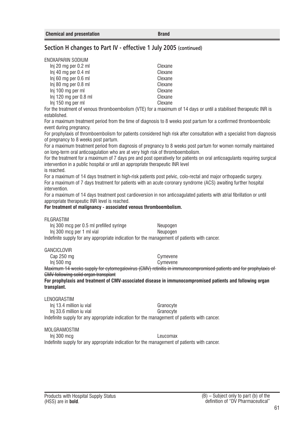## <span id="page-60-0"></span>**Section H changes to Part IV - effective 1 July 2005 (continued)**

ENOXAPARIN SODIUM

| Inj 20 mg per 0.2 ml    | Clexane |
|-------------------------|---------|
| Inj 40 mg per 0.4 ml    | Clexane |
| Ini 60 mg per 0.6 ml    | Clexane |
| Inj 80 mg per 0.8 ml    | Clexane |
| Ini 100 mg per ml       | Clexane |
| $Inj$ 120 mg per 0.8 ml | Clexane |
| Inj 150 mg per ml       | Clexane |

For the treatment of venous thromboembolism (VTE) for a maximum of 14 days or until a stabilised therapeutic INR is established.

For a maximum treatment period from the time of diagnosis to 8 weeks post partum for a confirmed thromboembolic event during pregnancy.

For prophylaxis of thromboembolism for patients considered high risk after consultation with a specialist from diagnosis of pregnancy to 8 weeks post partum.

For a maximum treatment period from diagnosis of pregnancy to 8 weeks post partum for women normally maintained on long-term oral anticoagulation who are at very high risk of thromboembolism.

For the treatment for a maximum of 7 days pre and post operatively for patients on oral anticoagulants requiring surgical intervention in a public hospital or until an appropriate therapeutic INR level is reached.

For a maximum of 14 days treatment in high-risk patients post pelvic, colo-rectal and major orthopaedic surgery. For a maximum of 7 days treatment for patients with an acute coronary syndrome (ACS) awaiting further hospital intervention.

For a maximum of 14 days treatment post cardioversion in non anticoagulated patients with atrial fibrillation or until appropriate therapeutic INR level is reached.

#### **For treatment of malignancy - associated venous thromboembolism.**

FILGRASTIM

Inj 300 mcg per 0.5 ml prefilled syringe Neupogen Inj 300 mcg per 1 ml vial Neupogen Indefinite supply for any appropriate indication for the management of patients with cancer.

**GANCICI OVIR** 

 $Ini$  500 mg

Cap 250 mg<br>
Ini 500 mg<br>
Cymevene

Maximum 14 weeks supply for cytomegalovirus (CMV) retinitis in immunocompromised patients and for prophylaxis of CMV following solid organ transplant

**For prophylaxis and treatment of CMV-associated disease in immunocompromised patients and following organ transplant.**

LENOGRASTIM

Ini 13.4 million iu vial Granocyte Inj 33.6 million iu vial Granocyte Indefinite supply for any appropriate indication for the management of patients with cancer.

MOLGRAMOSTIM

Inj 300 mcg Leucomax

Indefinite supply for any appropriate indication for the management of patients with cancer.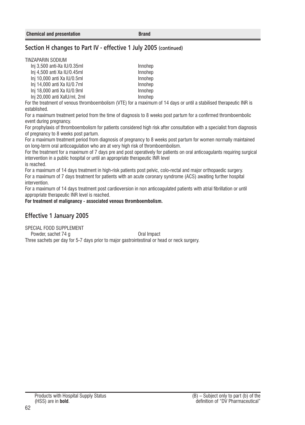## <span id="page-61-0"></span>**Section H changes to Part IV - effective 1 July 2005 (continued)**

#### TINZAPARIN SODIUM

| Ini 3.500 anti-Xa IU/0.35ml  | Innohep |
|------------------------------|---------|
| Ini 4.500 anti Xa IU/0.45ml  | Innohep |
| Inj 10,000 anti Xa IU/0.5ml  | Innohep |
| Inj 14,000 anti Xa IU/0.7ml  | Innohep |
| Inj 18,000 anti Xa IU/0.9ml  | Innohep |
| Inj 20,000 anti XalU/ml, 2ml | Innohep |
|                              |         |

For the treatment of venous thromboembolism (VTE) for a maximum of 14 days or until a stabilised therapeutic INR is established.

For a maximum treatment period from the time of diagnosis to 8 weeks post partum for a confirmed thromboembolic event during pregnancy.

For prophylaxis of thromboembolism for patients considered high risk after consultation with a specialist from diagnosis of pregnancy to 8 weeks post partum.

For a maximum treatment period from diagnosis of pregnancy to 8 weeks post partum for women normally maintained on long-term oral anticoagulation who are at very high risk of thromboembolism.

For the treatment for a maximum of 7 days pre and post operatively for patients on oral anticoagulants requiring surgical intervention in a public hospital or until an appropriate therapeutic INR level

is reached.

For a maximum of 14 days treatment in high-risk patients post pelvic, colo-rectal and major orthopaedic surgery. For a maximum of 7 days treatment for patients with an acute coronary syndrome (ACS) awaiting further hospital intervention.

For a maximum of 14 days treatment post cardioversion in non anticoagulated patients with atrial fibrillation or until appropriate therapeutic INR level is reached.

**For treatment of malignancy - associated venous thromboembolism.**

## **Effective 1 January 2005**

SPECIAL FOOD SUPPLEMENT Powder, sachet 74 g Oral Impact Three sachets per day for 5-7 days prior to major gastrointestinal or head or neck surgery.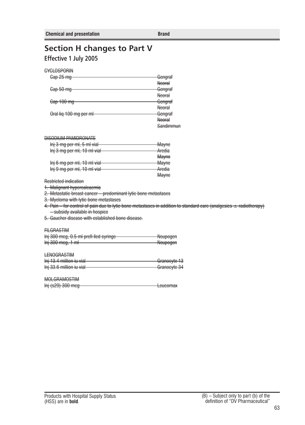# <span id="page-62-0"></span>**Section H changes to Part V Effective 1 July 2005**

| CYCLOSPORIN            |               |
|------------------------|---------------|
| Cap 25 mg              | Gengraf       |
|                        | <b>Neoral</b> |
| Cap 50 mg              | Gengraf       |
|                        | Neoral        |
| Cap 100 mg             | Gengraf       |
|                        | <b>Neoral</b> |
| Oral lig 100 mg per ml | Gengraf       |
|                        | Neoral        |
|                        | Sandimmun     |
|                        |               |

#### DISODIUM PAMIDRONATE

| Inj 3 mg per ml, 5 ml vial  | Mayne            |
|-----------------------------|------------------|
| Inj 3 mg per ml, 10 ml vial | Aredia           |
|                             | <b>Mayne</b>     |
| Inj 6 mg per ml, 10 ml vial | <del>Mayne</del> |
| Inj 9 mg per ml, 10 ml vial | Aredia           |
|                             | <b>Mayne</b>     |

Restricted indication

1. Malignant hypercalcaemia

2. Metastatic breast cancer – predominant lytic bone metastases

3. Myeloma with lytic bone metastases

4. Pain – for control of pain due to lytic bone metastases in addition to standard care (analgesics  $\pm$  radiotherapy) – subsidy available in hospice

5. Gaucher disease with established bone disease.

#### **FILGRASTIM**

| Inj 300 meg, 0.5 ml prefi lled syringe | <b>Nounggan</b><br><del>wcupogen</del>        |
|----------------------------------------|-----------------------------------------------|
| $Inj$ 300 mcg, 1 m                     | <b><i>Mounggap</i></b><br><del>wcupogen</del> |

## **LENOGRASTIM**

| Inj 13.4 million iu vial | Granocyte 13 |
|--------------------------|--------------|
|                          |              |
| Inj 33.6 million iu vial | Granocyte 34 |
|                          |              |

#### MOLGRAMOSTIM

|                   | $l$ $\alpha$ usamay |
|-------------------|---------------------|
| lnj (s29) 300 meg | <del>Lcucomax</del> |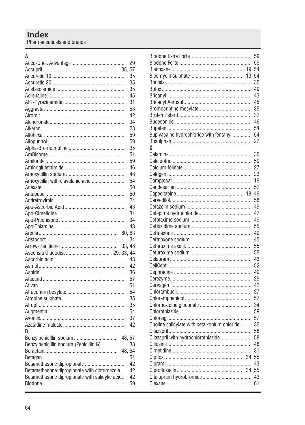## Index Pharmaceuticals and brands

### $\overline{A}$

|                                                |            | 29 |
|------------------------------------------------|------------|----|
|                                                |            |    |
|                                                |            | 35 |
|                                                |            | 35 |
|                                                |            | 35 |
|                                                |            | 45 |
|                                                |            | 31 |
|                                                |            | 53 |
|                                                |            | 42 |
|                                                |            | 34 |
|                                                |            | 28 |
|                                                |            | 59 |
|                                                |            | 59 |
|                                                |            | 35 |
|                                                |            | 51 |
|                                                |            | 59 |
|                                                |            | 46 |
|                                                |            | 48 |
| Amoxycillin with clavulanic acid               |            | 54 |
|                                                |            | 50 |
|                                                |            | 50 |
|                                                |            | 24 |
|                                                |            | 43 |
|                                                |            |    |
|                                                |            | 31 |
|                                                |            | 34 |
|                                                |            | 43 |
|                                                |            | 63 |
|                                                |            | 34 |
|                                                | 33, 48     |    |
|                                                | 29, 33, 44 |    |
|                                                |            | 43 |
|                                                |            | 42 |
|                                                |            | 36 |
|                                                |            | 57 |
|                                                |            | 51 |
|                                                |            | 54 |
|                                                |            | 35 |
|                                                |            | 35 |
|                                                |            | 54 |
|                                                |            | 37 |
|                                                |            | 42 |
| R                                              |            |    |
|                                                |            |    |
| Benzylpenicillin sodium (Penicillin G)         |            | 38 |
|                                                |            |    |
|                                                |            | 51 |
| Betamethasone dipropionate                     |            | 42 |
| Betamethasone dipropionate with clotrimazole   |            | 42 |
| Betamethasone dipropionate with salicylic acid |            | 42 |
|                                                |            | 59 |
|                                                |            |    |

|                                              |        | 59<br>59 |
|----------------------------------------------|--------|----------|
|                                              | 19,    | 54       |
|                                              | 19.    | 54       |
|                                              |        | 36       |
|                                              |        | 49       |
|                                              |        |          |
|                                              |        | 43       |
|                                              |        | 45       |
|                                              |        | 35       |
|                                              |        | 37       |
|                                              |        | 46       |
|                                              |        | 54       |
| Bupivacaine hydrochloride with fentanyl      |        | 54       |
|                                              |        | 27       |
| C                                            |        |          |
|                                              |        | 36       |
|                                              |        | 59       |
|                                              |        | 27       |
|                                              |        | 23       |
|                                              |        | 19       |
|                                              |        | 57       |
|                                              | 18.    | 49       |
|                                              |        | 58       |
|                                              |        | 49       |
|                                              |        | 47       |
|                                              |        | 49       |
|                                              |        | 55       |
|                                              |        | 49       |
|                                              |        | 45       |
|                                              |        | 55       |
|                                              |        | 55       |
|                                              |        | 43       |
|                                              |        | 52       |
|                                              |        | 49       |
|                                              |        | 29       |
|                                              |        | 42       |
|                                              |        | 27       |
|                                              |        | 57       |
|                                              |        | 34       |
|                                              |        |          |
|                                              |        | 59       |
|                                              |        | 57       |
| Choline salicylate with cetalkonium chloride |        | 36       |
|                                              |        | 58       |
| Cilazapril with hydrochlorothiazide          |        | 58       |
|                                              |        | 48       |
|                                              |        | 31       |
|                                              | 34, 55 |          |
|                                              |        | 43       |
|                                              | 34, 55 |          |
|                                              |        | 43       |
|                                              |        | 61       |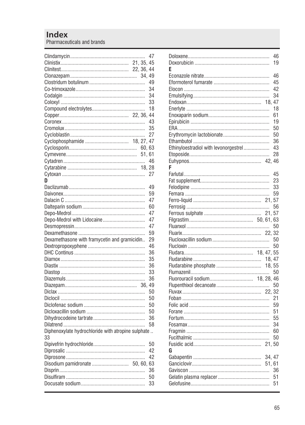|                                                    |            | 47 |
|----------------------------------------------------|------------|----|
|                                                    | 21, 35, 45 |    |
|                                                    | 22, 36, 44 |    |
|                                                    |            |    |
|                                                    |            | 49 |
|                                                    |            | 34 |
|                                                    |            | 34 |
|                                                    |            | 33 |
|                                                    |            | 18 |
|                                                    |            |    |
|                                                    |            |    |
|                                                    |            | 43 |
|                                                    |            | 35 |
|                                                    |            | 27 |
| Cyclophosphamide  18, 27, 47                       |            |    |
|                                                    | 60.63      |    |
|                                                    | 51, 61     |    |
|                                                    |            | 46 |
|                                                    |            |    |
|                                                    |            | 27 |
| D                                                  |            |    |
|                                                    |            | 49 |
|                                                    |            | 59 |
|                                                    |            | 47 |
|                                                    |            | 60 |
|                                                    |            | 47 |
| Depo-Medrol with Lidocaine                         |            | 47 |
|                                                    |            | 47 |
|                                                    |            | 59 |
| Dexamethasone with framycetin and gramicidin       |            | 29 |
|                                                    |            | 46 |
|                                                    |            | 36 |
|                                                    |            | 35 |
|                                                    |            | 36 |
|                                                    |            | 33 |
|                                                    |            | 36 |
|                                                    |            |    |
|                                                    |            |    |
|                                                    | 36.49      |    |
|                                                    |            | 50 |
|                                                    |            | 50 |
|                                                    |            | 50 |
|                                                    |            | 50 |
|                                                    |            | 36 |
|                                                    |            | 58 |
| Diphenoxylate hydrochloride with atropine sulphate |            |    |
| 33                                                 |            |    |
|                                                    |            | 50 |
|                                                    |            | 42 |
|                                                    |            | 42 |
| Disodium pamidronate  50, 60, 63                   |            |    |
|                                                    |            | 36 |
|                                                    |            | 50 |
|                                                    |            | 33 |

|                                       |                  | 46 |
|---------------------------------------|------------------|----|
|                                       |                  | 19 |
| E                                     |                  |    |
|                                       |                  | 46 |
|                                       |                  | 45 |
|                                       |                  | 42 |
|                                       |                  | 34 |
|                                       | 18, 47           |    |
|                                       |                  | 18 |
|                                       |                  | 61 |
|                                       |                  | 19 |
|                                       |                  | 50 |
|                                       |                  | 50 |
|                                       |                  | 36 |
| Ethinyloestradiol with levonorgestrel |                  | 43 |
|                                       |                  | 28 |
|                                       |                  |    |
| F                                     |                  |    |
|                                       |                  | 45 |
|                                       |                  | 23 |
|                                       |                  | 33 |
|                                       |                  | 59 |
|                                       |                  |    |
|                                       |                  | 56 |
|                                       | 21, 57           |    |
|                                       |                  |    |
|                                       |                  | 50 |
|                                       |                  |    |
|                                       |                  | 50 |
|                                       |                  | 50 |
|                                       |                  |    |
|                                       |                  |    |
|                                       |                  |    |
|                                       |                  | 50 |
|                                       |                  |    |
|                                       |                  | 50 |
|                                       |                  | 21 |
|                                       |                  | 59 |
|                                       |                  | 51 |
|                                       |                  | 55 |
|                                       |                  | 34 |
|                                       |                  | 60 |
|                                       |                  | 50 |
|                                       |                  |    |
| G                                     |                  |    |
|                                       |                  |    |
|                                       | 34, 47<br>51, 61 |    |
|                                       |                  | 36 |
|                                       |                  | 51 |
|                                       |                  | 51 |
|                                       |                  |    |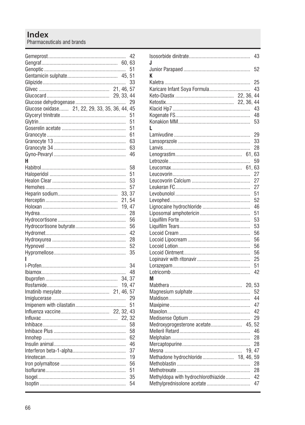|                                                |        | 51 |
|------------------------------------------------|--------|----|
|                                                |        | 51 |
|                                                |        | 33 |
|                                                |        |    |
|                                                |        |    |
|                                                |        | 29 |
| Glucose oxidase 21, 22, 29, 33, 35, 36, 44, 45 |        |    |
|                                                |        | 51 |
|                                                |        | 51 |
|                                                |        | 51 |
|                                                |        | 61 |
|                                                |        | 63 |
|                                                |        | 63 |
|                                                |        | 46 |
| н                                              |        |    |
|                                                |        | 58 |
|                                                |        | 51 |
|                                                |        | 53 |
|                                                |        | 57 |
|                                                | 33, 37 |    |
|                                                | 21.    | 54 |
|                                                |        | 47 |
|                                                | 19.    | 28 |
|                                                |        |    |
|                                                |        | 56 |
|                                                |        | 56 |
|                                                |        | 42 |
|                                                |        | 28 |
|                                                |        | 52 |
|                                                |        | 35 |
| ı                                              |        |    |
|                                                |        | 34 |
|                                                |        | 48 |
|                                                | 34, 37 |    |
|                                                |        |    |
|                                                |        |    |
|                                                |        | 29 |
|                                                |        | 51 |
|                                                |        |    |
|                                                |        |    |
|                                                |        | 58 |
|                                                |        | 58 |
|                                                |        | 62 |
|                                                |        | 46 |
|                                                |        | 37 |
|                                                |        | 19 |
|                                                |        | 56 |
|                                                |        | 51 |
|                                                |        | 35 |
|                                                |        | 54 |
|                                                |        |    |

| J                                     | 43       |
|---------------------------------------|----------|
|                                       | 52       |
| K                                     |          |
|                                       | 25       |
| Karicare Infant Soya Formula          | 43       |
|                                       |          |
|                                       |          |
|                                       | 43       |
|                                       | 48       |
|                                       | 53       |
| L                                     |          |
|                                       | 29       |
|                                       | 33       |
|                                       | 28       |
|                                       | 61.63    |
|                                       | 59       |
|                                       | 61.63    |
|                                       | 27       |
|                                       | 27       |
|                                       | 27       |
|                                       | 51       |
|                                       | 52       |
|                                       | 46       |
|                                       | 51       |
|                                       | 53       |
|                                       | 53       |
|                                       | 56       |
|                                       | 56       |
|                                       | 56       |
|                                       | 56       |
|                                       | 25       |
|                                       | 51       |
|                                       | 42       |
| M                                     |          |
| 20.53                                 |          |
|                                       |          |
|                                       | 52<br>44 |
|                                       |          |
|                                       | 47       |
|                                       | 42       |
|                                       | 29       |
| Medroxyprogesterone acetate 45, 52    |          |
|                                       | 46       |
|                                       | 28       |
|                                       | 28       |
|                                       |          |
| Methadone hydrochloride<br>18, 46, 59 |          |
|                                       | 28       |
|                                       | 28       |
| Methyldopa with hydrochlorothiazide   | 42       |
|                                       | 47       |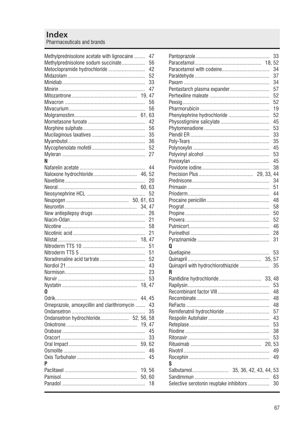| Methylprednisolone acetate with lignocaine<br>Methylprednisolone sodum succinate<br>Metoclopramide hydrochloride | 19.47 | 47<br>56<br>42<br>52<br>33<br>47<br>56<br>56<br>42<br>56<br>35<br>36<br>52 |
|------------------------------------------------------------------------------------------------------------------|-------|----------------------------------------------------------------------------|
|                                                                                                                  |       | 27                                                                         |
| N                                                                                                                |       | 44<br>20                                                                   |
|                                                                                                                  |       |                                                                            |
|                                                                                                                  |       | 52                                                                         |
|                                                                                                                  | 34.47 |                                                                            |
|                                                                                                                  |       | 26                                                                         |
|                                                                                                                  |       | 21                                                                         |
|                                                                                                                  |       | 58                                                                         |
|                                                                                                                  |       | 21                                                                         |
|                                                                                                                  |       |                                                                            |
|                                                                                                                  |       | 51                                                                         |
|                                                                                                                  |       | 51                                                                         |
|                                                                                                                  |       | 52                                                                         |
|                                                                                                                  |       | 43                                                                         |
|                                                                                                                  |       | 23<br>53                                                                   |
|                                                                                                                  |       |                                                                            |
| 0                                                                                                                |       |                                                                            |
|                                                                                                                  | 44.45 |                                                                            |
| Omeprazole, amoxycillin and clarithromycin                                                                       |       | 43                                                                         |
|                                                                                                                  |       | 35                                                                         |
| Ondansetron hydrochloride 52, 56, 58                                                                             |       |                                                                            |
|                                                                                                                  | 19.47 |                                                                            |
|                                                                                                                  |       | 45                                                                         |
|                                                                                                                  |       | 33                                                                         |
|                                                                                                                  | 59.62 |                                                                            |
|                                                                                                                  |       | 46                                                                         |
| P                                                                                                                |       | 45                                                                         |
|                                                                                                                  | 19.56 |                                                                            |
|                                                                                                                  | 50.60 |                                                                            |
|                                                                                                                  |       | 18                                                                         |
|                                                                                                                  |       |                                                                            |

|                                         | 33       |
|-----------------------------------------|----------|
| 18.                                     | 52       |
|                                         | 34       |
|                                         | 37       |
|                                         | 34       |
| Pentastarch plasma expander             | 57       |
|                                         | 52       |
|                                         | 52       |
|                                         | 19       |
| Phenylephrine hydrochloride             | 52       |
|                                         | 45       |
|                                         | 53       |
|                                         | 33       |
|                                         | 35       |
|                                         | 45       |
|                                         | 53       |
|                                         | 45       |
|                                         | 38       |
| 29, 33,                                 | 44       |
|                                         | 34       |
|                                         | 51       |
|                                         | 44       |
|                                         | 48       |
|                                         | 58       |
|                                         | 50       |
|                                         | 52       |
|                                         | 46<br>28 |
|                                         | 31       |
| 0                                       |          |
|                                         | 53       |
| 35, 57                                  |          |
| Quinapril with hydrochlorothiazide      | 35       |
| R                                       |          |
| 33.48                                   |          |
|                                         | 53       |
|                                         | 48       |
|                                         | 48       |
|                                         | 48       |
| Remifenatnil hydrochloride              | 57       |
|                                         | 43       |
|                                         | 53       |
|                                         | 38       |
|                                         | 53       |
|                                         |          |
|                                         | 49       |
|                                         | 49       |
| S                                       |          |
|                                         |          |
|                                         | 63       |
| Selective serotonin reuptake inhibitors | 30       |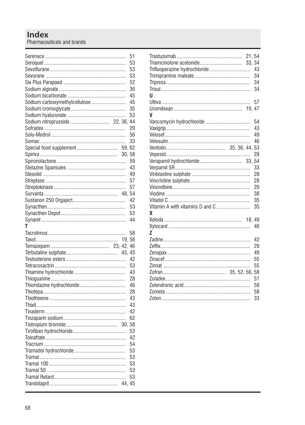|                               |        | 51 |
|-------------------------------|--------|----|
|                               |        | 53 |
|                               |        | 53 |
|                               |        | 53 |
|                               |        | 52 |
|                               |        | 36 |
|                               |        | 45 |
| Sodium carboxymethylcellulose |        | 45 |
|                               |        | 35 |
|                               |        | 53 |
|                               |        | 44 |
|                               |        | 29 |
|                               |        | 56 |
|                               |        | 33 |
| Special food supplement       | 59.    | 62 |
|                               | 30, 58 |    |
|                               |        | 59 |
|                               |        | 43 |
|                               |        | 49 |
|                               |        | 57 |
|                               |        | 57 |
|                               | 48, 54 |    |
|                               |        | 42 |
|                               |        | 53 |
|                               |        | 53 |
|                               |        | 44 |
|                               |        |    |
|                               |        |    |
| т                             |        |    |
|                               |        | 58 |
|                               | 19, 56 |    |
|                               |        |    |
|                               |        |    |
|                               |        | 42 |
|                               |        | 53 |
|                               |        | 43 |
|                               |        | 28 |
|                               |        | 46 |
|                               |        | 28 |
|                               |        | 43 |
|                               |        | 43 |
|                               |        | 42 |
|                               |        | 62 |
|                               | 30.    | 58 |
|                               |        | 53 |
|                               |        | 42 |
|                               |        | 54 |
|                               |        | 53 |
|                               |        | 53 |
|                               |        | 53 |
|                               |        | 53 |
|                               |        | 53 |

| Trifluoperazine hydrochloride<br>п |  | 43<br>34<br>34<br>34 |
|------------------------------------|--|----------------------|
|                                    |  | 57                   |
|                                    |  |                      |
| V                                  |  |                      |
| Vancomycin hydrochloride           |  | 54                   |
|                                    |  | 43                   |
|                                    |  | 49                   |
|                                    |  | 46                   |
|                                    |  | 53                   |
|                                    |  | 28                   |
|                                    |  | 54                   |
|                                    |  | 33                   |
|                                    |  | 28                   |
|                                    |  | 28                   |
|                                    |  | 20                   |
|                                    |  | 38                   |
|                                    |  | 35                   |
| Vitamin A with vitamins D and C    |  | 35                   |
| χ                                  |  |                      |
|                                    |  |                      |
|                                    |  | 46                   |
| z                                  |  |                      |
|                                    |  | 42                   |
|                                    |  | 29                   |
|                                    |  | 49                   |
|                                    |  | 55                   |
|                                    |  | 55                   |
|                                    |  | 58                   |
|                                    |  | 51                   |
|                                    |  | 58                   |
|                                    |  | 58                   |
|                                    |  | 33                   |